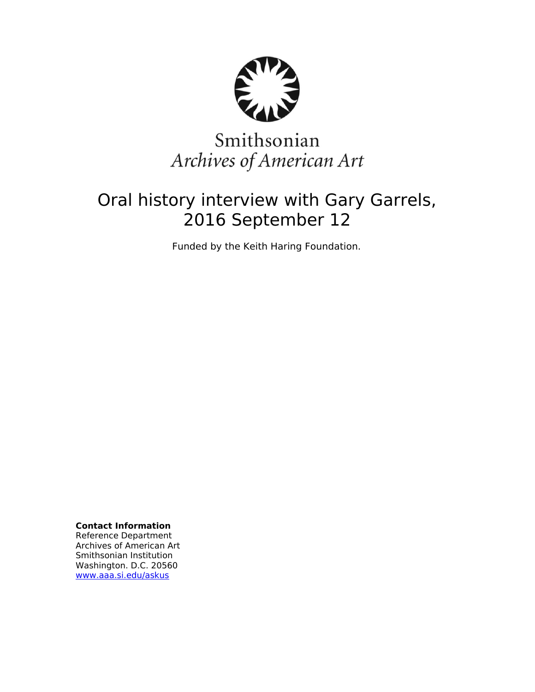

# Smithsonian Archives of American Art

## Oral history interview with Gary Garrels, 2016 September 12

Funded by the Keith Haring Foundation.

**Contact Information** Reference Department Archives of American Art Smithsonian Institution Washington. D.C. 20560 [www.aaa.si.edu/askus](http://www.aaa.si.edu/askus)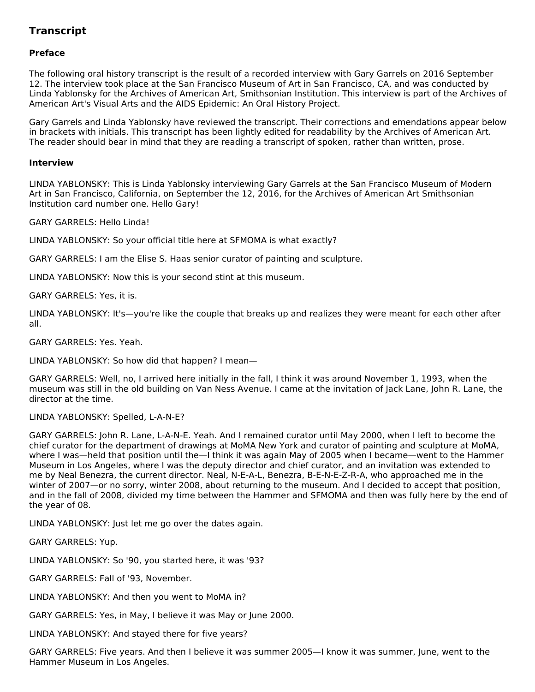### **Transcript**

#### **Preface**

The following oral history transcript is the result of a recorded interview with Gary Garrels on 2016 September 12. The interview took place at the San Francisco Museum of Art in San Francisco, CA, and was conducted by Linda Yablonsky for the Archives of American Art, Smithsonian Institution. This interview is part of the Archives of American Art's Visual Arts and the AIDS Epidemic: An Oral History Project.

Gary Garrels and Linda Yablonsky have reviewed the transcript. Their corrections and emendations appear below in brackets with initials. This transcript has been lightly edited for readability by the Archives of American Art. The reader should bear in mind that they are reading a transcript of spoken, rather than written, prose.

#### **Interview**

LINDA YABLONSKY: This is Linda Yablonsky interviewing Gary Garrels at the San Francisco Museum of Modern Art in San Francisco, California, on September the 12, 2016, for the Archives of American Art Smithsonian Institution card number one. Hello Gary!

GARY GARRELS: Hello Linda!

LINDA YABLONSKY: So your official title here at SFMOMA is what exactly?

GARY GARRELS: I am the Elise S. Haas senior curator of painting and sculpture.

LINDA YABLONSKY: Now this is your second stint at this museum.

GARY GARRELS: Yes, it is.

LINDA YABLONSKY: It's—you're like the couple that breaks up and realizes they were meant for each other after all.

GARY GARRELS: Yes. Yeah.

LINDA YABLONSKY: So how did that happen? I mean—

GARY GARRELS: Well, no, I arrived here initially in the fall, I think it was around November 1, 1993, when the museum was still in the old building on Van Ness Avenue. I came at the invitation of Jack Lane, John R. Lane, the director at the time.

LINDA YABLONSKY: Spelled, L-A-N-E?

GARY GARRELS: John R. Lane, L-A-N-E. Yeah. And I remained curator until May 2000, when I left to become the chief curator for the department of drawings at MoMA New York and curator of painting and sculpture at MoMA, where I was—held that position until the—I think it was again May of 2005 when I became—went to the Hammer Museum in Los Angeles, where I was the deputy director and chief curator, and an invitation was extended to me by Neal Benezra, the current director. Neal, N-E-A-L, Benezra, B-E-N-E-Z-R-A, who approached me in the winter of 2007—or no sorry, winter 2008, about returning to the museum. And I decided to accept that position, and in the fall of 2008, divided my time between the Hammer and SFMOMA and then was fully here by the end of the year of 08.

LINDA YABLONSKY: Just let me go over the dates again.

GARY GARRELS: Yup.

LINDA YABLONSKY: So '90, you started here, it was '93?

GARY GARRELS: Fall of '93, November.

LINDA YABLONSKY: And then you went to MoMA in?

GARY GARRELS: Yes, in May, I believe it was May or June 2000.

LINDA YABLONSKY: And stayed there for five years?

GARY GARRELS: Five years. And then I believe it was summer 2005—I know it was summer, June, went to the Hammer Museum in Los Angeles.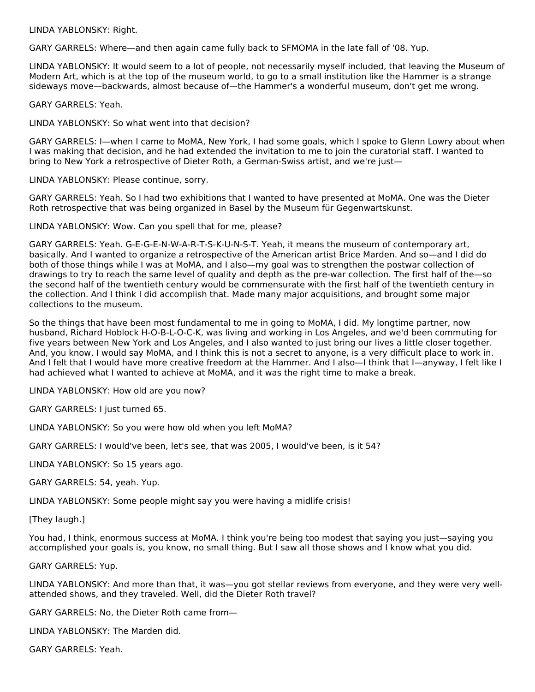LINDA YABLONSKY: Right.

GARY GARRELS: Where—and then again came fully back to SFMOMA in the late fall of '08. Yup.

LINDA YABLONSKY: It would seem to a lot of people, not necessarily myself included, that leaving the Museum of Modern Art, which is at the top of the museum world, to go to a small institution like the Hammer is a strange sideways move—backwards, almost because of—the Hammer's a wonderful museum, don't get me wrong.

GARY GARRELS: Yeah.

LINDA YABLONSKY: So what went into that decision?

GARY GARRELS: I—when I came to MoMA, New York, I had some goals, which I spoke to Glenn Lowry about when I was making that decision, and he had extended the invitation to me to join the curatorial staff. I wanted to bring to New York a retrospective of Dieter Roth, a German-Swiss artist, and we're just—

LINDA YABLONSKY: Please continue, sorry.

GARY GARRELS: Yeah. So I had two exhibitions that I wanted to have presented at MoMA. One was the Dieter Roth retrospective that was being organized in Basel by the Museum für Gegenwartskunst.

LINDA YABLONSKY: Wow. Can you spell that for me, please?

GARY GARRELS: Yeah. G-E-G-E-N-W-A-R-T-S-K-U-N-S-T. Yeah, it means the museum of contemporary art, basically. And I wanted to organize a retrospective of the American artist Brice Marden. And so—and I did do both of those things while I was at MoMA, and I also—my goal was to strengthen the postwar collection of drawings to try to reach the same level of quality and depth as the pre-war collection. The first half of the—so the second half of the twentieth century would be commensurate with the first half of the twentieth century in the collection. And I think I did accomplish that. Made many major acquisitions, and brought some major collections to the museum.

So the things that have been most fundamental to me in going to MoMA, I did. My longtime partner, now husband, Richard Hoblock H-O-B-L-O-C-K, was living and working in Los Angeles, and we'd been commuting for five years between New York and Los Angeles, and I also wanted to just bring our lives a little closer together. And, you know, I would say MoMA, and I think this is not a secret to anyone, is a very difficult place to work in. And I felt that I would have more creative freedom at the Hammer. And I also—I think that I—anyway, I felt like I had achieved what I wanted to achieve at MoMA, and it was the right time to make a break.

LINDA YABLONSKY: How old are you now?

GARY GARRELS: I just turned 65.

LINDA YABLONSKY: So you were how old when you left MoMA?

GARY GARRELS: I would've been, let's see, that was 2005, I would've been, is it 54?

LINDA YABLONSKY: So 15 years ago.

GARY GARRELS: 54, yeah. Yup.

LINDA YABLONSKY: Some people might say you were having a midlife crisis!

[They laugh.]

You had, I think, enormous success at MoMA. I think you're being too modest that saying you just—saying you accomplished your goals is, you know, no small thing. But I saw all those shows and I know what you did.

GARY GARRELS: Yup.

LINDA YABLONSKY: And more than that, it was—you got stellar reviews from everyone, and they were very wellattended shows, and they traveled. Well, did the Dieter Roth travel?

GARY GARRELS: No, the Dieter Roth came from—

LINDA YABLONSKY: The Marden did.

GARY GARRELS: Yeah.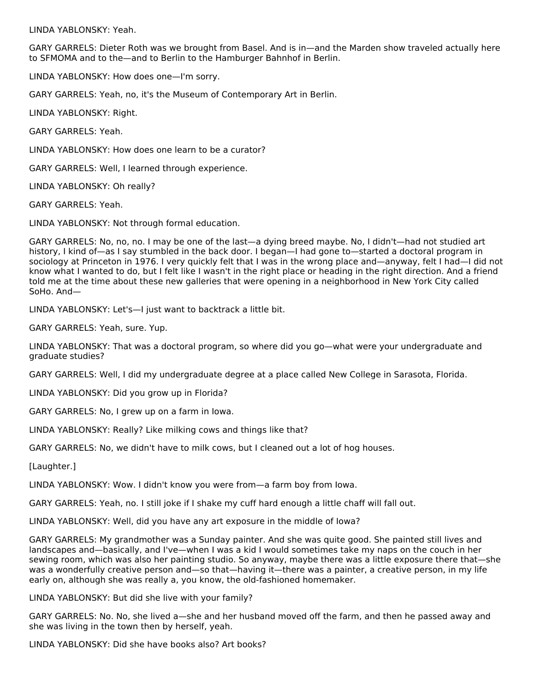LINDA YABLONSKY: Yeah.

GARY GARRELS: Dieter Roth was we brought from Basel. And is in—and the Marden show traveled actually here to SFMOMA and to the—and to Berlin to the Hamburger Bahnhof in Berlin.

LINDA YABLONSKY: How does one—I'm sorry.

GARY GARRELS: Yeah, no, it's the Museum of Contemporary Art in Berlin.

LINDA YABLONSKY: Right.

GARY GARRELS: Yeah.

LINDA YABLONSKY: How does one learn to be a curator?

GARY GARRELS: Well, I learned through experience.

LINDA YABLONSKY: Oh really?

GARY GARRELS: Yeah.

LINDA YABLONSKY: Not through formal education.

GARY GARRELS: No, no, no. I may be one of the last—a dying breed maybe. No, I didn't—had not studied art history, I kind of—as I say stumbled in the back door. I began—I had gone to—started a doctoral program in sociology at Princeton in 1976. I very quickly felt that I was in the wrong place and—anyway, felt I had—I did not know what I wanted to do, but I felt like I wasn't in the right place or heading in the right direction. And a friend told me at the time about these new galleries that were opening in a neighborhood in New York City called SoHo. And—

LINDA YABLONSKY: Let's—I just want to backtrack a little bit.

GARY GARRELS: Yeah, sure. Yup.

LINDA YABLONSKY: That was a doctoral program, so where did you go—what were your undergraduate and graduate studies?

GARY GARRELS: Well, I did my undergraduate degree at a place called New College in Sarasota, Florida.

LINDA YABLONSKY: Did you grow up in Florida?

GARY GARRELS: No, I grew up on a farm in Iowa.

LINDA YABLONSKY: Really? Like milking cows and things like that?

GARY GARRELS: No, we didn't have to milk cows, but I cleaned out a lot of hog houses.

[Laughter.]

LINDA YABLONSKY: Wow. I didn't know you were from—a farm boy from Iowa.

GARY GARRELS: Yeah, no. I still joke if I shake my cuff hard enough a little chaff will fall out.

LINDA YABLONSKY: Well, did you have any art exposure in the middle of Iowa?

GARY GARRELS: My grandmother was a Sunday painter. And she was quite good. She painted still lives and landscapes and—basically, and I've—when I was a kid I would sometimes take my naps on the couch in her sewing room, which was also her painting studio. So anyway, maybe there was a little exposure there that—she was a wonderfully creative person and—so that—having it—there was a painter, a creative person, in my life early on, although she was really a, you know, the old-fashioned homemaker.

LINDA YABLONSKY: But did she live with your family?

GARY GARRELS: No. No, she lived a—she and her husband moved off the farm, and then he passed away and she was living in the town then by herself, yeah.

LINDA YABLONSKY: Did she have books also? Art books?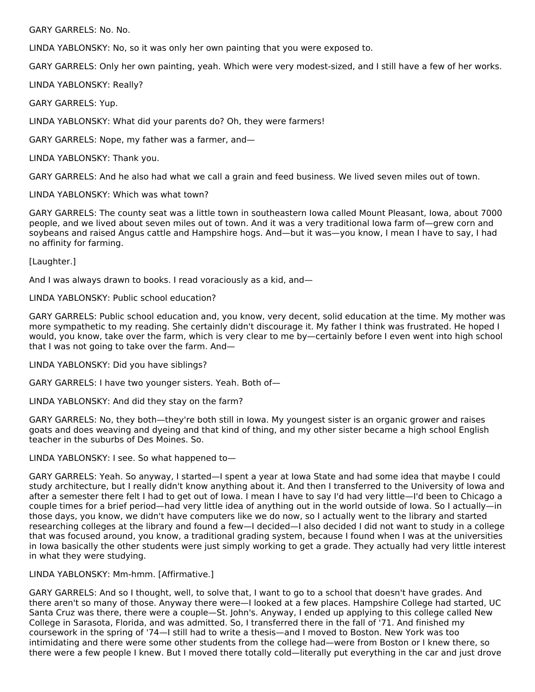GARY GARRELS: No. No.

LINDA YABLONSKY: No, so it was only her own painting that you were exposed to.

GARY GARRELS: Only her own painting, yeah. Which were very modest-sized, and I still have a few of her works.

LINDA YABLONSKY: Really?

GARY GARRELS: Yup.

LINDA YABLONSKY: What did your parents do? Oh, they were farmers!

GARY GARRELS: Nope, my father was a farmer, and—

LINDA YABLONSKY: Thank you.

GARY GARRELS: And he also had what we call a grain and feed business. We lived seven miles out of town.

LINDA YABLONSKY: Which was what town?

GARY GARRELS: The county seat was a little town in southeastern Iowa called Mount Pleasant, Iowa, about 7000 people, and we lived about seven miles out of town. And it was a very traditional Iowa farm of—grew corn and soybeans and raised Angus cattle and Hampshire hogs. And—but it was—you know, I mean I have to say, I had no affinity for farming.

[Laughter.]

And I was always drawn to books. I read voraciously as a kid, and—

#### LINDA YABLONSKY: Public school education?

GARY GARRELS: Public school education and, you know, very decent, solid education at the time. My mother was more sympathetic to my reading. She certainly didn't discourage it. My father I think was frustrated. He hoped I would, you know, take over the farm, which is very clear to me by—certainly before I even went into high school that I was not going to take over the farm. And—

LINDA YABLONSKY: Did you have siblings?

GARY GARRELS: I have two younger sisters. Yeah. Both of—

LINDA YABLONSKY: And did they stay on the farm?

GARY GARRELS: No, they both—they're both still in Iowa. My youngest sister is an organic grower and raises goats and does weaving and dyeing and that kind of thing, and my other sister became a high school English teacher in the suburbs of Des Moines. So.

LINDA YABLONSKY: I see. So what happened to—

GARY GARRELS: Yeah. So anyway, I started—I spent a year at Iowa State and had some idea that maybe I could study architecture, but I really didn't know anything about it. And then I transferred to the University of Iowa and after a semester there felt I had to get out of Iowa. I mean I have to say I'd had very little—I'd been to Chicago a couple times for a brief period—had very little idea of anything out in the world outside of Iowa. So I actually—in those days, you know, we didn't have computers like we do now, so I actually went to the library and started researching colleges at the library and found a few—I decided—I also decided I did not want to study in a college that was focused around, you know, a traditional grading system, because I found when I was at the universities in Iowa basically the other students were just simply working to get a grade. They actually had very little interest in what they were studying.

#### LINDA YABLONSKY: Mm-hmm. [Affirmative.]

GARY GARRELS: And so I thought, well, to solve that, I want to go to a school that doesn't have grades. And there aren't so many of those. Anyway there were—I looked at a few places. Hampshire College had started, UC Santa Cruz was there, there were a couple—St. John's. Anyway, I ended up applying to this college called New College in Sarasota, Florida, and was admitted. So, I transferred there in the fall of '71. And finished my coursework in the spring of '74—I still had to write a thesis—and I moved to Boston. New York was too intimidating and there were some other students from the college had—were from Boston or I knew there, so there were a few people I knew. But I moved there totally cold—literally put everything in the car and just drove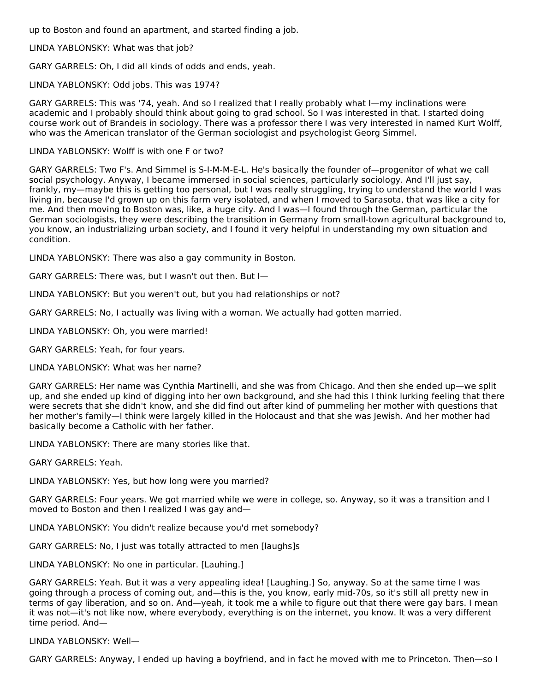up to Boston and found an apartment, and started finding a job.

LINDA YABLONSKY: What was that job?

GARY GARRELS: Oh, I did all kinds of odds and ends, yeah.

LINDA YABLONSKY: Odd jobs. This was 1974?

GARY GARRELS: This was '74, yeah. And so I realized that I really probably what I—my inclinations were academic and I probably should think about going to grad school. So I was interested in that. I started doing course work out of Brandeis in sociology. There was a professor there I was very interested in named Kurt Wolff, who was the American translator of the German sociologist and psychologist Georg Simmel.

LINDA YABLONSKY: Wolff is with one F or two?

GARY GARRELS: Two F's. And Simmel is S-I-M-M-E-L. He's basically the founder of—progenitor of what we call social psychology. Anyway, I became immersed in social sciences, particularly sociology. And I'll just say, frankly, my—maybe this is getting too personal, but I was really struggling, trying to understand the world I was living in, because I'd grown up on this farm very isolated, and when I moved to Sarasota, that was like a city for me. And then moving to Boston was, like, a huge city. And I was—I found through the German, particular the German sociologists, they were describing the transition in Germany from small-town agricultural background to, you know, an industrializing urban society, and I found it very helpful in understanding my own situation and condition.

LINDA YABLONSKY: There was also a gay community in Boston.

GARY GARRELS: There was, but I wasn't out then. But I—

LINDA YABLONSKY: But you weren't out, but you had relationships or not?

GARY GARRELS: No, I actually was living with a woman. We actually had gotten married.

LINDA YABLONSKY: Oh, you were married!

GARY GARRELS: Yeah, for four years.

LINDA YABLONSKY: What was her name?

GARY GARRELS: Her name was Cynthia Martinelli, and she was from Chicago. And then she ended up—we split up, and she ended up kind of digging into her own background, and she had this I think lurking feeling that there were secrets that she didn't know, and she did find out after kind of pummeling her mother with questions that her mother's family—I think were largely killed in the Holocaust and that she was Jewish. And her mother had basically become a Catholic with her father.

LINDA YABLONSKY: There are many stories like that.

GARY GARRELS: Yeah.

LINDA YABLONSKY: Yes, but how long were you married?

GARY GARRELS: Four years. We got married while we were in college, so. Anyway, so it was a transition and I moved to Boston and then I realized I was gay and—

LINDA YABLONSKY: You didn't realize because you'd met somebody?

GARY GARRELS: No, I just was totally attracted to men [laughs]s

LINDA YABLONSKY: No one in particular. [Lauhing.]

GARY GARRELS: Yeah. But it was a very appealing idea! [Laughing.] So, anyway. So at the same time I was going through a process of coming out, and—this is the, you know, early mid-70s, so it's still all pretty new in terms of gay liberation, and so on. And—yeah, it took me a while to figure out that there were gay bars. I mean it was not—it's not like now, where everybody, everything is on the internet, you know. It was a very different time period. And—

LINDA YABLONSKY: Well—

GARY GARRELS: Anyway, I ended up having a boyfriend, and in fact he moved with me to Princeton. Then—so I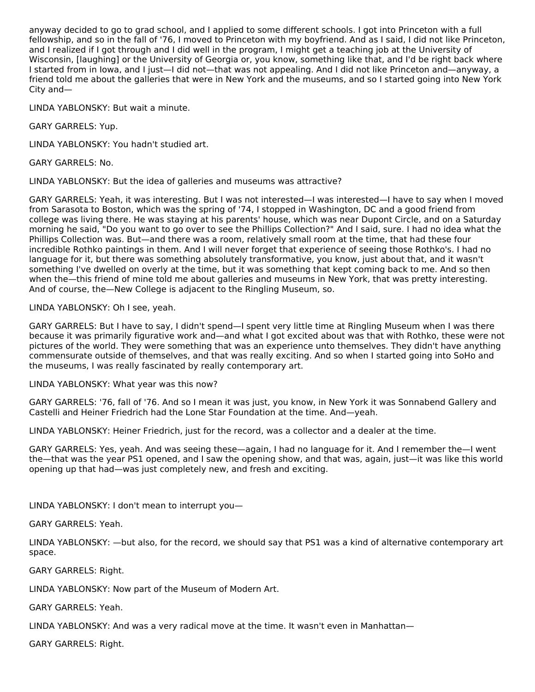anyway decided to go to grad school, and I applied to some different schools. I got into Princeton with a full fellowship, and so in the fall of '76, I moved to Princeton with my boyfriend. And as I said, I did not like Princeton, and I realized if I got through and I did well in the program, I might get a teaching job at the University of Wisconsin, [laughing] or the University of Georgia or, you know, something like that, and I'd be right back where I started from in Iowa, and I just—I did not—that was not appealing. And I did not like Princeton and—anyway, a friend told me about the galleries that were in New York and the museums, and so I started going into New York City and—

LINDA YABLONSKY: But wait a minute.

GARY GARRELS: Yup.

LINDA YABLONSKY: You hadn't studied art.

GARY GARRELS: No.

LINDA YABLONSKY: But the idea of galleries and museums was attractive?

GARY GARRELS: Yeah, it was interesting. But I was not interested—I was interested—I have to say when I moved from Sarasota to Boston, which was the spring of '74, I stopped in Washington, DC and a good friend from college was living there. He was staying at his parents' house, which was near Dupont Circle, and on a Saturday morning he said, "Do you want to go over to see the Phillips Collection?" And I said, sure. I had no idea what the Phillips Collection was. But—and there was a room, relatively small room at the time, that had these four incredible Rothko paintings in them. And I will never forget that experience of seeing those Rothko's. I had no language for it, but there was something absolutely transformative, you know, just about that, and it wasn't something I've dwelled on overly at the time, but it was something that kept coming back to me. And so then when the—this friend of mine told me about galleries and museums in New York, that was pretty interesting. And of course, the—New College is adjacent to the Ringling Museum, so.

LINDA YABLONSKY: Oh I see, yeah.

GARY GARRELS: But I have to say, I didn't spend—I spent very little time at Ringling Museum when I was there because it was primarily figurative work and—and what I got excited about was that with Rothko, these were not pictures of the world. They were something that was an experience unto themselves. They didn't have anything commensurate outside of themselves, and that was really exciting. And so when I started going into SoHo and the museums, I was really fascinated by really contemporary art.

LINDA YABLONSKY: What year was this now?

GARY GARRELS: '76, fall of '76. And so I mean it was just, you know, in New York it was Sonnabend Gallery and Castelli and Heiner Friedrich had the Lone Star Foundation at the time. And—yeah.

LINDA YABLONSKY: Heiner Friedrich, just for the record, was a collector and a dealer at the time.

GARY GARRELS: Yes, yeah. And was seeing these—again, I had no language for it. And I remember the—I went the—that was the year PS1 opened, and I saw the opening show, and that was, again, just—it was like this world opening up that had—was just completely new, and fresh and exciting.

LINDA YABLONSKY: I don't mean to interrupt you—

GARY GARRELS: Yeah.

LINDA YABLONSKY: —but also, for the record, we should say that PS1 was a kind of alternative contemporary art space.

GARY GARRELS: Right.

LINDA YABLONSKY: Now part of the Museum of Modern Art.

GARY GARRELS: Yeah.

LINDA YABLONSKY: And was a very radical move at the time. It wasn't even in Manhattan—

GARY GARRELS: Right.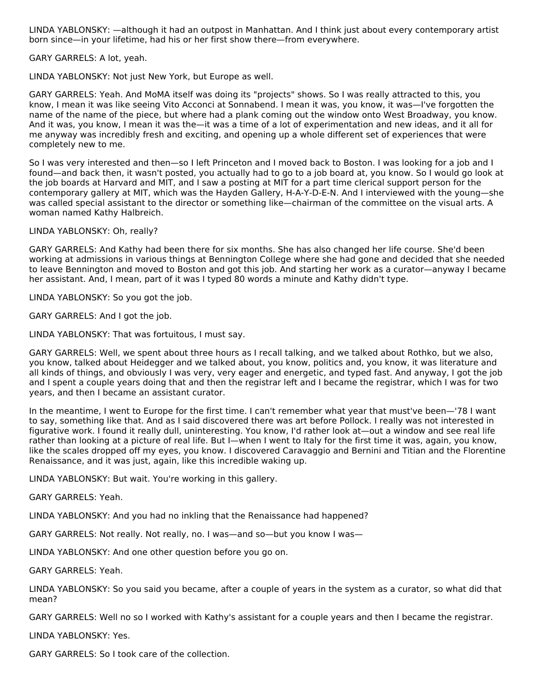LINDA YABLONSKY: —although it had an outpost in Manhattan. And I think just about every contemporary artist born since—in your lifetime, had his or her first show there—from everywhere.

GARY GARRELS: A lot, yeah.

LINDA YABLONSKY: Not just New York, but Europe as well.

GARY GARRELS: Yeah. And MoMA itself was doing its "projects" shows. So I was really attracted to this, you know, I mean it was like seeing Vito Acconci at Sonnabend. I mean it was, you know, it was—I've forgotten the name of the name of the piece, but where had a plank coming out the window onto West Broadway, you know. And it was, you know, I mean it was the—it was a time of a lot of experimentation and new ideas, and it all for me anyway was incredibly fresh and exciting, and opening up a whole different set of experiences that were completely new to me.

So I was very interested and then—so I left Princeton and I moved back to Boston. I was looking for a job and I found—and back then, it wasn't posted, you actually had to go to a job board at, you know. So I would go look at the job boards at Harvard and MIT, and I saw a posting at MIT for a part time clerical support person for the contemporary gallery at MIT, which was the Hayden Gallery, H-A-Y-D-E-N. And I interviewed with the young—she was called special assistant to the director or something like—chairman of the committee on the visual arts. A woman named Kathy Halbreich.

LINDA YABLONSKY: Oh, really?

GARY GARRELS: And Kathy had been there for six months. She has also changed her life course. She'd been working at admissions in various things at Bennington College where she had gone and decided that she needed to leave Bennington and moved to Boston and got this job. And starting her work as a curator—anyway I became her assistant. And, I mean, part of it was I typed 80 words a minute and Kathy didn't type.

LINDA YABLONSKY: So you got the job.

GARY GARRELS: And I got the job.

LINDA YABLONSKY: That was fortuitous, I must say.

GARY GARRELS: Well, we spent about three hours as I recall talking, and we talked about Rothko, but we also, you know, talked about Heidegger and we talked about, you know, politics and, you know, it was literature and all kinds of things, and obviously I was very, very eager and energetic, and typed fast. And anyway, I got the job and I spent a couple years doing that and then the registrar left and I became the registrar, which I was for two years, and then I became an assistant curator.

In the meantime, I went to Europe for the first time. I can't remember what year that must've been—'78 I want to say, something like that. And as I said discovered there was art before Pollock. I really was not interested in figurative work. I found it really dull, uninteresting. You know, I'd rather look at—out a window and see real life rather than looking at a picture of real life. But I—when I went to Italy for the first time it was, again, you know, like the scales dropped off my eyes, you know. I discovered Caravaggio and Bernini and Titian and the Florentine Renaissance, and it was just, again, like this incredible waking up.

LINDA YABLONSKY: But wait. You're working in this gallery.

GARY GARRELS: Yeah.

LINDA YABLONSKY: And you had no inkling that the Renaissance had happened?

GARY GARRELS: Not really. Not really, no. I was—and so—but you know I was—

LINDA YABLONSKY: And one other question before you go on.

GARY GARRELS: Yeah.

LINDA YABLONSKY: So you said you became, after a couple of years in the system as a curator, so what did that mean?

GARY GARRELS: Well no so I worked with Kathy's assistant for a couple years and then I became the registrar.

LINDA YABLONSKY: Yes.

GARY GARRELS: So I took care of the collection.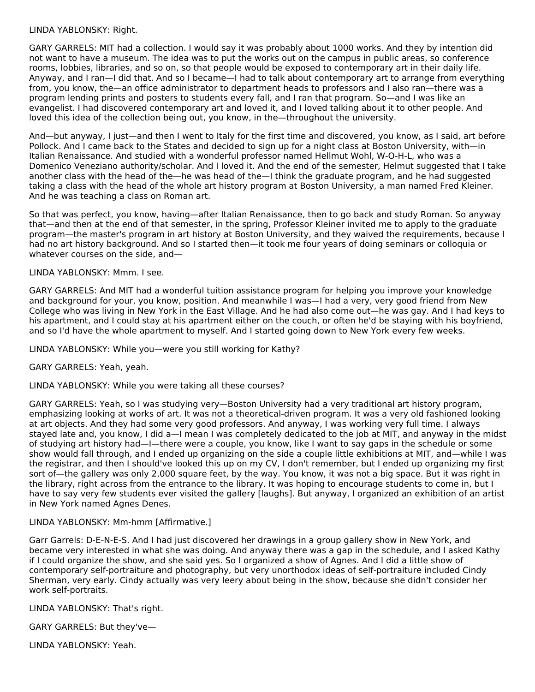#### LINDA YABLONSKY: Right.

GARY GARRELS: MIT had a collection. I would say it was probably about 1000 works. And they by intention did not want to have a museum. The idea was to put the works out on the campus in public areas, so conference rooms, lobbies, libraries, and so on, so that people would be exposed to contemporary art in their daily life. Anyway, and I ran—I did that. And so I became—I had to talk about contemporary art to arrange from everything from, you know, the—an office administrator to department heads to professors and I also ran—there was a program lending prints and posters to students every fall, and I ran that program. So—and I was like an evangelist. I had discovered contemporary art and loved it, and I loved talking about it to other people. And loved this idea of the collection being out, you know, in the—throughout the university.

And—but anyway, I just—and then I went to Italy for the first time and discovered, you know, as I said, art before Pollock. And I came back to the States and decided to sign up for a night class at Boston University, with—in Italian Renaissance. And studied with a wonderful professor named Hellmut Wohl, W-O-H-L, who was a Domenico Veneziano authority/scholar. And I loved it. And the end of the semester, Helmut suggested that I take another class with the head of the—he was head of the—I think the graduate program, and he had suggested taking a class with the head of the whole art history program at Boston University, a man named Fred Kleiner. And he was teaching a class on Roman art.

So that was perfect, you know, having—after Italian Renaissance, then to go back and study Roman. So anyway that—and then at the end of that semester, in the spring, Professor Kleiner invited me to apply to the graduate program—the master's program in art history at Boston University, and they waived the requirements, because I had no art history background. And so I started then—it took me four years of doing seminars or colloquia or whatever courses on the side, and—

#### LINDA YABLONSKY: Mmm. I see.

GARY GARRELS: And MIT had a wonderful tuition assistance program for helping you improve your knowledge and background for your, you know, position. And meanwhile I was—I had a very, very good friend from New College who was living in New York in the East Village. And he had also come out—he was gay. And I had keys to his apartment, and I could stay at his apartment either on the couch, or often he'd be staying with his boyfriend, and so I'd have the whole apartment to myself. And I started going down to New York every few weeks.

LINDA YABLONSKY: While you—were you still working for Kathy?

GARY GARRELS: Yeah, yeah.

LINDA YABLONSKY: While you were taking all these courses?

GARY GARRELS: Yeah, so I was studying very—Boston University had a very traditional art history program, emphasizing looking at works of art. It was not a theoretical-driven program. It was a very old fashioned looking at art objects. And they had some very good professors. And anyway, I was working very full time. I always stayed late and, you know, I did a—I mean I was completely dedicated to the job at MIT, and anyway in the midst of studying art history had—I—there were a couple, you know, like I want to say gaps in the schedule or some show would fall through, and I ended up organizing on the side a couple little exhibitions at MIT, and—while I was the registrar, and then I should've looked this up on my CV, I don't remember, but I ended up organizing my first sort of—the gallery was only 2,000 square feet, by the way. You know, it was not a big space. But it was right in the library, right across from the entrance to the library. It was hoping to encourage students to come in, but I have to say very few students ever visited the gallery [laughs]. But anyway, I organized an exhibition of an artist in New York named Agnes Denes.

#### LINDA YABLONSKY: Mm-hmm [Affirmative.]

Garr Garrels: D-E-N-E-S. And I had just discovered her drawings in a group gallery show in New York, and became very interested in what she was doing. And anyway there was a gap in the schedule, and I asked Kathy if I could organize the show, and she said yes. So I organized a show of Agnes. And I did a little show of contemporary self-portraiture and photography, but very unorthodox ideas of self-portraiture included Cindy Sherman, very early. Cindy actually was very leery about being in the show, because she didn't consider her work self-portraits.

LINDA YABLONSKY: That's right.

GARY GARRELS: But they've—

LINDA YABLONSKY: Yeah.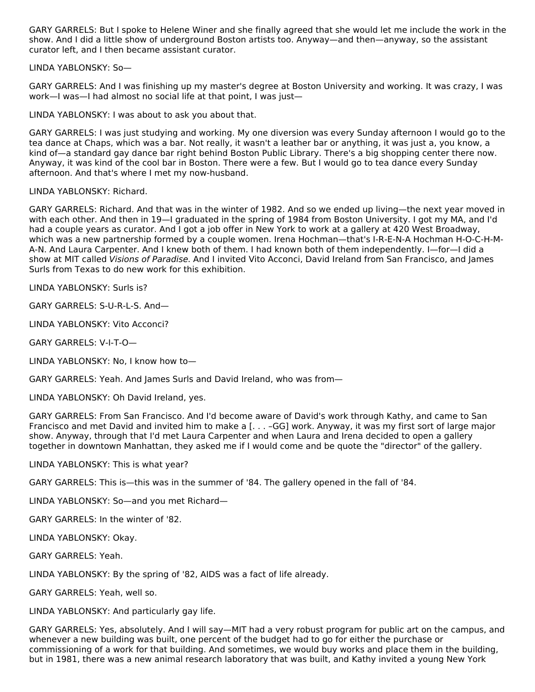GARY GARRELS: But I spoke to Helene Winer and she finally agreed that she would let me include the work in the show. And I did a little show of underground Boston artists too. Anyway—and then—anyway, so the assistant curator left, and I then became assistant curator.

LINDA YABLONSKY: So—

GARY GARRELS: And I was finishing up my master's degree at Boston University and working. It was crazy, I was work—I was—I had almost no social life at that point, I was just—

LINDA YABLONSKY: I was about to ask you about that.

GARY GARRELS: I was just studying and working. My one diversion was every Sunday afternoon I would go to the tea dance at Chaps, which was a bar. Not really, it wasn't a leather bar or anything, it was just a, you know, a kind of—a standard gay dance bar right behind Boston Public Library. There's a big shopping center there now. Anyway, it was kind of the cool bar in Boston. There were a few. But I would go to tea dance every Sunday afternoon. And that's where I met my now-husband.

LINDA YABLONSKY: Richard.

GARY GARRELS: Richard. And that was in the winter of 1982. And so we ended up living—the next year moved in with each other. And then in 19—I graduated in the spring of 1984 from Boston University. I got my MA, and I'd had a couple years as curator. And I got a job offer in New York to work at a gallery at 420 West Broadway, which was a new partnership formed by a couple women. Irena Hochman—that's I-R-E-N-A Hochman H-O-C-H-M-A-N. And Laura Carpenter. And I knew both of them. I had known both of them independently. I—for—I did a show at MIT called Visions of Paradise. And I invited Vito Acconci, David Ireland from San Francisco, and James Surls from Texas to do new work for this exhibition.

LINDA YABLONSKY: Surls is?

GARY GARRELS: S-U-R-L-S. And—

LINDA YABLONSKY: Vito Acconci?

GARY GARRELS: V-I-T-O—

LINDA YABLONSKY: No, I know how to—

GARY GARRELS: Yeah. And James Surls and David Ireland, who was from—

LINDA YABLONSKY: Oh David Ireland, yes.

GARY GARRELS: From San Francisco. And I'd become aware of David's work through Kathy, and came to San Francisco and met David and invited him to make a [. . . –GG] work. Anyway, it was my first sort of large major show. Anyway, through that I'd met Laura Carpenter and when Laura and Irena decided to open a gallery together in downtown Manhattan, they asked me if I would come and be quote the "director" of the gallery.

LINDA YABLONSKY: This is what year?

GARY GARRELS: This is—this was in the summer of '84. The gallery opened in the fall of '84.

LINDA YABLONSKY: So—and you met Richard—

GARY GARRELS: In the winter of '82.

LINDA YABLONSKY: Okay.

GARY GARRELS: Yeah.

LINDA YABLONSKY: By the spring of '82, AIDS was a fact of life already.

GARY GARRELS: Yeah, well so.

LINDA YABLONSKY: And particularly gay life.

GARY GARRELS: Yes, absolutely. And I will say—MIT had a very robust program for public art on the campus, and whenever a new building was built, one percent of the budget had to go for either the purchase or commissioning of a work for that building. And sometimes, we would buy works and place them in the building, but in 1981, there was a new animal research laboratory that was built, and Kathy invited a young New York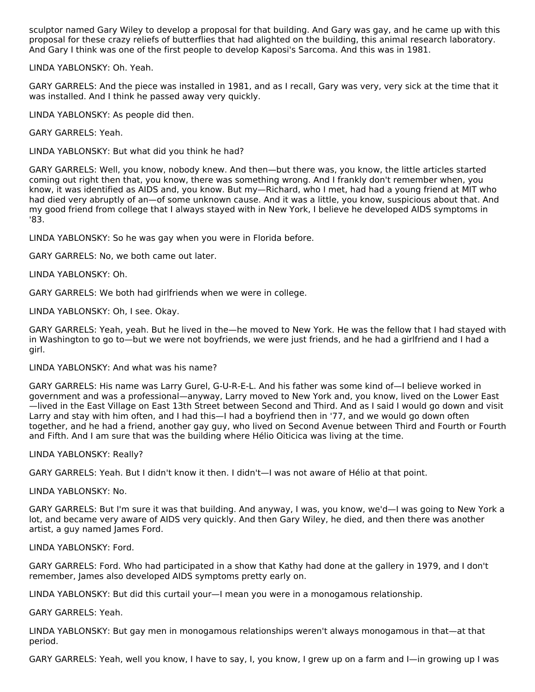sculptor named Gary Wiley to develop a proposal for that building. And Gary was gay, and he came up with this proposal for these crazy reliefs of butterflies that had alighted on the building, this animal research laboratory. And Gary I think was one of the first people to develop Kaposi's Sarcoma. And this was in 1981.

LINDA YABLONSKY: Oh. Yeah.

GARY GARRELS: And the piece was installed in 1981, and as I recall, Gary was very, very sick at the time that it was installed. And I think he passed away very quickly.

LINDA YABLONSKY: As people did then.

GARY GARRELS: Yeah.

LINDA YABLONSKY: But what did you think he had?

GARY GARRELS: Well, you know, nobody knew. And then—but there was, you know, the little articles started coming out right then that, you know, there was something wrong. And I frankly don't remember when, you know, it was identified as AIDS and, you know. But my—Richard, who I met, had had a young friend at MIT who had died very abruptly of an—of some unknown cause. And it was a little, you know, suspicious about that. And my good friend from college that I always stayed with in New York, I believe he developed AIDS symptoms in '83.

LINDA YABLONSKY: So he was gay when you were in Florida before.

GARY GARRELS: No, we both came out later.

LINDA YABLONSKY: Oh.

GARY GARRELS: We both had girlfriends when we were in college.

LINDA YABLONSKY: Oh, I see. Okay.

GARY GARRELS: Yeah, yeah. But he lived in the—he moved to New York. He was the fellow that I had stayed with in Washington to go to—but we were not boyfriends, we were just friends, and he had a girlfriend and I had a girl.

LINDA YABLONSKY: And what was his name?

GARY GARRELS: His name was Larry Gurel, G-U-R-E-L. And his father was some kind of—I believe worked in government and was a professional—anyway, Larry moved to New York and, you know, lived on the Lower East —lived in the East Village on East 13th Street between Second and Third. And as I said I would go down and visit Larry and stay with him often, and I had this—I had a boyfriend then in '77, and we would go down often together, and he had a friend, another gay guy, who lived on Second Avenue between Third and Fourth or Fourth and Fifth. And I am sure that was the building where Hélio Oiticica was living at the time.

LINDA YABLONSKY: Really?

GARY GARRELS: Yeah. But I didn't know it then. I didn't—I was not aware of Hélio at that point.

LINDA YABLONSKY: No.

GARY GARRELS: But I'm sure it was that building. And anyway, I was, you know, we'd—I was going to New York a lot, and became very aware of AIDS very quickly. And then Gary Wiley, he died, and then there was another artist, a guy named James Ford.

LINDA YABLONSKY: Ford.

GARY GARRELS: Ford. Who had participated in a show that Kathy had done at the gallery in 1979, and I don't remember, James also developed AIDS symptoms pretty early on.

LINDA YABLONSKY: But did this curtail your—I mean you were in a monogamous relationship.

GARY GARRELS: Yeah.

LINDA YABLONSKY: But gay men in monogamous relationships weren't always monogamous in that—at that period.

GARY GARRELS: Yeah, well you know, I have to say, I, you know, I grew up on a farm and I—in growing up I was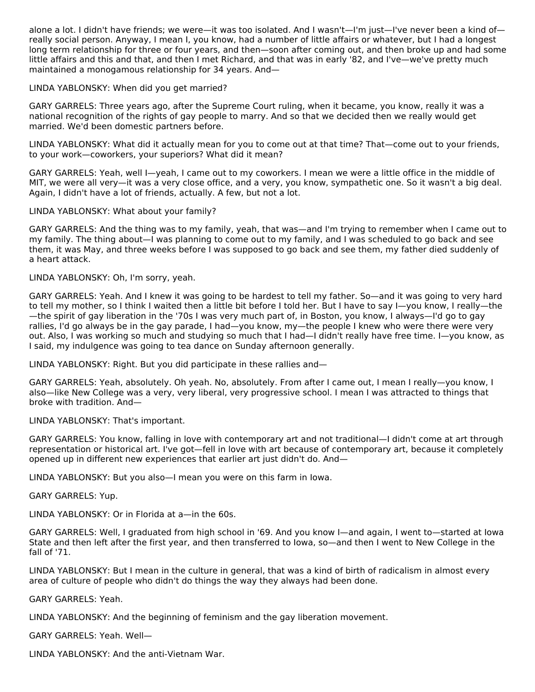alone a lot. I didn't have friends; we were—it was too isolated. And I wasn't—I'm just—I've never been a kind of really social person. Anyway, I mean I, you know, had a number of little affairs or whatever, but I had a longest long term relationship for three or four years, and then—soon after coming out, and then broke up and had some little affairs and this and that, and then I met Richard, and that was in early '82, and I've—we've pretty much maintained a monogamous relationship for 34 years. And—

LINDA YABLONSKY: When did you get married?

GARY GARRELS: Three years ago, after the Supreme Court ruling, when it became, you know, really it was a national recognition of the rights of gay people to marry. And so that we decided then we really would get married. We'd been domestic partners before.

LINDA YABLONSKY: What did it actually mean for you to come out at that time? That—come out to your friends, to your work—coworkers, your superiors? What did it mean?

GARY GARRELS: Yeah, well I—yeah, I came out to my coworkers. I mean we were a little office in the middle of MIT, we were all very—it was a very close office, and a very, you know, sympathetic one. So it wasn't a big deal. Again, I didn't have a lot of friends, actually. A few, but not a lot.

#### LINDA YABLONSKY: What about your family?

GARY GARRELS: And the thing was to my family, yeah, that was—and I'm trying to remember when I came out to my family. The thing about—I was planning to come out to my family, and I was scheduled to go back and see them, it was May, and three weeks before I was supposed to go back and see them, my father died suddenly of a heart attack.

LINDA YABLONSKY: Oh, I'm sorry, yeah.

GARY GARRELS: Yeah. And I knew it was going to be hardest to tell my father. So—and it was going to very hard to tell my mother, so I think I waited then a little bit before I told her. But I have to say I—you know, I really—the —the spirit of gay liberation in the '70s I was very much part of, in Boston, you know, I always—I'd go to gay rallies, I'd go always be in the gay parade, I had—you know, my—the people I knew who were there were very out. Also, I was working so much and studying so much that I had—I didn't really have free time. I—you know, as I said, my indulgence was going to tea dance on Sunday afternoon generally.

LINDA YABLONSKY: Right. But you did participate in these rallies and—

GARY GARRELS: Yeah, absolutely. Oh yeah. No, absolutely. From after I came out, I mean I really—you know, I also—like New College was a very, very liberal, very progressive school. I mean I was attracted to things that broke with tradition. And—

LINDA YABLONSKY: That's important.

GARY GARRELS: You know, falling in love with contemporary art and not traditional—I didn't come at art through representation or historical art. I've got—fell in love with art because of contemporary art, because it completely opened up in different new experiences that earlier art just didn't do. And—

LINDA YABLONSKY: But you also—I mean you were on this farm in Iowa.

GARY GARRELS: Yup.

LINDA YABLONSKY: Or in Florida at a—in the 60s.

GARY GARRELS: Well, I graduated from high school in '69. And you know I—and again, I went to—started at Iowa State and then left after the first year, and then transferred to Iowa, so—and then I went to New College in the fall of '71.

LINDA YABLONSKY: But I mean in the culture in general, that was a kind of birth of radicalism in almost every area of culture of people who didn't do things the way they always had been done.

GARY GARRELS: Yeah.

LINDA YABLONSKY: And the beginning of feminism and the gay liberation movement.

GARY GARRELS: Yeah. Well—

LINDA YABLONSKY: And the anti-Vietnam War.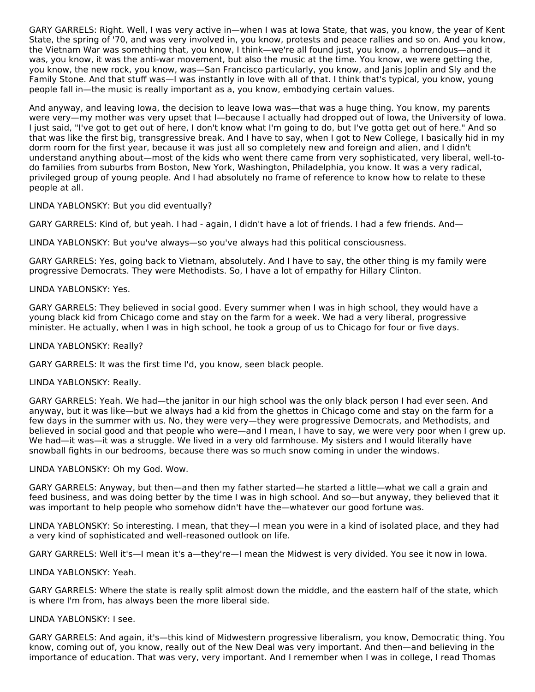GARY GARRELS: Right. Well, I was very active in—when I was at Iowa State, that was, you know, the year of Kent State, the spring of '70, and was very involved in, you know, protests and peace rallies and so on. And you know, the Vietnam War was something that, you know, I think—we're all found just, you know, a horrendous—and it was, you know, it was the anti-war movement, but also the music at the time. You know, we were getting the, you know, the new rock, you know, was—San Francisco particularly, you know, and Janis Joplin and Sly and the Family Stone. And that stuff was—I was instantly in love with all of that. I think that's typical, you know, young people fall in—the music is really important as a, you know, embodying certain values.

And anyway, and leaving Iowa, the decision to leave Iowa was—that was a huge thing. You know, my parents were very—my mother was very upset that I—because I actually had dropped out of Iowa, the University of Iowa. I just said, "I've got to get out of here, I don't know what I'm going to do, but I've gotta get out of here." And so that was like the first big, transgressive break. And I have to say, when I got to New College, I basically hid in my dorm room for the first year, because it was just all so completely new and foreign and alien, and I didn't understand anything about—most of the kids who went there came from very sophisticated, very liberal, well-todo families from suburbs from Boston, New York, Washington, Philadelphia, you know. It was a very radical, privileged group of young people. And I had absolutely no frame of reference to know how to relate to these people at all.

LINDA YABLONSKY: But you did eventually?

GARY GARRELS: Kind of, but yeah. I had - again, I didn't have a lot of friends. I had a few friends. And—

LINDA YABLONSKY: But you've always—so you've always had this political consciousness.

GARY GARRELS: Yes, going back to Vietnam, absolutely. And I have to say, the other thing is my family were progressive Democrats. They were Methodists. So, I have a lot of empathy for Hillary Clinton.

#### LINDA YABLONSKY: Yes.

GARY GARRELS: They believed in social good. Every summer when I was in high school, they would have a young black kid from Chicago come and stay on the farm for a week. We had a very liberal, progressive minister. He actually, when I was in high school, he took a group of us to Chicago for four or five days.

#### LINDA YABLONSKY: Really?

GARY GARRELS: It was the first time I'd, you know, seen black people.

#### LINDA YABLONSKY: Really.

GARY GARRELS: Yeah. We had—the janitor in our high school was the only black person I had ever seen. And anyway, but it was like—but we always had a kid from the ghettos in Chicago come and stay on the farm for a few days in the summer with us. No, they were very—they were progressive Democrats, and Methodists, and believed in social good and that people who were—and I mean, I have to say, we were very poor when I grew up. We had—it was—it was a struggle. We lived in a very old farmhouse. My sisters and I would literally have snowball fights in our bedrooms, because there was so much snow coming in under the windows.

#### LINDA YABLONSKY: Oh my God. Wow.

GARY GARRELS: Anyway, but then—and then my father started—he started a little—what we call a grain and feed business, and was doing better by the time I was in high school. And so—but anyway, they believed that it was important to help people who somehow didn't have the—whatever our good fortune was.

LINDA YABLONSKY: So interesting. I mean, that they—I mean you were in a kind of isolated place, and they had a very kind of sophisticated and well-reasoned outlook on life.

GARY GARRELS: Well it's—I mean it's a—they're—I mean the Midwest is very divided. You see it now in Iowa.

#### LINDA YABLONSKY: Yeah.

GARY GARRELS: Where the state is really split almost down the middle, and the eastern half of the state, which is where I'm from, has always been the more liberal side.

#### LINDA YABLONSKY: I see.

GARY GARRELS: And again, it's—this kind of Midwestern progressive liberalism, you know, Democratic thing. You know, coming out of, you know, really out of the New Deal was very important. And then—and believing in the importance of education. That was very, very important. And I remember when I was in college, I read Thomas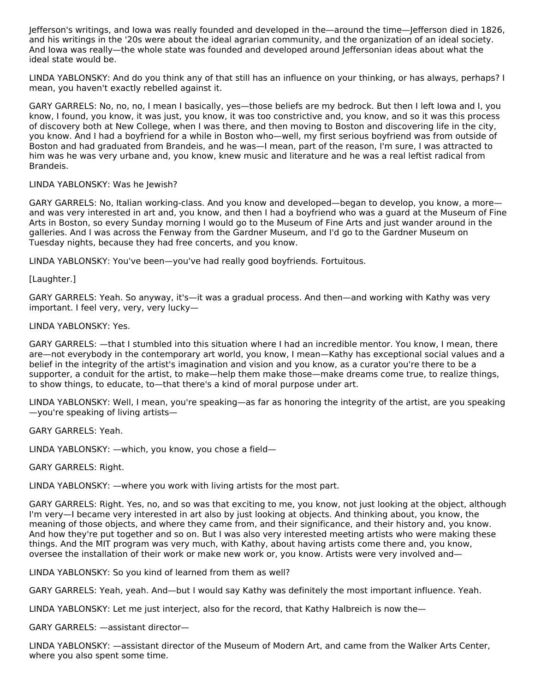Jefferson's writings, and Iowa was really founded and developed in the—around the time—Jefferson died in 1826, and his writings in the '20s were about the ideal agrarian community, and the organization of an ideal society. And Iowa was really—the whole state was founded and developed around Jeffersonian ideas about what the ideal state would be.

LINDA YABLONSKY: And do you think any of that still has an influence on your thinking, or has always, perhaps? I mean, you haven't exactly rebelled against it.

GARY GARRELS: No, no, no, I mean I basically, yes—those beliefs are my bedrock. But then I left Iowa and I, you know, I found, you know, it was just, you know, it was too constrictive and, you know, and so it was this process of discovery both at New College, when I was there, and then moving to Boston and discovering life in the city, you know. And I had a boyfriend for a while in Boston who—well, my first serious boyfriend was from outside of Boston and had graduated from Brandeis, and he was—I mean, part of the reason, I'm sure, I was attracted to him was he was very urbane and, you know, knew music and literature and he was a real leftist radical from Brandeis.

#### LINDA YABLONSKY: Was he Jewish?

GARY GARRELS: No, Italian working-class. And you know and developed—began to develop, you know, a more and was very interested in art and, you know, and then I had a boyfriend who was a guard at the Museum of Fine Arts in Boston, so every Sunday morning I would go to the Museum of Fine Arts and just wander around in the galleries. And I was across the Fenway from the Gardner Museum, and I'd go to the Gardner Museum on Tuesday nights, because they had free concerts, and you know.

LINDA YABLONSKY: You've been—you've had really good boyfriends. Fortuitous.

[Laughter.]

GARY GARRELS: Yeah. So anyway, it's—it was a gradual process. And then—and working with Kathy was very important. I feel very, very, very lucky—

#### LINDA YABLONSKY: Yes.

GARY GARRELS: —that I stumbled into this situation where I had an incredible mentor. You know, I mean, there are—not everybody in the contemporary art world, you know, I mean—Kathy has exceptional social values and a belief in the integrity of the artist's imagination and vision and you know, as a curator you're there to be a supporter, a conduit for the artist, to make—help them make those—make dreams come true, to realize things, to show things, to educate, to—that there's a kind of moral purpose under art.

LINDA YABLONSKY: Well, I mean, you're speaking—as far as honoring the integrity of the artist, are you speaking —you're speaking of living artists—

GARY GARRELS: Yeah.

LINDA YABLONSKY: —which, you know, you chose a field—

GARY GARRELS: Right.

LINDA YABLONSKY: —where you work with living artists for the most part.

GARY GARRELS: Right. Yes, no, and so was that exciting to me, you know, not just looking at the object, although I'm very—I became very interested in art also by just looking at objects. And thinking about, you know, the meaning of those objects, and where they came from, and their significance, and their history and, you know. And how they're put together and so on. But I was also very interested meeting artists who were making these things. And the MIT program was very much, with Kathy, about having artists come there and, you know, oversee the installation of their work or make new work or, you know. Artists were very involved and—

LINDA YABLONSKY: So you kind of learned from them as well?

GARY GARRELS: Yeah, yeah. And—but I would say Kathy was definitely the most important influence. Yeah.

LINDA YABLONSKY: Let me just interject, also for the record, that Kathy Halbreich is now the—

GARY GARRELS: —assistant director—

LINDA YABLONSKY: —assistant director of the Museum of Modern Art, and came from the Walker Arts Center, where you also spent some time.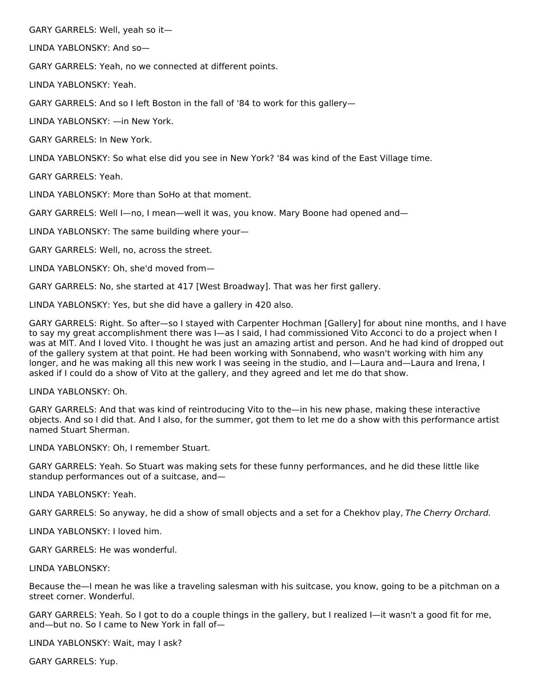GARY GARRELS: Well, yeah so it—

LINDA YABLONSKY: And so—

GARY GARRELS: Yeah, no we connected at different points.

LINDA YABLONSKY: Yeah.

GARY GARRELS: And so I left Boston in the fall of '84 to work for this gallery—

LINDA YABLONSKY: —in New York.

GARY GARRELS: In New York.

LINDA YABLONSKY: So what else did you see in New York? '84 was kind of the East Village time.

GARY GARRELS: Yeah.

LINDA YABLONSKY: More than SoHo at that moment.

GARY GARRELS: Well I—no, I mean—well it was, you know. Mary Boone had opened and—

LINDA YABLONSKY: The same building where your—

GARY GARRELS: Well, no, across the street.

LINDA YABLONSKY: Oh, she'd moved from—

GARY GARRELS: No, she started at 417 [West Broadway]. That was her first gallery.

LINDA YABLONSKY: Yes, but she did have a gallery in 420 also.

GARY GARRELS: Right. So after—so I stayed with Carpenter Hochman [Gallery] for about nine months, and I have to say my great accomplishment there was I—as I said, I had commissioned Vito Acconci to do a project when I was at MIT. And I loved Vito. I thought he was just an amazing artist and person. And he had kind of dropped out of the gallery system at that point. He had been working with Sonnabend, who wasn't working with him any longer, and he was making all this new work I was seeing in the studio, and I—Laura and—Laura and Irena, I asked if I could do a show of Vito at the gallery, and they agreed and let me do that show.

#### LINDA YABLONSKY: Oh.

GARY GARRELS: And that was kind of reintroducing Vito to the—in his new phase, making these interactive objects. And so I did that. And I also, for the summer, got them to let me do a show with this performance artist named Stuart Sherman.

LINDA YABLONSKY: Oh, I remember Stuart.

GARY GARRELS: Yeah. So Stuart was making sets for these funny performances, and he did these little like standup performances out of a suitcase, and—

LINDA YABLONSKY: Yeah.

GARY GARRELS: So anyway, he did a show of small objects and a set for a Chekhov play, The Cherry Orchard.

LINDA YABLONSKY: I loved him.

GARY GARRELS: He was wonderful.

LINDA YABLONSKY:

Because the—I mean he was like a traveling salesman with his suitcase, you know, going to be a pitchman on a street corner. Wonderful.

GARY GARRELS: Yeah. So I got to do a couple things in the gallery, but I realized I—it wasn't a good fit for me, and—but no. So I came to New York in fall of—

LINDA YABLONSKY: Wait, may I ask?

GARY GARRELS: Yup.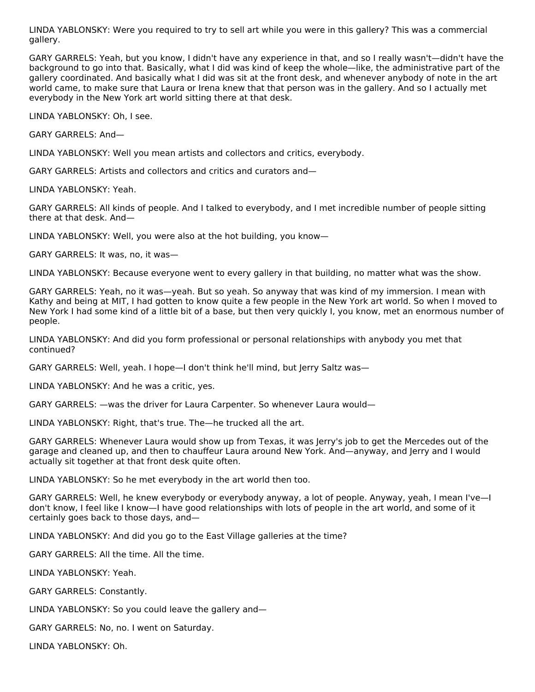LINDA YABLONSKY: Were you required to try to sell art while you were in this gallery? This was a commercial gallery.

GARY GARRELS: Yeah, but you know, I didn't have any experience in that, and so I really wasn't—didn't have the background to go into that. Basically, what I did was kind of keep the whole—like, the administrative part of the gallery coordinated. And basically what I did was sit at the front desk, and whenever anybody of note in the art world came, to make sure that Laura or Irena knew that that person was in the gallery. And so I actually met everybody in the New York art world sitting there at that desk.

LINDA YABLONSKY: Oh, I see.

GARY GARRELS: And—

LINDA YABLONSKY: Well you mean artists and collectors and critics, everybody.

GARY GARRELS: Artists and collectors and critics and curators and—

LINDA YABLONSKY: Yeah.

GARY GARRELS: All kinds of people. And I talked to everybody, and I met incredible number of people sitting there at that desk. And—

LINDA YABLONSKY: Well, you were also at the hot building, you know—

GARY GARRELS: It was, no, it was—

LINDA YABLONSKY: Because everyone went to every gallery in that building, no matter what was the show.

GARY GARRELS: Yeah, no it was—yeah. But so yeah. So anyway that was kind of my immersion. I mean with Kathy and being at MIT, I had gotten to know quite a few people in the New York art world. So when I moved to New York I had some kind of a little bit of a base, but then very quickly I, you know, met an enormous number of people.

LINDA YABLONSKY: And did you form professional or personal relationships with anybody you met that continued?

GARY GARRELS: Well, yeah. I hope—I don't think he'll mind, but Jerry Saltz was—

LINDA YABLONSKY: And he was a critic, yes.

GARY GARRELS: —was the driver for Laura Carpenter. So whenever Laura would—

LINDA YABLONSKY: Right, that's true. The—he trucked all the art.

GARY GARRELS: Whenever Laura would show up from Texas, it was Jerry's job to get the Mercedes out of the garage and cleaned up, and then to chauffeur Laura around New York. And—anyway, and Jerry and I would actually sit together at that front desk quite often.

LINDA YABLONSKY: So he met everybody in the art world then too.

GARY GARRELS: Well, he knew everybody or everybody anyway, a lot of people. Anyway, yeah, I mean I've—I don't know, I feel like I know—I have good relationships with lots of people in the art world, and some of it certainly goes back to those days, and—

LINDA YABLONSKY: And did you go to the East Village galleries at the time?

GARY GARRELS: All the time. All the time.

LINDA YABLONSKY: Yeah.

GARY GARRELS: Constantly.

LINDA YABLONSKY: So you could leave the gallery and—

GARY GARRELS: No, no. I went on Saturday.

LINDA YABLONSKY: Oh.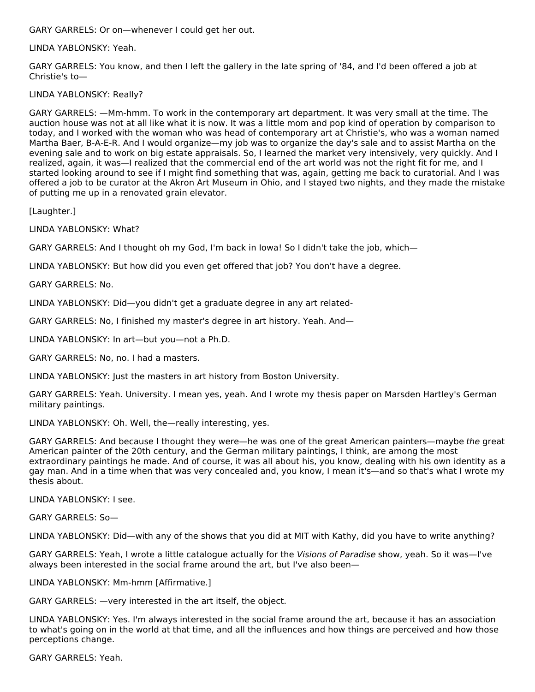GARY GARRELS: Or on—whenever I could get her out.

LINDA YABLONSKY: Yeah.

GARY GARRELS: You know, and then I left the gallery in the late spring of '84, and I'd been offered a job at Christie's to—

LINDA YABLONSKY: Really?

GARY GARRELS: —Mm-hmm. To work in the contemporary art department. It was very small at the time. The auction house was not at all like what it is now. It was a little mom and pop kind of operation by comparison to today, and I worked with the woman who was head of contemporary art at Christie's, who was a woman named Martha Baer, B-A-E-R. And I would organize—my job was to organize the day's sale and to assist Martha on the evening sale and to work on big estate appraisals. So, I learned the market very intensively, very quickly. And I realized, again, it was—I realized that the commercial end of the art world was not the right fit for me, and I started looking around to see if I might find something that was, again, getting me back to curatorial. And I was offered a job to be curator at the Akron Art Museum in Ohio, and I stayed two nights, and they made the mistake of putting me up in a renovated grain elevator.

[Laughter.]

LINDA YABLONSKY: What?

GARY GARRELS: And I thought oh my God, I'm back in Iowa! So I didn't take the job, which—

LINDA YABLONSKY: But how did you even get offered that job? You don't have a degree.

GARY GARRELS: No.

LINDA YABLONSKY: Did—you didn't get a graduate degree in any art related-

GARY GARRELS: No, I finished my master's degree in art history. Yeah. And—

LINDA YABLONSKY: In art—but you—not a Ph.D.

GARY GARRELS: No, no. I had a masters.

LINDA YABLONSKY: Just the masters in art history from Boston University.

GARY GARRELS: Yeah. University. I mean yes, yeah. And I wrote my thesis paper on Marsden Hartley's German military paintings.

LINDA YABLONSKY: Oh. Well, the—really interesting, yes.

GARY GARRELS: And because I thought they were—he was one of the great American painters—maybe the great American painter of the 20th century, and the German military paintings, I think, are among the most extraordinary paintings he made. And of course, it was all about his, you know, dealing with his own identity as a gay man. And in a time when that was very concealed and, you know, I mean it's—and so that's what I wrote my thesis about.

LINDA YABLONSKY: I see.

GARY GARRELS: So—

LINDA YABLONSKY: Did—with any of the shows that you did at MIT with Kathy, did you have to write anything?

GARY GARRELS: Yeah, I wrote a little catalogue actually for the Visions of Paradise show, yeah. So it was—I've always been interested in the social frame around the art, but I've also been—

LINDA YABLONSKY: Mm-hmm [Affirmative.]

GARY GARRELS: —very interested in the art itself, the object.

LINDA YABLONSKY: Yes. I'm always interested in the social frame around the art, because it has an association to what's going on in the world at that time, and all the influences and how things are perceived and how those perceptions change.

GARY GARRELS: Yeah.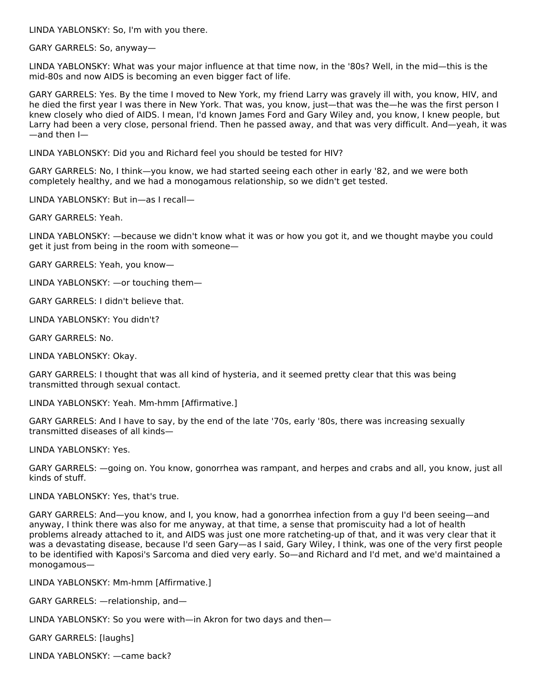LINDA YABLONSKY: So, I'm with you there.

GARY GARRELS: So, anyway—

LINDA YABLONSKY: What was your major influence at that time now, in the '80s? Well, in the mid—this is the mid-80s and now AIDS is becoming an even bigger fact of life.

GARY GARRELS: Yes. By the time I moved to New York, my friend Larry was gravely ill with, you know, HIV, and he died the first year I was there in New York. That was, you know, just—that was the—he was the first person I knew closely who died of AIDS. I mean, I'd known James Ford and Gary Wiley and, you know, I knew people, but Larry had been a very close, personal friend. Then he passed away, and that was very difficult. And—yeah, it was —and then I—

LINDA YABLONSKY: Did you and Richard feel you should be tested for HIV?

GARY GARRELS: No, I think—you know, we had started seeing each other in early '82, and we were both completely healthy, and we had a monogamous relationship, so we didn't get tested.

LINDA YABLONSKY: But in—as I recall—

GARY GARRELS: Yeah.

LINDA YABLONSKY: —because we didn't know what it was or how you got it, and we thought maybe you could get it just from being in the room with someone—

GARY GARRELS: Yeah, you know—

LINDA YABLONSKY: —or touching them—

GARY GARRELS: I didn't believe that.

LINDA YABLONSKY: You didn't?

GARY GARRELS: No.

LINDA YABLONSKY: Okay.

GARY GARRELS: I thought that was all kind of hysteria, and it seemed pretty clear that this was being transmitted through sexual contact.

LINDA YABLONSKY: Yeah. Mm-hmm [Affirmative.]

GARY GARRELS: And I have to say, by the end of the late '70s, early '80s, there was increasing sexually transmitted diseases of all kinds—

LINDA YABLONSKY: Yes.

GARY GARRELS: —going on. You know, gonorrhea was rampant, and herpes and crabs and all, you know, just all kinds of stuff.

LINDA YABLONSKY: Yes, that's true.

GARY GARRELS: And—you know, and I, you know, had a gonorrhea infection from a guy I'd been seeing—and anyway, I think there was also for me anyway, at that time, a sense that promiscuity had a lot of health problems already attached to it, and AIDS was just one more ratcheting-up of that, and it was very clear that it was a devastating disease, because I'd seen Gary—as I said, Gary Wiley, I think, was one of the very first people to be identified with Kaposi's Sarcoma and died very early. So—and Richard and I'd met, and we'd maintained a monogamous—

LINDA YABLONSKY: Mm-hmm [Affirmative.]

GARY GARRELS: —relationship, and—

LINDA YABLONSKY: So you were with—in Akron for two days and then—

GARY GARRELS: [laughs]

LINDA YABLONSKY: —came back?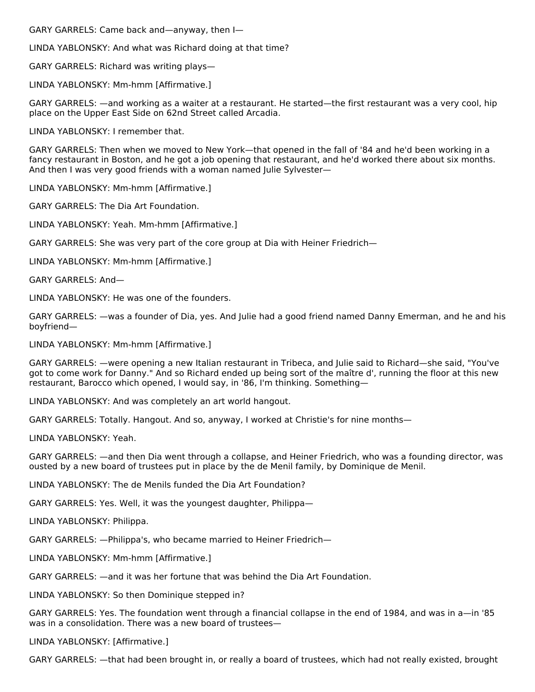GARY GARRELS: Came back and—anyway, then I—

LINDA YABLONSKY: And what was Richard doing at that time?

GARY GARRELS: Richard was writing plays—

LINDA YABLONSKY: Mm-hmm [Affirmative.]

GARY GARRELS: —and working as a waiter at a restaurant. He started—the first restaurant was a very cool, hip place on the Upper East Side on 62nd Street called Arcadia.

LINDA YABLONSKY: I remember that.

GARY GARRELS: Then when we moved to New York—that opened in the fall of '84 and he'd been working in a fancy restaurant in Boston, and he got a job opening that restaurant, and he'd worked there about six months. And then I was very good friends with a woman named Julie Sylvester—

LINDA YABLONSKY: Mm-hmm [Affirmative.]

GARY GARRELS: The Dia Art Foundation.

LINDA YABLONSKY: Yeah. Mm-hmm [Affirmative.]

GARY GARRELS: She was very part of the core group at Dia with Heiner Friedrich—

LINDA YABLONSKY: Mm-hmm [Affirmative.]

GARY GARRELS: And—

LINDA YABLONSKY: He was one of the founders.

GARY GARRELS: —was a founder of Dia, yes. And Julie had a good friend named Danny Emerman, and he and his boyfriend—

LINDA YABLONSKY: Mm-hmm [Affirmative.]

GARY GARRELS: —were opening a new Italian restaurant in Tribeca, and Julie said to Richard—she said, "You've got to come work for Danny." And so Richard ended up being sort of the maître d', running the floor at this new restaurant, Barocco which opened, I would say, in '86, I'm thinking. Something—

LINDA YABLONSKY: And was completely an art world hangout.

GARY GARRELS: Totally. Hangout. And so, anyway, I worked at Christie's for nine months—

LINDA YABLONSKY: Yeah.

GARY GARRELS: —and then Dia went through a collapse, and Heiner Friedrich, who was a founding director, was ousted by a new board of trustees put in place by the de Menil family, by Dominique de Menil.

LINDA YABLONSKY: The de Menils funded the Dia Art Foundation?

GARY GARRELS: Yes. Well, it was the youngest daughter, Philippa—

LINDA YABLONSKY: Philippa.

GARY GARRELS: —Philippa's, who became married to Heiner Friedrich—

LINDA YABLONSKY: Mm-hmm [Affirmative.]

GARY GARRELS: —and it was her fortune that was behind the Dia Art Foundation.

LINDA YABLONSKY: So then Dominique stepped in?

GARY GARRELS: Yes. The foundation went through a financial collapse in the end of 1984, and was in a—in '85 was in a consolidation. There was a new board of trustees—

LINDA YABLONSKY: [Affirmative.]

GARY GARRELS: —that had been brought in, or really a board of trustees, which had not really existed, brought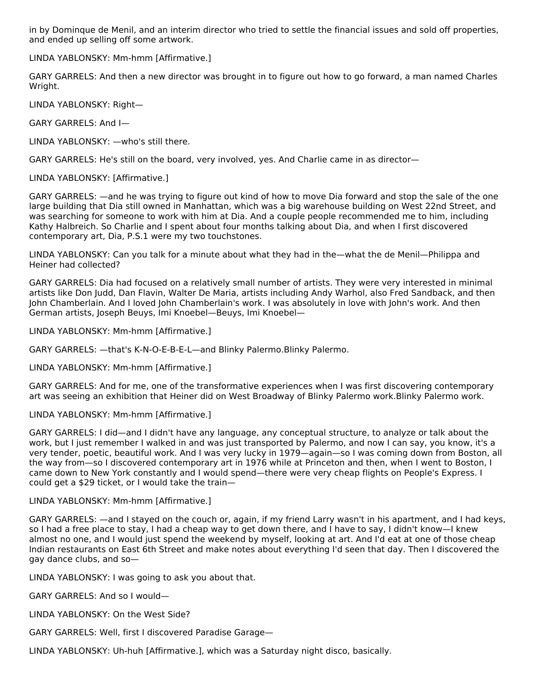in by Dominque de Menil, and an interim director who tried to settle the financial issues and sold off properties, and ended up selling off some artwork.

LINDA YABLONSKY: Mm-hmm [Affirmative.]

GARY GARRELS: And then a new director was brought in to figure out how to go forward, a man named Charles Wright.

LINDA YABLONSKY: Right—

GARY GARRELS: And I—

LINDA YABLONSKY: —who's still there.

GARY GARRELS: He's still on the board, very involved, yes. And Charlie came in as director—

LINDA YABLONSKY: [Affirmative.]

GARY GARRELS: —and he was trying to figure out kind of how to move Dia forward and stop the sale of the one large building that Dia still owned in Manhattan, which was a big warehouse building on West 22nd Street, and was searching for someone to work with him at Dia. And a couple people recommended me to him, including Kathy Halbreich. So Charlie and I spent about four months talking about Dia, and when I first discovered contemporary art, Dia, P.S.1 were my two touchstones.

LINDA YABLONSKY: Can you talk for a minute about what they had in the—what the de Menil—Philippa and Heiner had collected?

GARY GARRELS: Dia had focused on a relatively small number of artists. They were very interested in minimal artists like Don Judd, Dan Flavin, Walter De Maria, artists including Andy Warhol, also Fred Sandback, and then John Chamberlain. And I loved John Chamberlain's work. I was absolutely in love with John's work. And then German artists, Joseph Beuys, Imi Knoebel—Beuys, Imi Knoebel—

LINDA YABLONSKY: Mm-hmm [Affirmative.]

GARY GARRELS: —that's K-N-O-E-B-E-L—and Blinky Palermo.Blinky Palermo.

LINDA YABLONSKY: Mm-hmm [Affirmative.]

GARY GARRELS: And for me, one of the transformative experiences when I was first discovering contemporary art was seeing an exhibition that Heiner did on West Broadway of Blinky Palermo work.Blinky Palermo work.

LINDA YABLONSKY: Mm-hmm [Affirmative.]

GARY GARRELS: I did—and I didn't have any language, any conceptual structure, to analyze or talk about the work, but I just remember I walked in and was just transported by Palermo, and now I can say, you know, it's a very tender, poetic, beautiful work. And I was very lucky in 1979—again—so I was coming down from Boston, all the way from—so I discovered contemporary art in 1976 while at Princeton and then, when I went to Boston, I came down to New York constantly and I would spend—there were very cheap flights on People's Express. I could get a \$29 ticket, or I would take the train—

LINDA YABLONSKY: Mm-hmm [Affirmative.]

GARY GARRELS: —and I stayed on the couch or, again, if my friend Larry wasn't in his apartment, and I had keys, so I had a free place to stay, I had a cheap way to get down there, and I have to say, I didn't know—I knew almost no one, and I would just spend the weekend by myself, looking at art. And I'd eat at one of those cheap Indian restaurants on East 6th Street and make notes about everything I'd seen that day. Then I discovered the gay dance clubs, and so—

LINDA YABLONSKY: I was going to ask you about that.

GARY GARRELS: And so I would—

LINDA YABLONSKY: On the West Side?

GARY GARRELS: Well, first I discovered Paradise Garage—

LINDA YABLONSKY: Uh-huh [Affirmative.], which was a Saturday night disco, basically.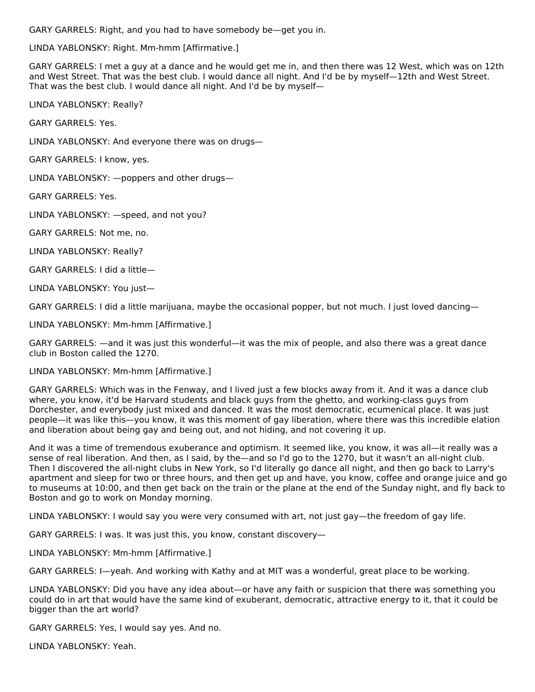GARY GARRELS: Right, and you had to have somebody be—get you in.

LINDA YABLONSKY: Right. Mm-hmm [Affirmative.]

GARY GARRELS: I met a guy at a dance and he would get me in, and then there was 12 West, which was on 12th and West Street. That was the best club. I would dance all night. And I'd be by myself—12th and West Street. That was the best club. I would dance all night. And I'd be by myself—

LINDA YABLONSKY: Really?

GARY GARRELS: Yes.

LINDA YABLONSKY: And everyone there was on drugs—

GARY GARRELS: I know, yes.

LINDA YABLONSKY: —poppers and other drugs—

GARY GARRELS: Yes.

LINDA YABLONSKY: —speed, and not you?

GARY GARRELS: Not me, no.

LINDA YABLONSKY: Really?

GARY GARRELS: I did a little—

LINDA YABLONSKY: You just—

GARY GARRELS: I did a little marijuana, maybe the occasional popper, but not much. I just loved dancing—

LINDA YABLONSKY: Mm-hmm [Affirmative.]

GARY GARRELS: —and it was just this wonderful—it was the mix of people, and also there was a great dance club in Boston called the 1270.

#### LINDA YABLONSKY: Mm-hmm [Affirmative.]

GARY GARRELS: Which was in the Fenway, and I lived just a few blocks away from it. And it was a dance club where, you know, it'd be Harvard students and black guys from the ghetto, and working-class guys from Dorchester, and everybody just mixed and danced. It was the most democratic, ecumenical place. It was just people—it was like this—you know, it was this moment of gay liberation, where there was this incredible elation and liberation about being gay and being out, and not hiding, and not covering it up.

And it was a time of tremendous exuberance and optimism. It seemed like, you know, it was all—it really was a sense of real liberation. And then, as I said, by the—and so I'd go to the 1270, but it wasn't an all-night club. Then I discovered the all-night clubs in New York, so I'd literally go dance all night, and then go back to Larry's apartment and sleep for two or three hours, and then get up and have, you know, coffee and orange juice and go to museums at 10:00, and then get back on the train or the plane at the end of the Sunday night, and fly back to Boston and go to work on Monday morning.

LINDA YABLONSKY: I would say you were very consumed with art, not just gay—the freedom of gay life.

GARY GARRELS: I was. It was just this, you know, constant discovery—

LINDA YABLONSKY: Mm-hmm [Affirmative.]

GARY GARRELS: I—yeah. And working with Kathy and at MIT was a wonderful, great place to be working.

LINDA YABLONSKY: Did you have any idea about—or have any faith or suspicion that there was something you could do in art that would have the same kind of exuberant, democratic, attractive energy to it, that it could be bigger than the art world?

GARY GARRELS: Yes, I would say yes. And no.

LINDA YABLONSKY: Yeah.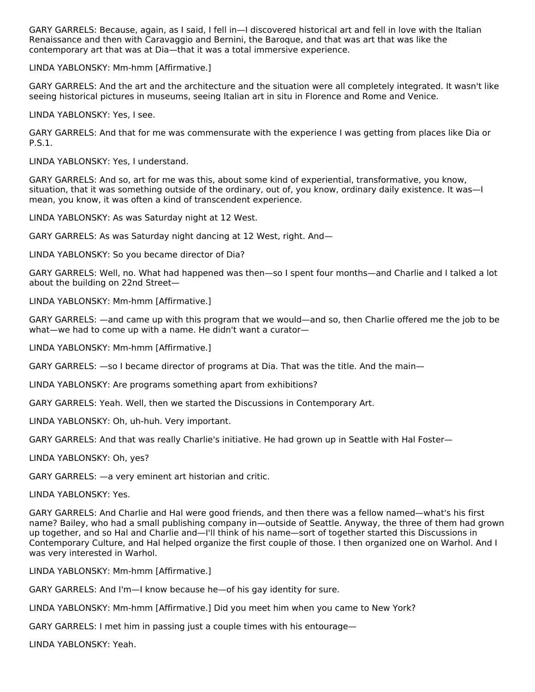GARY GARRELS: Because, again, as I said, I fell in—I discovered historical art and fell in love with the Italian Renaissance and then with Caravaggio and Bernini, the Baroque, and that was art that was like the contemporary art that was at Dia—that it was a total immersive experience.

LINDA YABLONSKY: Mm-hmm [Affirmative.]

GARY GARRELS: And the art and the architecture and the situation were all completely integrated. It wasn't like seeing historical pictures in museums, seeing Italian art in situ in Florence and Rome and Venice.

LINDA YABLONSKY: Yes, I see.

GARY GARRELS: And that for me was commensurate with the experience I was getting from places like Dia or P.S.1.

LINDA YABLONSKY: Yes, I understand.

GARY GARRELS: And so, art for me was this, about some kind of experiential, transformative, you know, situation, that it was something outside of the ordinary, out of, you know, ordinary daily existence. It was—I mean, you know, it was often a kind of transcendent experience.

LINDA YABLONSKY: As was Saturday night at 12 West.

GARY GARRELS: As was Saturday night dancing at 12 West, right. And—

LINDA YABLONSKY: So you became director of Dia?

GARY GARRELS: Well, no. What had happened was then—so I spent four months—and Charlie and I talked a lot about the building on 22nd Street—

LINDA YABLONSKY: Mm-hmm [Affirmative.]

GARY GARRELS: —and came up with this program that we would—and so, then Charlie offered me the job to be what—we had to come up with a name. He didn't want a curator—

LINDA YABLONSKY: Mm-hmm [Affirmative.]

GARY GARRELS: —so I became director of programs at Dia. That was the title. And the main—

LINDA YABLONSKY: Are programs something apart from exhibitions?

GARY GARRELS: Yeah. Well, then we started the Discussions in Contemporary Art.

LINDA YABLONSKY: Oh, uh-huh. Very important.

GARY GARRELS: And that was really Charlie's initiative. He had grown up in Seattle with Hal Foster—

LINDA YABLONSKY: Oh, yes?

GARY GARRELS: —a very eminent art historian and critic.

LINDA YABLONSKY: Yes.

GARY GARRELS: And Charlie and Hal were good friends, and then there was a fellow named—what's his first name? Bailey, who had a small publishing company in—outside of Seattle. Anyway, the three of them had grown up together, and so Hal and Charlie and—I'll think of his name—sort of together started this Discussions in Contemporary Culture, and Hal helped organize the first couple of those. I then organized one on Warhol. And I was very interested in Warhol.

LINDA YABLONSKY: Mm-hmm [Affirmative.]

GARY GARRELS: And I'm—I know because he—of his gay identity for sure.

LINDA YABLONSKY: Mm-hmm [Affirmative.] Did you meet him when you came to New York?

GARY GARRELS: I met him in passing just a couple times with his entourage—

LINDA YABLONSKY: Yeah.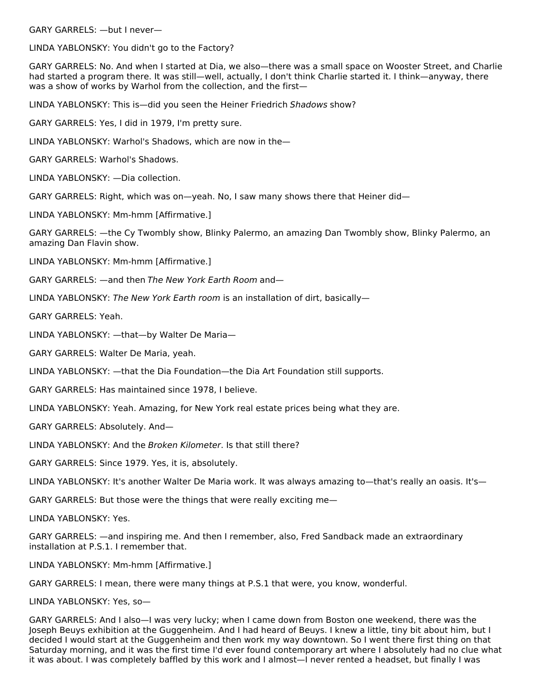GARY GARRELS: —but I never—

LINDA YABLONSKY: You didn't go to the Factory?

GARY GARRELS: No. And when I started at Dia, we also—there was a small space on Wooster Street, and Charlie had started a program there. It was still—well, actually, I don't think Charlie started it. I think—anyway, there was a show of works by Warhol from the collection, and the first—

LINDA YABLONSKY: This is-did you seen the Heiner Friedrich Shadows show?

GARY GARRELS: Yes, I did in 1979, I'm pretty sure.

LINDA YABLONSKY: Warhol's Shadows, which are now in the—

GARY GARRELS: Warhol's Shadows.

LINDA YABLONSKY: —Dia collection.

GARY GARRELS: Right, which was on—yeah. No, I saw many shows there that Heiner did—

LINDA YABLONSKY: Mm-hmm [Affirmative.]

GARY GARRELS: —the Cy Twombly show, Blinky Palermo, an amazing Dan Twombly show, Blinky Palermo, an amazing Dan Flavin show.

LINDA YABLONSKY: Mm-hmm [Affirmative.]

GARY GARRELS: —and then The New York Earth Room and—

LINDA YABLONSKY: The New York Earth room is an installation of dirt, basically-

GARY GARRELS: Yeah.

LINDA YABLONSKY: —that—by Walter De Maria—

GARY GARRELS: Walter De Maria, yeah.

LINDA YABLONSKY: —that the Dia Foundation—the Dia Art Foundation still supports.

GARY GARRELS: Has maintained since 1978, I believe.

LINDA YABLONSKY: Yeah. Amazing, for New York real estate prices being what they are.

GARY GARRELS: Absolutely. And—

LINDA YABLONSKY: And the Broken Kilometer. Is that still there?

GARY GARRELS: Since 1979. Yes, it is, absolutely.

LINDA YABLONSKY: It's another Walter De Maria work. It was always amazing to—that's really an oasis. It's—

GARY GARRELS: But those were the things that were really exciting me—

LINDA YABLONSKY: Yes.

GARY GARRELS: —and inspiring me. And then I remember, also, Fred Sandback made an extraordinary installation at P.S.1. I remember that.

LINDA YABLONSKY: Mm-hmm [Affirmative.]

GARY GARRELS: I mean, there were many things at P.S.1 that were, you know, wonderful.

LINDA YABLONSKY: Yes, so—

GARY GARRELS: And I also—I was very lucky; when I came down from Boston one weekend, there was the Joseph Beuys exhibition at the Guggenheim. And I had heard of Beuys. I knew a little, tiny bit about him, but I decided I would start at the Guggenheim and then work my way downtown. So I went there first thing on that Saturday morning, and it was the first time I'd ever found contemporary art where I absolutely had no clue what it was about. I was completely baffled by this work and I almost—I never rented a headset, but finally I was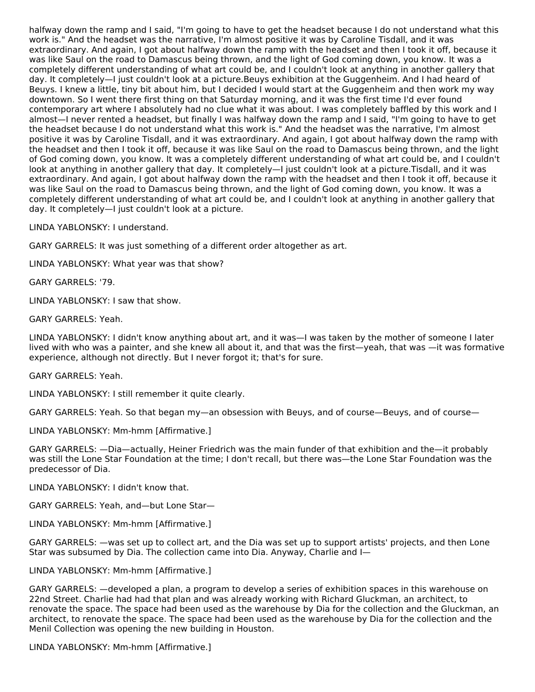halfway down the ramp and I said, "I'm going to have to get the headset because I do not understand what this work is." And the headset was the narrative, I'm almost positive it was by Caroline Tisdall, and it was extraordinary. And again, I got about halfway down the ramp with the headset and then I took it off, because it was like Saul on the road to Damascus being thrown, and the light of God coming down, you know. It was a completely different understanding of what art could be, and I couldn't look at anything in another gallery that day. It completely—I just couldn't look at a picture.Beuys exhibition at the Guggenheim. And I had heard of Beuys. I knew a little, tiny bit about him, but I decided I would start at the Guggenheim and then work my way downtown. So I went there first thing on that Saturday morning, and it was the first time I'd ever found contemporary art where I absolutely had no clue what it was about. I was completely baffled by this work and I almost—I never rented a headset, but finally I was halfway down the ramp and I said, "I'm going to have to get the headset because I do not understand what this work is." And the headset was the narrative, I'm almost positive it was by Caroline Tisdall, and it was extraordinary. And again, I got about halfway down the ramp with the headset and then I took it off, because it was like Saul on the road to Damascus being thrown, and the light of God coming down, you know. It was a completely different understanding of what art could be, and I couldn't look at anything in another gallery that day. It completely—I just couldn't look at a picture.Tisdall, and it was extraordinary. And again, I got about halfway down the ramp with the headset and then I took it off, because it was like Saul on the road to Damascus being thrown, and the light of God coming down, you know. It was a completely different understanding of what art could be, and I couldn't look at anything in another gallery that day. It completely—I just couldn't look at a picture.

LINDA YABLONSKY: I understand.

GARY GARRELS: It was just something of a different order altogether as art.

LINDA YABLONSKY: What year was that show?

GARY GARRELS: '79.

LINDA YABLONSKY: I saw that show.

GARY GARRELS: Yeah.

LINDA YABLONSKY: I didn't know anything about art, and it was—I was taken by the mother of someone I later lived with who was a painter, and she knew all about it, and that was the first—yeah, that was —it was formative experience, although not directly. But I never forgot it; that's for sure.

GARY GARRELS: Yeah.

LINDA YABLONSKY: I still remember it quite clearly.

GARY GARRELS: Yeah. So that began my—an obsession with Beuys, and of course—Beuys, and of course—

LINDA YABLONSKY: Mm-hmm [Affirmative.]

GARY GARRELS: —Dia—actually, Heiner Friedrich was the main funder of that exhibition and the—it probably was still the Lone Star Foundation at the time; I don't recall, but there was—the Lone Star Foundation was the predecessor of Dia.

LINDA YABLONSKY: I didn't know that.

GARY GARRELS: Yeah, and—but Lone Star—

LINDA YABLONSKY: Mm-hmm [Affirmative.]

GARY GARRELS: —was set up to collect art, and the Dia was set up to support artists' projects, and then Lone Star was subsumed by Dia. The collection came into Dia. Anyway, Charlie and I—

LINDA YABLONSKY: Mm-hmm [Affirmative.]

GARY GARRELS: —developed a plan, a program to develop a series of exhibition spaces in this warehouse on 22nd Street. Charlie had had that plan and was already working with Richard Gluckman, an architect, to renovate the space. The space had been used as the warehouse by Dia for the collection and the Gluckman, an architect, to renovate the space. The space had been used as the warehouse by Dia for the collection and the Menil Collection was opening the new building in Houston.

LINDA YABLONSKY: Mm-hmm [Affirmative.]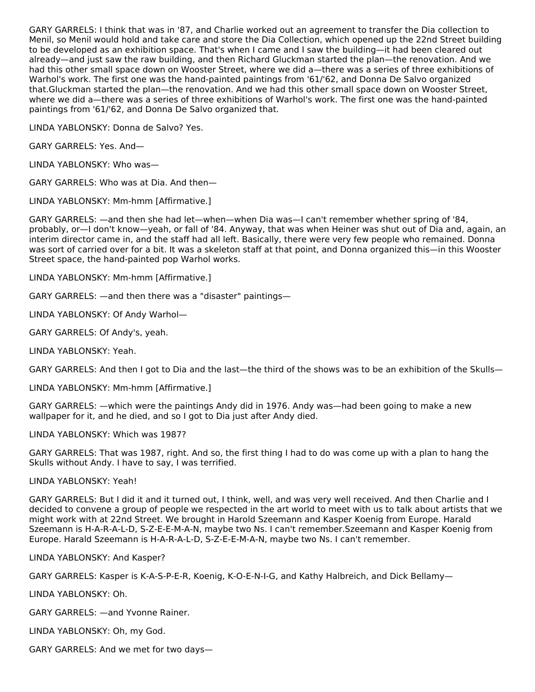GARY GARRELS: I think that was in '87, and Charlie worked out an agreement to transfer the Dia collection to Menil, so Menil would hold and take care and store the Dia Collection, which opened up the 22nd Street building to be developed as an exhibition space. That's when I came and I saw the building—it had been cleared out already—and just saw the raw building, and then Richard Gluckman started the plan—the renovation. And we had this other small space down on Wooster Street, where we did a—there was a series of three exhibitions of Warhol's work. The first one was the hand-painted paintings from '61/'62, and Donna De Salvo organized that.Gluckman started the plan—the renovation. And we had this other small space down on Wooster Street, where we did a—there was a series of three exhibitions of Warhol's work. The first one was the hand-painted paintings from '61/'62, and Donna De Salvo organized that.

LINDA YABLONSKY: Donna de Salvo? Yes.

GARY GARRELS: Yes. And—

LINDA YABLONSKY: Who was—

GARY GARRELS: Who was at Dia. And then—

LINDA YABLONSKY: Mm-hmm [Affirmative.]

GARY GARRELS: —and then she had let—when—when Dia was—I can't remember whether spring of '84, probably, or—I don't know—yeah, or fall of '84. Anyway, that was when Heiner was shut out of Dia and, again, an interim director came in, and the staff had all left. Basically, there were very few people who remained. Donna was sort of carried over for a bit. It was a skeleton staff at that point, and Donna organized this—in this Wooster Street space, the hand-painted pop Warhol works.

LINDA YABLONSKY: Mm-hmm [Affirmative.]

GARY GARRELS: —and then there was a "disaster" paintings—

LINDA YABLONSKY: Of Andy Warhol—

GARY GARRELS: Of Andy's, yeah.

LINDA YABLONSKY: Yeah.

GARY GARRELS: And then I got to Dia and the last—the third of the shows was to be an exhibition of the Skulls—

LINDA YABLONSKY: Mm-hmm [Affirmative.]

GARY GARRELS: —which were the paintings Andy did in 1976. Andy was—had been going to make a new wallpaper for it, and he died, and so I got to Dia just after Andy died.

LINDA YABLONSKY: Which was 1987?

GARY GARRELS: That was 1987, right. And so, the first thing I had to do was come up with a plan to hang the Skulls without Andy. I have to say, I was terrified.

LINDA YABLONSKY: Yeah!

GARY GARRELS: But I did it and it turned out, I think, well, and was very well received. And then Charlie and I decided to convene a group of people we respected in the art world to meet with us to talk about artists that we might work with at 22nd Street. We brought in Harold Szeemann and Kasper Koenig from Europe. Harald Szeemann is H-A-R-A-L-D, S-Z-E-E-M-A-N, maybe two Ns. I can't remember.Szeemann and Kasper Koenig from Europe. Harald Szeemann is H-A-R-A-L-D, S-Z-E-E-M-A-N, maybe two Ns. I can't remember.

LINDA YABLONSKY: And Kasper?

GARY GARRELS: Kasper is K-A-S-P-E-R, Koenig, K-O-E-N-I-G, and Kathy Halbreich, and Dick Bellamy—

LINDA YABLONSKY: Oh.

GARY GARRELS: —and Yvonne Rainer.

LINDA YABLONSKY: Oh, my God.

GARY GARRELS: And we met for two days—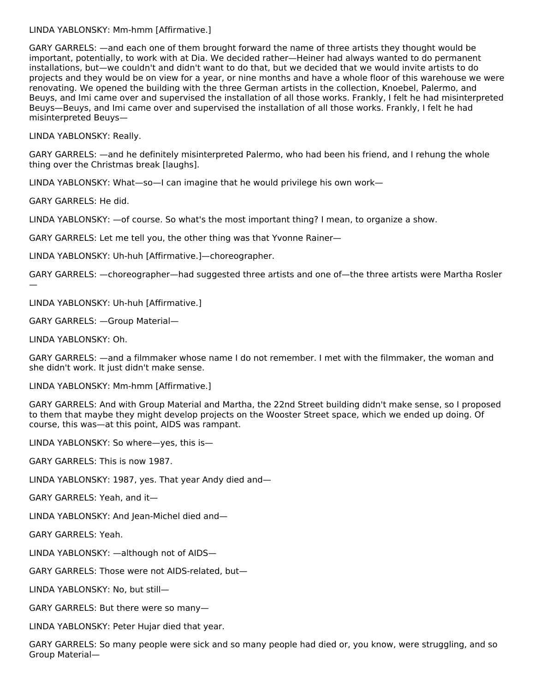#### LINDA YABLONSKY: Mm-hmm [Affirmative.]

GARY GARRELS: —and each one of them brought forward the name of three artists they thought would be important, potentially, to work with at Dia. We decided rather—Heiner had always wanted to do permanent installations, but—we couldn't and didn't want to do that, but we decided that we would invite artists to do projects and they would be on view for a year, or nine months and have a whole floor of this warehouse we were renovating. We opened the building with the three German artists in the collection, Knoebel, Palermo, and Beuys, and Imi came over and supervised the installation of all those works. Frankly, I felt he had misinterpreted Beuys—Beuys, and Imi came over and supervised the installation of all those works. Frankly, I felt he had misinterpreted Beuys—

LINDA YABLONSKY: Really.

GARY GARRELS: —and he definitely misinterpreted Palermo, who had been his friend, and I rehung the whole thing over the Christmas break [laughs].

LINDA YABLONSKY: What—so—I can imagine that he would privilege his own work—

GARY GARRELS: He did.

LINDA YABLONSKY: —of course. So what's the most important thing? I mean, to organize a show.

GARY GARRELS: Let me tell you, the other thing was that Yvonne Rainer—

LINDA YABLONSKY: Uh-huh [Affirmative.]—choreographer.

GARY GARRELS: —choreographer—had suggested three artists and one of—the three artists were Martha Rosler

LINDA YABLONSKY: Uh-huh [Affirmative.]

GARY GARRELS: —Group Material—

LINDA YABLONSKY: Oh.

—

GARY GARRELS: —and a filmmaker whose name I do not remember. I met with the filmmaker, the woman and she didn't work. It just didn't make sense.

LINDA YABLONSKY: Mm-hmm [Affirmative.]

GARY GARRELS: And with Group Material and Martha, the 22nd Street building didn't make sense, so I proposed to them that maybe they might develop projects on the Wooster Street space, which we ended up doing. Of course, this was—at this point, AIDS was rampant.

LINDA YABLONSKY: So where—yes, this is—

GARY GARRELS: This is now 1987.

LINDA YABLONSKY: 1987, yes. That year Andy died and—

GARY GARRELS: Yeah, and it—

LINDA YABLONSKY: And Jean-Michel died and—

GARY GARRELS: Yeah.

LINDA YABLONSKY: —although not of AIDS—

GARY GARRELS: Those were not AIDS-related, but—

LINDA YABLONSKY: No, but still—

GARY GARRELS: But there were so many—

LINDA YABLONSKY: Peter Hujar died that year.

GARY GARRELS: So many people were sick and so many people had died or, you know, were struggling, and so Group Material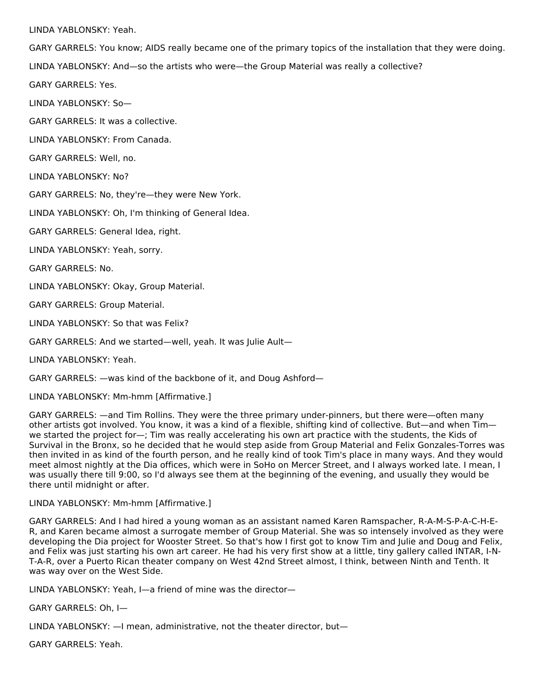LINDA YABLONSKY: Yeah.

GARY GARRELS: You know; AIDS really became one of the primary topics of the installation that they were doing.

LINDA YABLONSKY: And—so the artists who were—the Group Material was really a collective?

GARY GARRELS: Yes.

LINDA YABLONSKY: So—

GARY GARRELS: It was a collective.

LINDA YABLONSKY: From Canada.

GARY GARRELS: Well, no.

LINDA YABLONSKY: No?

GARY GARRELS: No, they're—they were New York.

LINDA YABLONSKY: Oh, I'm thinking of General Idea.

GARY GARRELS: General Idea, right.

LINDA YABLONSKY: Yeah, sorry.

GARY GARRELS: No.

LINDA YABLONSKY: Okay, Group Material.

GARY GARRELS: Group Material.

LINDA YABLONSKY: So that was Felix?

GARY GARRELS: And we started—well, yeah. It was Julie Ault—

LINDA YABLONSKY: Yeah.

GARY GARRELS: —was kind of the backbone of it, and Doug Ashford—

LINDA YABLONSKY: Mm-hmm [Affirmative.]

GARY GARRELS: —and Tim Rollins. They were the three primary under-pinners, but there were—often many other artists got involved. You know, it was a kind of a flexible, shifting kind of collective. But—and when Tim we started the project for—; Tim was really accelerating his own art practice with the students, the Kids of Survival in the Bronx, so he decided that he would step aside from Group Material and Felix Gonzales-Torres was then invited in as kind of the fourth person, and he really kind of took Tim's place in many ways. And they would meet almost nightly at the Dia offices, which were in SoHo on Mercer Street, and I always worked late. I mean, I was usually there till 9:00, so I'd always see them at the beginning of the evening, and usually they would be there until midnight or after.

#### LINDA YABLONSKY: Mm-hmm [Affirmative.]

GARY GARRELS: And I had hired a young woman as an assistant named Karen Ramspacher, R-A-M-S-P-A-C-H-E-R, and Karen became almost a surrogate member of Group Material. She was so intensely involved as they were developing the Dia project for Wooster Street. So that's how I first got to know Tim and Julie and Doug and Felix, and Felix was just starting his own art career. He had his very first show at a little, tiny gallery called INTAR, I-N-T-A-R, over a Puerto Rican theater company on West 42nd Street almost, I think, between Ninth and Tenth. It was way over on the West Side.

LINDA YABLONSKY: Yeah, I—a friend of mine was the director—

GARY GARRELS: Oh, I—

LINDA YABLONSKY: —I mean, administrative, not the theater director, but—

GARY GARRELS: Yeah.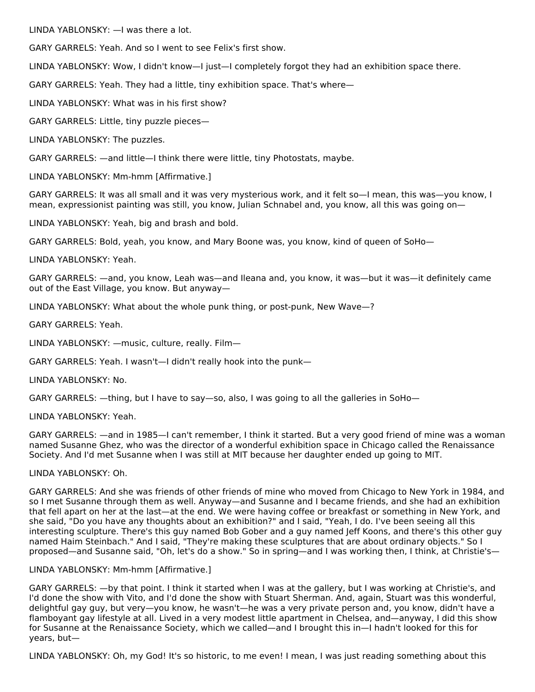LINDA YABLONSKY: —I was there a lot.

GARY GARRELS: Yeah. And so I went to see Felix's first show.

LINDA YABLONSKY: Wow, I didn't know—I just—I completely forgot they had an exhibition space there.

GARY GARRELS: Yeah. They had a little, tiny exhibition space. That's where—

LINDA YABLONSKY: What was in his first show?

GARY GARRELS: Little, tiny puzzle pieces—

LINDA YABLONSKY: The puzzles.

GARY GARRELS: —and little—I think there were little, tiny Photostats, maybe.

LINDA YABLONSKY: Mm-hmm [Affirmative.]

GARY GARRELS: It was all small and it was very mysterious work, and it felt so—I mean, this was—you know, I mean, expressionist painting was still, you know, Julian Schnabel and, you know, all this was going on—

LINDA YABLONSKY: Yeah, big and brash and bold.

GARY GARRELS: Bold, yeah, you know, and Mary Boone was, you know, kind of queen of SoHo—

LINDA YABLONSKY: Yeah.

GARY GARRELS: —and, you know, Leah was—and Ileana and, you know, it was—but it was—it definitely came out of the East Village, you know. But anyway—

LINDA YABLONSKY: What about the whole punk thing, or post-punk, New Wave—?

GARY GARRELS: Yeah.

LINDA YABLONSKY: —music, culture, really. Film—

GARY GARRELS: Yeah. I wasn't—I didn't really hook into the punk—

LINDA YABLONSKY: No.

GARY GARRELS: —thing, but I have to say—so, also, I was going to all the galleries in SoHo—

LINDA YABLONSKY: Yeah.

GARY GARRELS: —and in 1985—I can't remember, I think it started. But a very good friend of mine was a woman named Susanne Ghez, who was the director of a wonderful exhibition space in Chicago called the Renaissance Society. And I'd met Susanne when I was still at MIT because her daughter ended up going to MIT.

#### LINDA YABLONSKY: Oh.

GARY GARRELS: And she was friends of other friends of mine who moved from Chicago to New York in 1984, and so I met Susanne through them as well. Anyway—and Susanne and I became friends, and she had an exhibition that fell apart on her at the last—at the end. We were having coffee or breakfast or something in New York, and she said, "Do you have any thoughts about an exhibition?" and I said, "Yeah, I do. I've been seeing all this interesting sculpture. There's this guy named Bob Gober and a guy named Jeff Koons, and there's this other guy named Haim Steinbach." And I said, "They're making these sculptures that are about ordinary objects." So I proposed—and Susanne said, "Oh, let's do a show." So in spring—and I was working then, I think, at Christie's—

#### LINDA YABLONSKY: Mm-hmm [Affirmative.]

GARY GARRELS: —by that point. I think it started when I was at the gallery, but I was working at Christie's, and I'd done the show with Vito, and I'd done the show with Stuart Sherman. And, again, Stuart was this wonderful, delightful gay guy, but very—you know, he wasn't—he was a very private person and, you know, didn't have a flamboyant gay lifestyle at all. Lived in a very modest little apartment in Chelsea, and—anyway, I did this show for Susanne at the Renaissance Society, which we called—and I brought this in—I hadn't looked for this for years, but—

LINDA YABLONSKY: Oh, my God! It's so historic, to me even! I mean, I was just reading something about this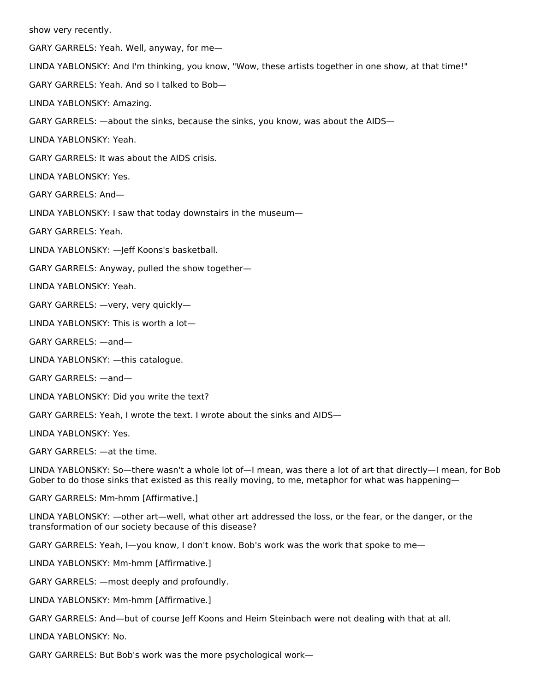show very recently. GARY GARRELS: Yeah. Well, anyway, for me— LINDA YABLONSKY: And I'm thinking, you know, "Wow, these artists together in one show, at that time!" GARY GARRELS: Yeah. And so I talked to Bob— LINDA YABLONSKY: Amazing. GARY GARRELS: —about the sinks, because the sinks, you know, was about the AIDS— LINDA YABLONSKY: Yeah. GARY GARRELS: It was about the AIDS crisis. LINDA YABLONSKY: Yes. GARY GARRELS: And— LINDA YABLONSKY: I saw that today downstairs in the museum— GARY GARRELS: Yeah. LINDA YABLONSKY: —Jeff Koons's basketball. GARY GARRELS: Anyway, pulled the show together— LINDA YABLONSKY: Yeah. GARY GARRELS: —very, very quickly— LINDA YABLONSKY: This is worth a lot— GARY GARRELS: —and— LINDA YABLONSKY: —this catalogue. GARY GARRELS: —and— LINDA YABLONSKY: Did you write the text? GARY GARRELS: Yeah, I wrote the text. I wrote about the sinks and AIDS— LINDA YABLONSKY: Yes. GARY GARRELS: —at the time. LINDA YABLONSKY: So—there wasn't a whole lot of—I mean, was there a lot of art that directly—I mean, for Bob Gober to do those sinks that existed as this really moving, to me, metaphor for what was happening— GARY GARRELS: Mm-hmm [Affirmative.] LINDA YABLONSKY: —other art—well, what other art addressed the loss, or the fear, or the danger, or the transformation of our society because of this disease? GARY GARRELS: Yeah, I—you know, I don't know. Bob's work was the work that spoke to me— LINDA YABLONSKY: Mm-hmm [Affirmative.]

GARY GARRELS: —most deeply and profoundly.

LINDA YABLONSKY: Mm-hmm [Affirmative.]

GARY GARRELS: And—but of course Jeff Koons and Heim Steinbach were not dealing with that at all.

LINDA YABLONSKY: No.

GARY GARRELS: But Bob's work was the more psychological work—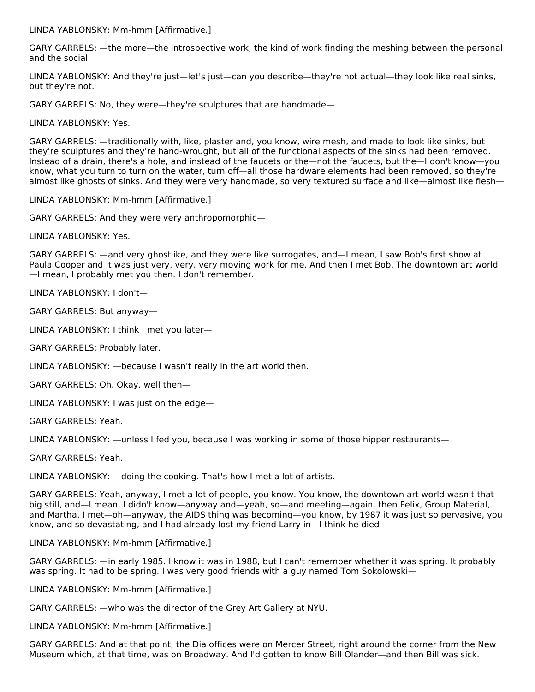LINDA YABLONSKY: Mm-hmm [Affirmative.]

GARY GARRELS: —the more—the introspective work, the kind of work finding the meshing between the personal and the social.

LINDA YABLONSKY: And they're just—let's just—can you describe—they're not actual—they look like real sinks, but they're not.

GARY GARRELS: No, they were—they're sculptures that are handmade—

LINDA YABLONSKY: Yes.

GARY GARRELS: —traditionally with, like, plaster and, you know, wire mesh, and made to look like sinks, but they're sculptures and they're hand-wrought, but all of the functional aspects of the sinks had been removed. Instead of a drain, there's a hole, and instead of the faucets or the—not the faucets, but the—I don't know—you know, what you turn to turn on the water, turn off—all those hardware elements had been removed, so they're almost like ghosts of sinks. And they were very handmade, so very textured surface and like—almost like flesh—

LINDA YABLONSKY: Mm-hmm [Affirmative.]

GARY GARRELS: And they were very anthropomorphic—

LINDA YABLONSKY: Yes.

GARY GARRELS: —and very ghostlike, and they were like surrogates, and—I mean, I saw Bob's first show at Paula Cooper and it was just very, very, very moving work for me. And then I met Bob. The downtown art world —I mean, I probably met you then. I don't remember.

LINDA YABLONSKY: I don't—

GARY GARRELS: But anyway—

LINDA YABLONSKY: I think I met you later—

GARY GARRELS: Probably later.

LINDA YABLONSKY: —because I wasn't really in the art world then.

GARY GARRELS: Oh. Okay, well then—

LINDA YABLONSKY: I was just on the edge—

GARY GARRELS: Yeah.

LINDA YABLONSKY: —unless I fed you, because I was working in some of those hipper restaurants—

GARY GARRELS: Yeah.

LINDA YABLONSKY: —doing the cooking. That's how I met a lot of artists.

GARY GARRELS: Yeah, anyway, I met a lot of people, you know. You know, the downtown art world wasn't that big still, and—I mean, I didn't know—anyway and—yeah, so—and meeting—again, then Felix, Group Material, and Martha. I met—oh—anyway, the AIDS thing was becoming—you know, by 1987 it was just so pervasive, you know, and so devastating, and I had already lost my friend Larry in—I think he died—

LINDA YABLONSKY: Mm-hmm [Affirmative.]

GARY GARRELS: —in early 1985. I know it was in 1988, but I can't remember whether it was spring. It probably was spring. It had to be spring. I was very good friends with a guy named Tom Sokolowski-

LINDA YABLONSKY: Mm-hmm [Affirmative.]

GARY GARRELS: —who was the director of the Grey Art Gallery at NYU.

LINDA YABLONSKY: Mm-hmm [Affirmative.]

GARY GARRELS: And at that point, the Dia offices were on Mercer Street, right around the corner from the New Museum which, at that time, was on Broadway. And I'd gotten to know Bill Olander—and then Bill was sick.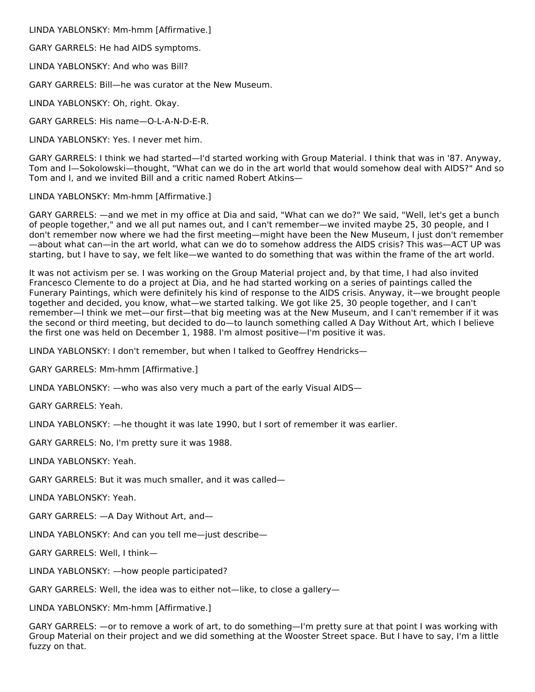LINDA YABLONSKY: Mm-hmm [Affirmative.]

GARY GARRELS: He had AIDS symptoms.

LINDA YABLONSKY: And who was Bill?

GARY GARRELS: Bill—he was curator at the New Museum.

LINDA YABLONSKY: Oh, right. Okay.

GARY GARRELS: His name—O-L-A-N-D-E-R.

LINDA YABLONSKY: Yes. I never met him.

GARY GARRELS: I think we had started—I'd started working with Group Material. I think that was in '87. Anyway, Tom and I—Sokolowski—thought, "What can we do in the art world that would somehow deal with AIDS?" And so Tom and I, and we invited Bill and a critic named Robert Atkins—

LINDA YABLONSKY: Mm-hmm [Affirmative.]

GARY GARRELS: —and we met in my office at Dia and said, "What can we do?" We said, "Well, let's get a bunch of people together," and we all put names out, and I can't remember—we invited maybe 25, 30 people, and I don't remember now where we had the first meeting—might have been the New Museum, I just don't remember —about what can—in the art world, what can we do to somehow address the AIDS crisis? This was—ACT UP was starting, but I have to say, we felt like—we wanted to do something that was within the frame of the art world.

It was not activism per se. I was working on the Group Material project and, by that time, I had also invited Francesco Clemente to do a project at Dia, and he had started working on a series of paintings called the Funerary Paintings, which were definitely his kind of response to the AIDS crisis. Anyway, it—we brought people together and decided, you know, what—we started talking. We got like 25, 30 people together, and I can't remember—I think we met—our first—that big meeting was at the New Museum, and I can't remember if it was the second or third meeting, but decided to do—to launch something called A Day Without Art, which I believe the first one was held on December 1, 1988. I'm almost positive—I'm positive it was.

LINDA YABLONSKY: I don't remember, but when I talked to Geoffrey Hendricks—

GARY GARRELS: Mm-hmm [Affirmative.]

LINDA YABLONSKY: —who was also very much a part of the early Visual AIDS—

GARY GARRELS: Yeah.

LINDA YABLONSKY: —he thought it was late 1990, but I sort of remember it was earlier.

GARY GARRELS: No, I'm pretty sure it was 1988.

LINDA YABLONSKY: Yeah.

GARY GARRELS: But it was much smaller, and it was called—

LINDA YABLONSKY: Yeah.

GARY GARRELS: —A Day Without Art, and—

LINDA YABLONSKY: And can you tell me—just describe—

GARY GARRELS: Well, I think—

LINDA YABLONSKY: —how people participated?

GARY GARRELS: Well, the idea was to either not—like, to close a gallery—

LINDA YABLONSKY: Mm-hmm [Affirmative.]

GARY GARRELS: —or to remove a work of art, to do something—I'm pretty sure at that point I was working with Group Material on their project and we did something at the Wooster Street space. But I have to say, I'm a little fuzzy on that.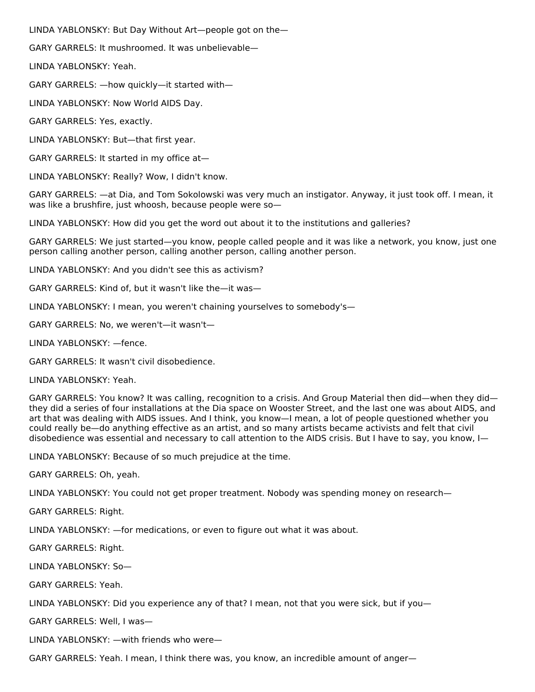LINDA YABLONSKY: But Day Without Art—people got on the—

GARY GARRELS: It mushroomed. It was unbelievable—

LINDA YABLONSKY: Yeah.

GARY GARRELS: —how quickly—it started with—

LINDA YABLONSKY: Now World AIDS Day.

GARY GARRELS: Yes, exactly.

LINDA YABLONSKY: But—that first year.

GARY GARRELS: It started in my office at—

LINDA YABLONSKY: Really? Wow, I didn't know.

GARY GARRELS: —at Dia, and Tom Sokolowski was very much an instigator. Anyway, it just took off. I mean, it was like a brushfire, just whoosh, because people were so—

LINDA YABLONSKY: How did you get the word out about it to the institutions and galleries?

GARY GARRELS: We just started—you know, people called people and it was like a network, you know, just one person calling another person, calling another person, calling another person.

LINDA YABLONSKY: And you didn't see this as activism?

GARY GARRELS: Kind of, but it wasn't like the—it was—

LINDA YABLONSKY: I mean, you weren't chaining yourselves to somebody's—

GARY GARRELS: No, we weren't—it wasn't—

LINDA YABLONSKY: —fence.

GARY GARRELS: It wasn't civil disobedience.

LINDA YABLONSKY: Yeah.

GARY GARRELS: You know? It was calling, recognition to a crisis. And Group Material then did—when they did they did a series of four installations at the Dia space on Wooster Street, and the last one was about AIDS, and art that was dealing with AIDS issues. And I think, you know—I mean, a lot of people questioned whether you could really be—do anything effective as an artist, and so many artists became activists and felt that civil disobedience was essential and necessary to call attention to the AIDS crisis. But I have to say, you know, I—

LINDA YABLONSKY: Because of so much prejudice at the time.

GARY GARRELS: Oh, yeah.

LINDA YABLONSKY: You could not get proper treatment. Nobody was spending money on research—

GARY GARRELS: Right.

LINDA YABLONSKY: —for medications, or even to figure out what it was about.

GARY GARRELS: Right.

LINDA YABLONSKY: So—

GARY GARRELS: Yeah.

LINDA YABLONSKY: Did you experience any of that? I mean, not that you were sick, but if you—

GARY GARRELS: Well, I was—

LINDA YABLONSKY: —with friends who were—

GARY GARRELS: Yeah. I mean, I think there was, you know, an incredible amount of anger—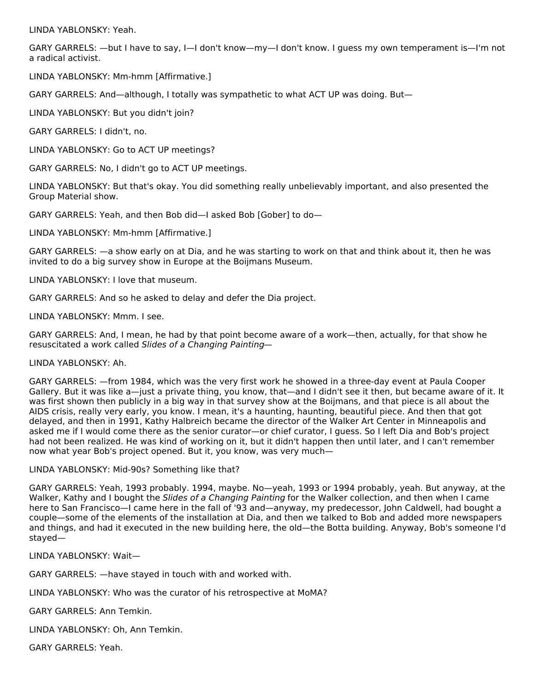LINDA YABLONSKY: Yeah.

GARY GARRELS: —but I have to say, I—I don't know—my—I don't know. I guess my own temperament is—I'm not a radical activist.

LINDA YABLONSKY: Mm-hmm [Affirmative.]

GARY GARRELS: And—although, I totally was sympathetic to what ACT UP was doing. But—

LINDA YABLONSKY: But you didn't join?

GARY GARRELS: I didn't, no.

LINDA YABLONSKY: Go to ACT UP meetings?

GARY GARRELS: No, I didn't go to ACT UP meetings.

LINDA YABLONSKY: But that's okay. You did something really unbelievably important, and also presented the Group Material show.

GARY GARRELS: Yeah, and then Bob did—I asked Bob [Gober] to do—

LINDA YABLONSKY: Mm-hmm [Affirmative.]

GARY GARRELS: —a show early on at Dia, and he was starting to work on that and think about it, then he was invited to do a big survey show in Europe at the Boijmans Museum.

LINDA YABLONSKY: I love that museum.

GARY GARRELS: And so he asked to delay and defer the Dia project.

LINDA YABLONSKY: Mmm. I see.

GARY GARRELS: And, I mean, he had by that point become aware of a work—then, actually, for that show he resuscitated a work called Slides of a Changing Painting—

LINDA YABLONSKY: Ah.

GARY GARRELS: —from 1984, which was the very first work he showed in a three-day event at Paula Cooper Gallery. But it was like a—just a private thing, you know, that—and I didn't see it then, but became aware of it. It was first shown then publicly in a big way in that survey show at the Boijmans, and that piece is all about the AIDS crisis, really very early, you know. I mean, it's a haunting, haunting, beautiful piece. And then that got delayed, and then in 1991, Kathy Halbreich became the director of the Walker Art Center in Minneapolis and asked me if I would come there as the senior curator—or chief curator, I guess. So I left Dia and Bob's project had not been realized. He was kind of working on it, but it didn't happen then until later, and I can't remember now what year Bob's project opened. But it, you know, was very much—

LINDA YABLONSKY: Mid-90s? Something like that?

GARY GARRELS: Yeah, 1993 probably. 1994, maybe. No—yeah, 1993 or 1994 probably, yeah. But anyway, at the Walker, Kathy and I bought the *Slides of a Changing Painting* for the Walker collection, and then when I came here to San Francisco—I came here in the fall of '93 and—anyway, my predecessor, John Caldwell, had bought a couple—some of the elements of the installation at Dia, and then we talked to Bob and added more newspapers and things, and had it executed in the new building here, the old—the Botta building. Anyway, Bob's someone I'd stayed—

LINDA YABLONSKY: Wait—

GARY GARRELS: —have stayed in touch with and worked with.

LINDA YABLONSKY: Who was the curator of his retrospective at MoMA?

GARY GARRELS: Ann Temkin.

LINDA YABLONSKY: Oh, Ann Temkin.

GARY GARRELS: Yeah.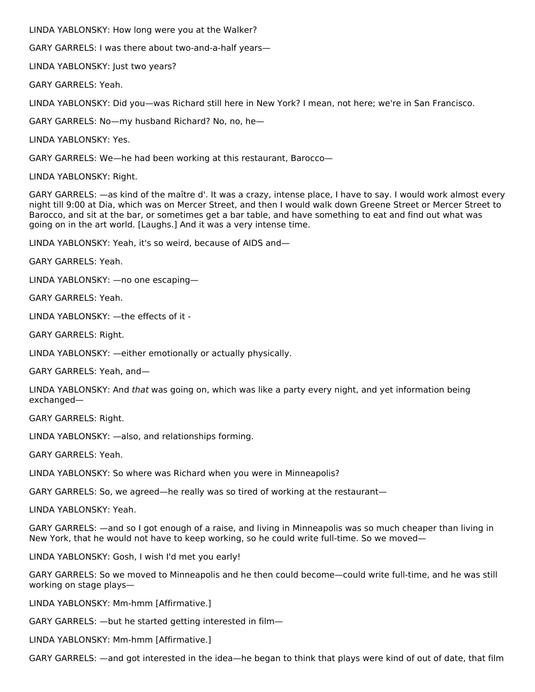LINDA YABLONSKY: How long were you at the Walker?

GARY GARRELS: I was there about two-and-a-half years—

LINDA YABLONSKY: Just two years?

GARY GARRELS: Yeah.

LINDA YABLONSKY: Did you—was Richard still here in New York? I mean, not here; we're in San Francisco.

GARY GARRELS: No—my husband Richard? No, no, he—

LINDA YABLONSKY: Yes.

GARY GARRELS: We—he had been working at this restaurant, Barocco—

LINDA YABLONSKY: Right.

GARY GARRELS: —as kind of the maître d'. It was a crazy, intense place, I have to say. I would work almost every night till 9:00 at Dia, which was on Mercer Street, and then I would walk down Greene Street or Mercer Street to Barocco, and sit at the bar, or sometimes get a bar table, and have something to eat and find out what was going on in the art world. [Laughs.] And it was a very intense time.

LINDA YABLONSKY: Yeah, it's so weird, because of AIDS and—

GARY GARRELS: Yeah.

LINDA YABLONSKY: —no one escaping—

GARY GARRELS: Yeah.

LINDA YABLONSKY: —the effects of it -

GARY GARRELS: Right.

LINDA YABLONSKY: —either emotionally or actually physically.

GARY GARRELS: Yeah, and—

LINDA YABLONSKY: And that was going on, which was like a party every night, and yet information being exchanged—

GARY GARRELS: Right.

LINDA YABLONSKY: —also, and relationships forming.

GARY GARRELS: Yeah.

LINDA YABLONSKY: So where was Richard when you were in Minneapolis?

GARY GARRELS: So, we agreed—he really was so tired of working at the restaurant—

LINDA YABLONSKY: Yeah.

GARY GARRELS: —and so I got enough of a raise, and living in Minneapolis was so much cheaper than living in New York, that he would not have to keep working, so he could write full-time. So we moved—

LINDA YABLONSKY: Gosh, I wish I'd met you early!

GARY GARRELS: So we moved to Minneapolis and he then could become—could write full-time, and he was still working on stage plays—

LINDA YABLONSKY: Mm-hmm [Affirmative.]

GARY GARRELS: —but he started getting interested in film—

LINDA YABLONSKY: Mm-hmm [Affirmative.]

GARY GARRELS: —and got interested in the idea—he began to think that plays were kind of out of date, that film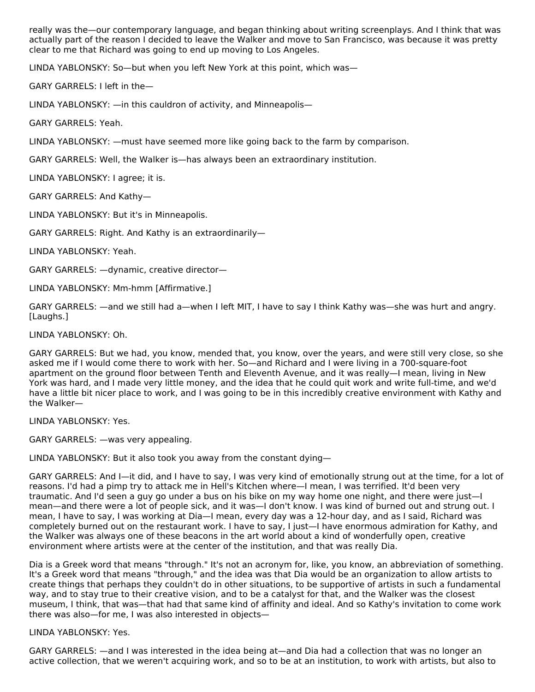really was the—our contemporary language, and began thinking about writing screenplays. And I think that was actually part of the reason I decided to leave the Walker and move to San Francisco, was because it was pretty clear to me that Richard was going to end up moving to Los Angeles.

LINDA YABLONSKY: So—but when you left New York at this point, which was—

GARY GARRELS: I left in the—

LINDA YABLONSKY: —in this cauldron of activity, and Minneapolis—

GARY GARRELS: Yeah.

LINDA YABLONSKY: —must have seemed more like going back to the farm by comparison.

GARY GARRELS: Well, the Walker is—has always been an extraordinary institution.

LINDA YABLONSKY: I agree; it is.

GARY GARRELS: And Kathy—

LINDA YABLONSKY: But it's in Minneapolis.

GARY GARRELS: Right. And Kathy is an extraordinarily—

LINDA YABLONSKY: Yeah.

GARY GARRELS: —dynamic, creative director—

LINDA YABLONSKY: Mm-hmm [Affirmative.]

GARY GARRELS: —and we still had a—when I left MIT, I have to say I think Kathy was—she was hurt and angry. [Laughs.]

LINDA YABLONSKY: Oh.

GARY GARRELS: But we had, you know, mended that, you know, over the years, and were still very close, so she asked me if I would come there to work with her. So—and Richard and I were living in a 700-square-foot apartment on the ground floor between Tenth and Eleventh Avenue, and it was really—I mean, living in New York was hard, and I made very little money, and the idea that he could quit work and write full-time, and we'd have a little bit nicer place to work, and I was going to be in this incredibly creative environment with Kathy and the Walker—

LINDA YABLONSKY: Yes.

GARY GARRELS: —was very appealing.

LINDA YABLONSKY: But it also took you away from the constant dying—

GARY GARRELS: And I—it did, and I have to say, I was very kind of emotionally strung out at the time, for a lot of reasons. I'd had a pimp try to attack me in Hell's Kitchen where—I mean, I was terrified. It'd been very traumatic. And I'd seen a guy go under a bus on his bike on my way home one night, and there were just—I mean—and there were a lot of people sick, and it was—I don't know. I was kind of burned out and strung out. I mean, I have to say, I was working at Dia—I mean, every day was a 12-hour day, and as I said, Richard was completely burned out on the restaurant work. I have to say, I just—I have enormous admiration for Kathy, and the Walker was always one of these beacons in the art world about a kind of wonderfully open, creative environment where artists were at the center of the institution, and that was really Dia.

Dia is a Greek word that means "through." It's not an acronym for, like, you know, an abbreviation of something. It's a Greek word that means "through," and the idea was that Dia would be an organization to allow artists to create things that perhaps they couldn't do in other situations, to be supportive of artists in such a fundamental way, and to stay true to their creative vision, and to be a catalyst for that, and the Walker was the closest museum, I think, that was—that had that same kind of affinity and ideal. And so Kathy's invitation to come work there was also—for me, I was also interested in objects—

#### LINDA YABLONSKY: Yes.

GARY GARRELS: —and I was interested in the idea being at—and Dia had a collection that was no longer an active collection, that we weren't acquiring work, and so to be at an institution, to work with artists, but also to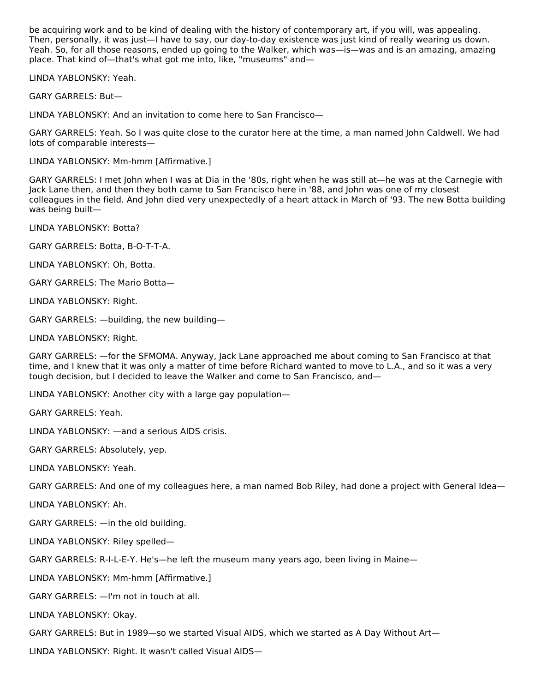be acquiring work and to be kind of dealing with the history of contemporary art, if you will, was appealing. Then, personally, it was just—I have to say, our day-to-day existence was just kind of really wearing us down. Yeah. So, for all those reasons, ended up going to the Walker, which was—is—was and is an amazing, amazing place. That kind of—that's what got me into, like, "museums" and—

LINDA YABLONSKY: Yeah.

GARY GARRELS: But—

LINDA YABLONSKY: And an invitation to come here to San Francisco—

GARY GARRELS: Yeah. So I was quite close to the curator here at the time, a man named John Caldwell. We had lots of comparable interests—

LINDA YABLONSKY: Mm-hmm [Affirmative.]

GARY GARRELS: I met John when I was at Dia in the '80s, right when he was still at—he was at the Carnegie with Jack Lane then, and then they both came to San Francisco here in '88, and John was one of my closest colleagues in the field. And John died very unexpectedly of a heart attack in March of '93. The new Botta building was being built—

LINDA YABLONSKY: Botta?

GARY GARRELS: Botta, B-O-T-T-A.

LINDA YABLONSKY: Oh, Botta.

GARY GARRELS: The Mario Botta—

LINDA YABLONSKY: Right.

GARY GARRELS: —building, the new building—

LINDA YABLONSKY: Right.

GARY GARRELS: —for the SFMOMA. Anyway, Jack Lane approached me about coming to San Francisco at that time, and I knew that it was only a matter of time before Richard wanted to move to L.A., and so it was a very tough decision, but I decided to leave the Walker and come to San Francisco, and—

LINDA YABLONSKY: Another city with a large gay population—

GARY GARRELS: Yeah.

LINDA YABLONSKY: —and a serious AIDS crisis.

GARY GARRELS: Absolutely, yep.

LINDA YABLONSKY: Yeah.

GARY GARRELS: And one of my colleagues here, a man named Bob Riley, had done a project with General Idea—

LINDA YABLONSKY: Ah.

GARY GARRELS: —in the old building.

LINDA YABLONSKY: Riley spelled—

GARY GARRELS: R-I-L-E-Y. He's—he left the museum many years ago, been living in Maine—

LINDA YABLONSKY: Mm-hmm [Affirmative.]

GARY GARRELS: —I'm not in touch at all.

LINDA YABLONSKY: Okay.

GARY GARRELS: But in 1989—so we started Visual AIDS, which we started as A Day Without Art—

LINDA YABLONSKY: Right. It wasn't called Visual AIDS—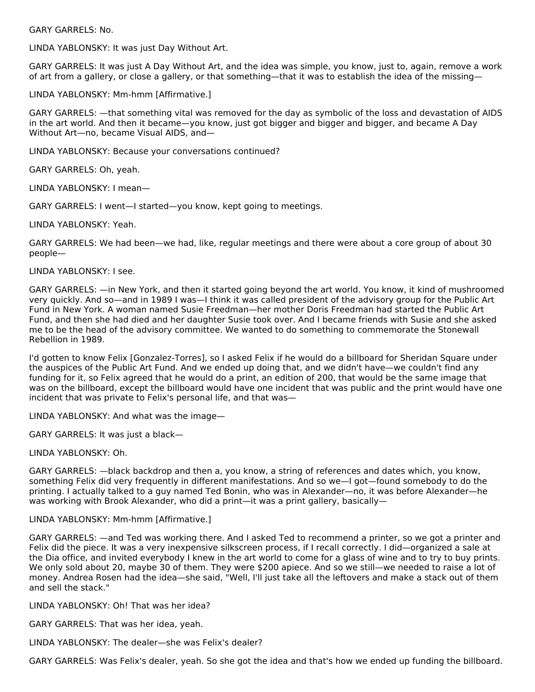GARY GARRELS: No.

LINDA YABLONSKY: It was just Day Without Art.

GARY GARRELS: It was just A Day Without Art, and the idea was simple, you know, just to, again, remove a work of art from a gallery, or close a gallery, or that something—that it was to establish the idea of the missing—

#### LINDA YABLONSKY: Mm-hmm [Affirmative.]

GARY GARRELS: —that something vital was removed for the day as symbolic of the loss and devastation of AIDS in the art world. And then it became—you know, just got bigger and bigger and bigger, and became A Day Without Art—no, became Visual AIDS, and—

LINDA YABLONSKY: Because your conversations continued?

GARY GARRELS: Oh, yeah.

LINDA YABLONSKY: I mean—

GARY GARRELS: I went—I started—you know, kept going to meetings.

LINDA YABLONSKY: Yeah.

GARY GARRELS: We had been—we had, like, regular meetings and there were about a core group of about 30 people—

LINDA YABLONSKY: I see.

GARY GARRELS: —in New York, and then it started going beyond the art world. You know, it kind of mushroomed very quickly. And so—and in 1989 I was—I think it was called president of the advisory group for the Public Art Fund in New York. A woman named Susie Freedman—her mother Doris Freedman had started the Public Art Fund, and then she had died and her daughter Susie took over. And I became friends with Susie and she asked me to be the head of the advisory committee. We wanted to do something to commemorate the Stonewall Rebellion in 1989.

I'd gotten to know Felix [Gonzalez-Torres], so I asked Felix if he would do a billboard for Sheridan Square under the auspices of the Public Art Fund. And we ended up doing that, and we didn't have—we couldn't find any funding for it, so Felix agreed that he would do a print, an edition of 200, that would be the same image that was on the billboard, except the billboard would have one incident that was public and the print would have one incident that was private to Felix's personal life, and that was—

LINDA YABLONSKY: And what was the image—

GARY GARRELS: It was just a black—

LINDA YABLONSKY: Oh.

GARY GARRELS: —black backdrop and then a, you know, a string of references and dates which, you know, something Felix did very frequently in different manifestations. And so we—I got—found somebody to do the printing. I actually talked to a guy named Ted Bonin, who was in Alexander—no, it was before Alexander—he was working with Brook Alexander, who did a print—it was a print gallery, basically—

#### LINDA YABLONSKY: Mm-hmm [Affirmative.]

GARY GARRELS: —and Ted was working there. And I asked Ted to recommend a printer, so we got a printer and Felix did the piece. It was a very inexpensive silkscreen process, if I recall correctly. I did—organized a sale at the Dia office, and invited everybody I knew in the art world to come for a glass of wine and to try to buy prints. We only sold about 20, maybe 30 of them. They were \$200 apiece. And so we still—we needed to raise a lot of money. Andrea Rosen had the idea—she said, "Well, I'll just take all the leftovers and make a stack out of them and sell the stack."

LINDA YABLONSKY: Oh! That was her idea?

GARY GARRELS: That was her idea, yeah.

LINDA YABLONSKY: The dealer—she was Felix's dealer?

GARY GARRELS: Was Felix's dealer, yeah. So she got the idea and that's how we ended up funding the billboard.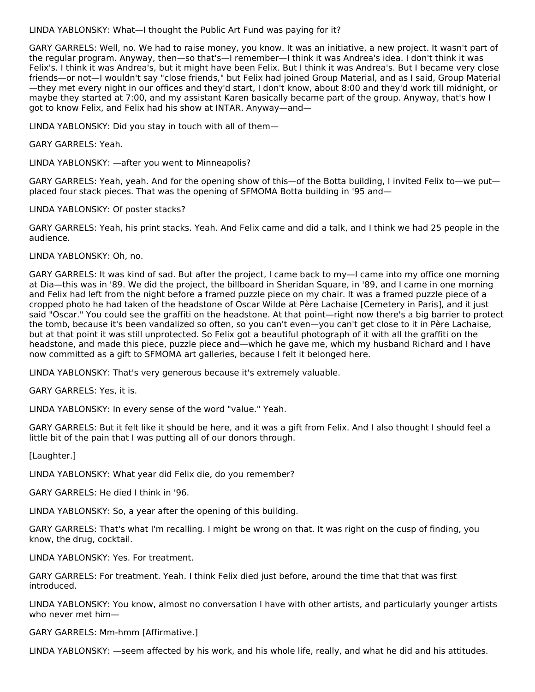LINDA YABLONSKY: What—I thought the Public Art Fund was paying for it?

GARY GARRELS: Well, no. We had to raise money, you know. It was an initiative, a new project. It wasn't part of the regular program. Anyway, then—so that's—I remember—I think it was Andrea's idea. I don't think it was Felix's. I think it was Andrea's, but it might have been Felix. But I think it was Andrea's. But I became very close friends—or not—I wouldn't say "close friends," but Felix had joined Group Material, and as I said, Group Material —they met every night in our offices and they'd start, I don't know, about 8:00 and they'd work till midnight, or maybe they started at 7:00, and my assistant Karen basically became part of the group. Anyway, that's how I got to know Felix, and Felix had his show at INTAR. Anyway—and—

LINDA YABLONSKY: Did you stay in touch with all of them—

GARY GARRELS: Yeah.

LINDA YABLONSKY: —after you went to Minneapolis?

GARY GARRELS: Yeah, yeah. And for the opening show of this—of the Botta building, I invited Felix to—we put placed four stack pieces. That was the opening of SFMOMA Botta building in '95 and—

LINDA YABLONSKY: Of poster stacks?

GARY GARRELS: Yeah, his print stacks. Yeah. And Felix came and did a talk, and I think we had 25 people in the audience.

LINDA YABLONSKY: Oh, no.

GARY GARRELS: It was kind of sad. But after the project, I came back to my—I came into my office one morning at Dia—this was in '89. We did the project, the billboard in Sheridan Square, in '89, and I came in one morning and Felix had left from the night before a framed puzzle piece on my chair. It was a framed puzzle piece of a cropped photo he had taken of the headstone of Oscar Wilde at Père Lachaise [Cemetery in Paris], and it just said "Oscar." You could see the graffiti on the headstone. At that point—right now there's a big barrier to protect the tomb, because it's been vandalized so often, so you can't even—you can't get close to it in Père Lachaise, but at that point it was still unprotected. So Felix got a beautiful photograph of it with all the graffiti on the headstone, and made this piece, puzzle piece and—which he gave me, which my husband Richard and I have now committed as a gift to SFMOMA art galleries, because I felt it belonged here.

LINDA YABLONSKY: That's very generous because it's extremely valuable.

GARY GARRELS: Yes, it is.

LINDA YABLONSKY: In every sense of the word "value." Yeah.

GARY GARRELS: But it felt like it should be here, and it was a gift from Felix. And I also thought I should feel a little bit of the pain that I was putting all of our donors through.

[Laughter.]

LINDA YABLONSKY: What year did Felix die, do you remember?

GARY GARRELS: He died I think in '96.

LINDA YABLONSKY: So, a year after the opening of this building.

GARY GARRELS: That's what I'm recalling. I might be wrong on that. It was right on the cusp of finding, you know, the drug, cocktail.

LINDA YABLONSKY: Yes. For treatment.

GARY GARRELS: For treatment. Yeah. I think Felix died just before, around the time that that was first introduced.

LINDA YABLONSKY: You know, almost no conversation I have with other artists, and particularly younger artists who never met him—

GARY GARRELS: Mm-hmm [Affirmative.]

LINDA YABLONSKY: —seem affected by his work, and his whole life, really, and what he did and his attitudes.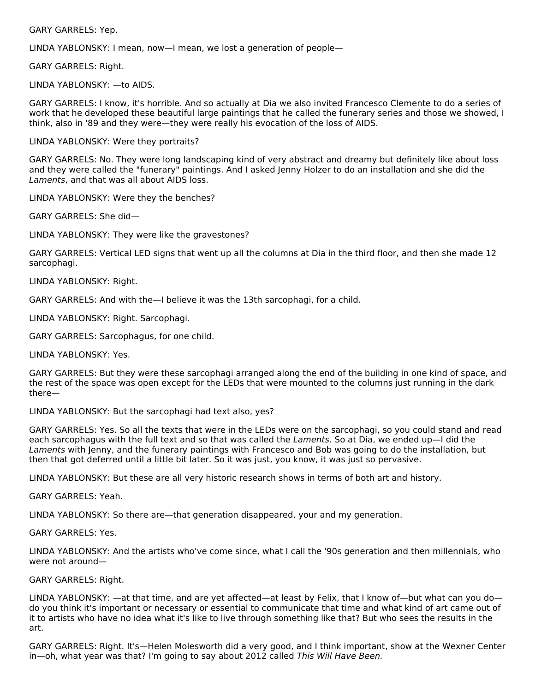GARY GARRELS: Yep.

LINDA YABLONSKY: I mean, now—I mean, we lost a generation of people—

GARY GARRELS: Right.

LINDA YABLONSKY: —to AIDS.

GARY GARRELS: I know, it's horrible. And so actually at Dia we also invited Francesco Clemente to do a series of work that he developed these beautiful large paintings that he called the funerary series and those we showed, I think, also in '89 and they were—they were really his evocation of the loss of AIDS.

LINDA YABLONSKY: Were they portraits?

GARY GARRELS: No. They were long landscaping kind of very abstract and dreamy but definitely like about loss and they were called the "funerary" paintings. And I asked Jenny Holzer to do an installation and she did the Laments, and that was all about AIDS loss.

LINDA YABLONSKY: Were they the benches?

GARY GARRELS: She did—

LINDA YABLONSKY: They were like the gravestones?

GARY GARRELS: Vertical LED signs that went up all the columns at Dia in the third floor, and then she made 12 sarcophagi.

LINDA YABLONSKY: Right.

GARY GARRELS: And with the—I believe it was the 13th sarcophagi, for a child.

LINDA YABLONSKY: Right. Sarcophagi.

GARY GARRELS: Sarcophagus, for one child.

LINDA YABLONSKY: Yes.

GARY GARRELS: But they were these sarcophagi arranged along the end of the building in one kind of space, and the rest of the space was open except for the LEDs that were mounted to the columns just running in the dark there—

LINDA YABLONSKY: But the sarcophagi had text also, yes?

GARY GARRELS: Yes. So all the texts that were in the LEDs were on the sarcophagi, so you could stand and read each sarcophagus with the full text and so that was called the Laments. So at Dia, we ended up—I did the Laments with Jenny, and the funerary paintings with Francesco and Bob was going to do the installation, but then that got deferred until a little bit later. So it was just, you know, it was just so pervasive.

LINDA YABLONSKY: But these are all very historic research shows in terms of both art and history.

GARY GARRELS: Yeah.

LINDA YABLONSKY: So there are—that generation disappeared, your and my generation.

GARY GARRELS: Yes.

LINDA YABLONSKY: And the artists who've come since, what I call the '90s generation and then millennials, who were not around—

GARY GARRELS: Right.

LINDA YABLONSKY: —at that time, and are yet affected—at least by Felix, that I know of—but what can you do do you think it's important or necessary or essential to communicate that time and what kind of art came out of it to artists who have no idea what it's like to live through something like that? But who sees the results in the art.

GARY GARRELS: Right. It's—Helen Molesworth did a very good, and I think important, show at the Wexner Center in—oh, what year was that? I'm going to say about 2012 called This Will Have Been.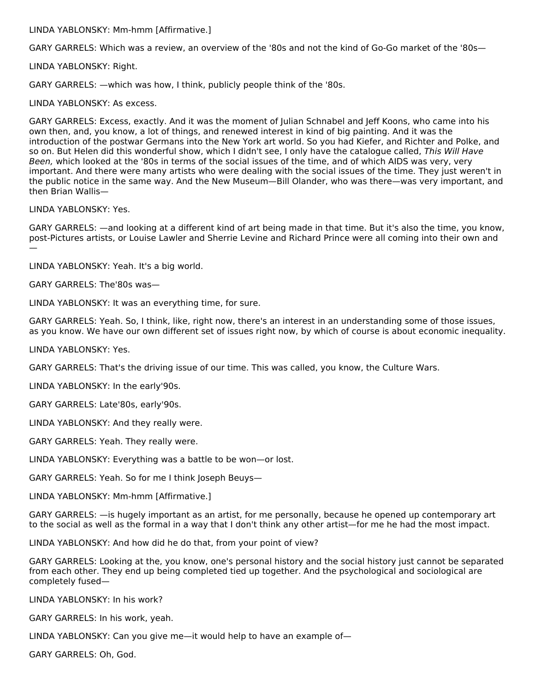LINDA YABLONSKY: Mm-hmm [Affirmative.]

GARY GARRELS: Which was a review, an overview of the '80s and not the kind of Go-Go market of the '80s—

LINDA YABLONSKY: Right.

GARY GARRELS: —which was how, I think, publicly people think of the '80s.

LINDA YABLONSKY: As excess.

GARY GARRELS: Excess, exactly. And it was the moment of Julian Schnabel and Jeff Koons, who came into his own then, and, you know, a lot of things, and renewed interest in kind of big painting. And it was the introduction of the postwar Germans into the New York art world. So you had Kiefer, and Richter and Polke, and so on. But Helen did this wonderful show, which I didn't see, I only have the catalogue called, This Will Have Been, which looked at the '80s in terms of the social issues of the time, and of which AIDS was very, very important. And there were many artists who were dealing with the social issues of the time. They just weren't in the public notice in the same way. And the New Museum—Bill Olander, who was there—was very important, and then Brian Wallis—

LINDA YABLONSKY: Yes.

GARY GARRELS: —and looking at a different kind of art being made in that time. But it's also the time, you know, post-Pictures artists, or Louise Lawler and Sherrie Levine and Richard Prince were all coming into their own and —

LINDA YABLONSKY: Yeah. It's a big world.

GARY GARRELS: The'80s was—

LINDA YABLONSKY: It was an everything time, for sure.

GARY GARRELS: Yeah. So, I think, like, right now, there's an interest in an understanding some of those issues, as you know. We have our own different set of issues right now, by which of course is about economic inequality.

LINDA YABLONSKY: Yes.

GARY GARRELS: That's the driving issue of our time. This was called, you know, the Culture Wars.

LINDA YABLONSKY: In the early'90s.

GARY GARRELS: Late'80s, early'90s.

LINDA YABLONSKY: And they really were.

GARY GARRELS: Yeah. They really were.

LINDA YABLONSKY: Everything was a battle to be won—or lost.

GARY GARRELS: Yeah. So for me I think Joseph Beuys—

LINDA YABLONSKY: Mm-hmm [Affirmative.]

GARY GARRELS: —is hugely important as an artist, for me personally, because he opened up contemporary art to the social as well as the formal in a way that I don't think any other artist—for me he had the most impact.

LINDA YABLONSKY: And how did he do that, from your point of view?

GARY GARRELS: Looking at the, you know, one's personal history and the social history just cannot be separated from each other. They end up being completed tied up together. And the psychological and sociological are completely fused—

LINDA YABLONSKY: In his work?

GARY GARRELS: In his work, yeah.

LINDA YABLONSKY: Can you give me—it would help to have an example of—

GARY GARRELS: Oh, God.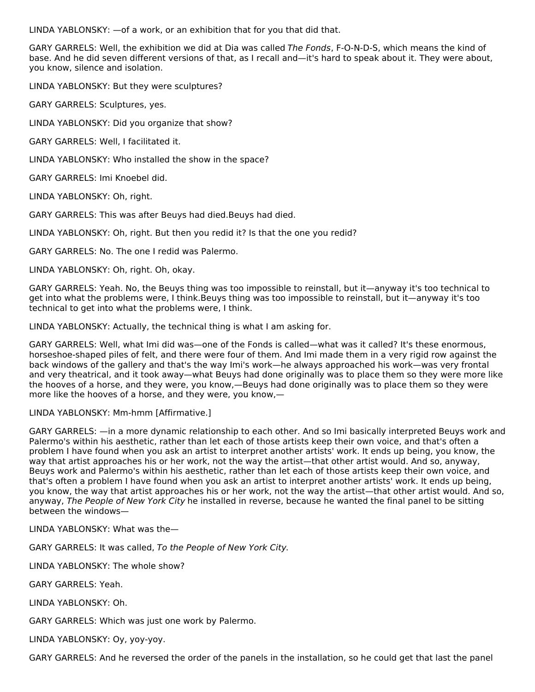LINDA YABLONSKY:  $-$ of a work, or an exhibition that for you that did that.

GARY GARRELS: Well, the exhibition we did at Dia was called The Fonds, F-O-N-D-S, which means the kind of base. And he did seven different versions of that, as I recall and—it's hard to speak about it. They were about, you know, silence and isolation.

LINDA YABLONSKY: But they were sculptures?

GARY GARRELS: Sculptures, yes.

LINDA YABLONSKY: Did you organize that show?

GARY GARRELS: Well, I facilitated it.

LINDA YABLONSKY: Who installed the show in the space?

GARY GARRELS: Imi Knoebel did.

LINDA YABLONSKY: Oh, right.

GARY GARRELS: This was after Beuys had died.Beuys had died.

LINDA YABLONSKY: Oh, right. But then you redid it? Is that the one you redid?

GARY GARRELS: No. The one I redid was Palermo.

LINDA YABLONSKY: Oh, right. Oh, okay.

GARY GARRELS: Yeah. No, the Beuys thing was too impossible to reinstall, but it—anyway it's too technical to get into what the problems were, I think.Beuys thing was too impossible to reinstall, but it—anyway it's too technical to get into what the problems were, I think.

LINDA YABLONSKY: Actually, the technical thing is what I am asking for.

GARY GARRELS: Well, what Imi did was—one of the Fonds is called—what was it called? It's these enormous, horseshoe-shaped piles of felt, and there were four of them. And Imi made them in a very rigid row against the back windows of the gallery and that's the way Imi's work—he always approached his work—was very frontal and very theatrical, and it took away—what Beuys had done originally was to place them so they were more like the hooves of a horse, and they were, you know,—Beuys had done originally was to place them so they were more like the hooves of a horse, and they were, you know,—

LINDA YABLONSKY: Mm-hmm [Affirmative.]

GARY GARRELS: —in a more dynamic relationship to each other. And so Imi basically interpreted Beuys work and Palermo's within his aesthetic, rather than let each of those artists keep their own voice, and that's often a problem I have found when you ask an artist to interpret another artists' work. It ends up being, you know, the way that artist approaches his or her work, not the way the artist—that other artist would. And so, anyway, Beuys work and Palermo's within his aesthetic, rather than let each of those artists keep their own voice, and that's often a problem I have found when you ask an artist to interpret another artists' work. It ends up being, you know, the way that artist approaches his or her work, not the way the artist—that other artist would. And so, anyway, The People of New York City he installed in reverse, because he wanted the final panel to be sitting between the windows—

LINDA YABLONSKY: What was the—

GARY GARRELS: It was called, To the People of New York City.

LINDA YABLONSKY: The whole show?

GARY GARRELS: Yeah.

LINDA YABLONSKY: Oh.

GARY GARRELS: Which was just one work by Palermo.

LINDA YABLONSKY: Oy, yoy-yoy.

GARY GARRELS: And he reversed the order of the panels in the installation, so he could get that last the panel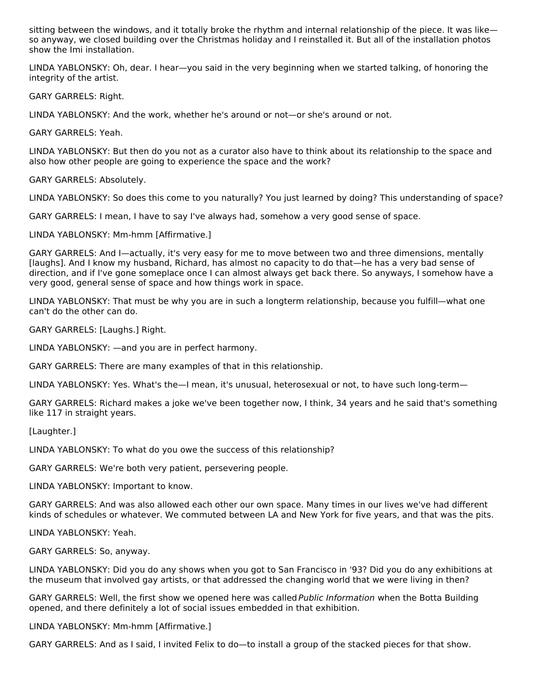sitting between the windows, and it totally broke the rhythm and internal relationship of the piece. It was like so anyway, we closed building over the Christmas holiday and I reinstalled it. But all of the installation photos show the Imi installation.

LINDA YABLONSKY: Oh, dear. I hear—you said in the very beginning when we started talking, of honoring the integrity of the artist.

GARY GARRELS: Right.

LINDA YABLONSKY: And the work, whether he's around or not—or she's around or not.

GARY GARRELS: Yeah.

LINDA YABLONSKY: But then do you not as a curator also have to think about its relationship to the space and also how other people are going to experience the space and the work?

GARY GARRELS: Absolutely.

LINDA YABLONSKY: So does this come to you naturally? You just learned by doing? This understanding of space?

GARY GARRELS: I mean, I have to say I've always had, somehow a very good sense of space.

LINDA YABLONSKY: Mm-hmm [Affirmative.]

GARY GARRELS: And I—actually, it's very easy for me to move between two and three dimensions, mentally [laughs]. And I know my husband, Richard, has almost no capacity to do that—he has a very bad sense of direction, and if I've gone someplace once I can almost always get back there. So anyways, I somehow have a very good, general sense of space and how things work in space.

LINDA YABLONSKY: That must be why you are in such a longterm relationship, because you fulfill—what one can't do the other can do.

GARY GARRELS: [Laughs.] Right.

LINDA YABLONSKY: —and you are in perfect harmony.

GARY GARRELS: There are many examples of that in this relationship.

LINDA YABLONSKY: Yes. What's the—I mean, it's unusual, heterosexual or not, to have such long-term—

GARY GARRELS: Richard makes a joke we've been together now, I think, 34 years and he said that's something like 117 in straight years.

[Laughter.]

LINDA YABLONSKY: To what do you owe the success of this relationship?

GARY GARRELS: We're both very patient, persevering people.

LINDA YABLONSKY: Important to know.

GARY GARRELS: And was also allowed each other our own space. Many times in our lives we've had different kinds of schedules or whatever. We commuted between LA and New York for five years, and that was the pits.

LINDA YABLONSKY: Yeah.

GARY GARRELS: So, anyway.

LINDA YABLONSKY: Did you do any shows when you got to San Francisco in '93? Did you do any exhibitions at the museum that involved gay artists, or that addressed the changing world that we were living in then?

GARY GARRELS: Well, the first show we opened here was called Public Information when the Botta Building opened, and there definitely a lot of social issues embedded in that exhibition.

LINDA YABLONSKY: Mm-hmm [Affirmative.]

GARY GARRELS: And as I said, I invited Felix to do—to install a group of the stacked pieces for that show.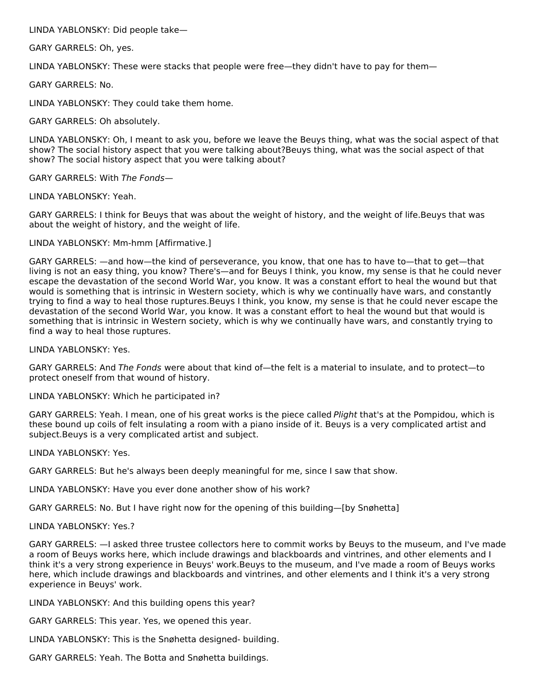LINDA YABLONSKY: Did people take—

GARY GARRELS: Oh, yes.

LINDA YABLONSKY: These were stacks that people were free—they didn't have to pay for them—

GARY GARRELS: No.

LINDA YABLONSKY: They could take them home.

GARY GARRELS: Oh absolutely.

LINDA YABLONSKY: Oh, I meant to ask you, before we leave the Beuys thing, what was the social aspect of that show? The social history aspect that you were talking about?Beuys thing, what was the social aspect of that show? The social history aspect that you were talking about?

GARY GARRELS: With The Fonds—

LINDA YABLONSKY: Yeah.

GARY GARRELS: I think for Beuys that was about the weight of history, and the weight of life.Beuys that was about the weight of history, and the weight of life.

LINDA YABLONSKY: Mm-hmm [Affirmative.]

GARY GARRELS: —and how—the kind of perseverance, you know, that one has to have to—that to get—that living is not an easy thing, you know? There's—and for Beuys I think, you know, my sense is that he could never escape the devastation of the second World War, you know. It was a constant effort to heal the wound but that would is something that is intrinsic in Western society, which is why we continually have wars, and constantly trying to find a way to heal those ruptures.Beuys I think, you know, my sense is that he could never escape the devastation of the second World War, you know. It was a constant effort to heal the wound but that would is something that is intrinsic in Western society, which is why we continually have wars, and constantly trying to find a way to heal those ruptures.

LINDA YABLONSKY: Yes.

GARY GARRELS: And The Fonds were about that kind of—the felt is a material to insulate, and to protect—to protect oneself from that wound of history.

LINDA YABLONSKY: Which he participated in?

GARY GARRELS: Yeah. I mean, one of his great works is the piece called Plight that's at the Pompidou, which is these bound up coils of felt insulating a room with a piano inside of it. Beuys is a very complicated artist and subject.Beuys is a very complicated artist and subject.

LINDA YABLONSKY: Yes.

GARY GARRELS: But he's always been deeply meaningful for me, since I saw that show.

LINDA YABLONSKY: Have you ever done another show of his work?

GARY GARRELS: No. But I have right now for the opening of this building—[by Snøhetta]

LINDA YABLONSKY: Yes.?

GARY GARRELS: —I asked three trustee collectors here to commit works by Beuys to the museum, and I've made a room of Beuys works here, which include drawings and blackboards and vintrines, and other elements and I think it's a very strong experience in Beuys' work.Beuys to the museum, and I've made a room of Beuys works here, which include drawings and blackboards and vintrines, and other elements and I think it's a very strong experience in Beuys' work.

LINDA YABLONSKY: And this building opens this year?

GARY GARRELS: This year. Yes, we opened this year.

LINDA YABLONSKY: This is the Snøhetta designed- building.

GARY GARRELS: Yeah. The Botta and Snøhetta buildings.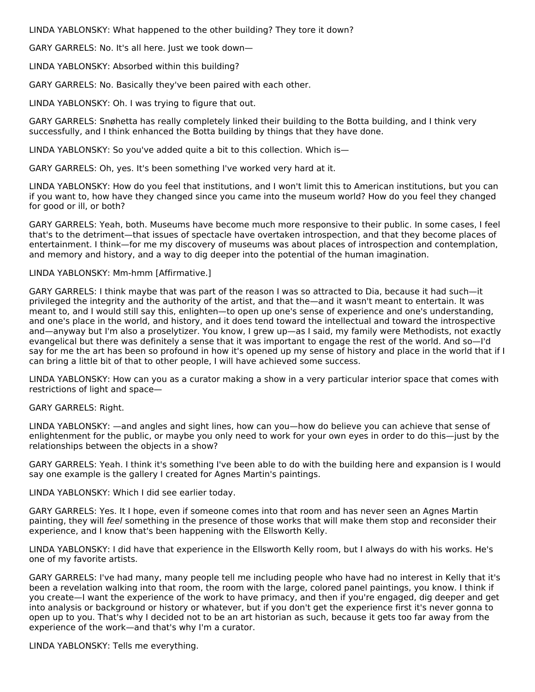LINDA YABLONSKY: What happened to the other building? They tore it down?

GARY GARRELS: No. It's all here. Just we took down—

LINDA YABLONSKY: Absorbed within this building?

GARY GARRELS: No. Basically they've been paired with each other.

LINDA YABLONSKY: Oh. I was trying to figure that out.

GARY GARRELS: Snøhetta has really completely linked their building to the Botta building, and I think very successfully, and I think enhanced the Botta building by things that they have done.

LINDA YABLONSKY: So you've added quite a bit to this collection. Which is—

GARY GARRELS: Oh, yes. It's been something I've worked very hard at it.

LINDA YABLONSKY: How do you feel that institutions, and I won't limit this to American institutions, but you can if you want to, how have they changed since you came into the museum world? How do you feel they changed for good or ill, or both?

GARY GARRELS: Yeah, both. Museums have become much more responsive to their public. In some cases, I feel that's to the detriment—that issues of spectacle have overtaken introspection, and that they become places of entertainment. I think—for me my discovery of museums was about places of introspection and contemplation, and memory and history, and a way to dig deeper into the potential of the human imagination.

#### LINDA YABLONSKY: Mm-hmm [Affirmative.]

GARY GARRELS: I think maybe that was part of the reason I was so attracted to Dia, because it had such—it privileged the integrity and the authority of the artist, and that the—and it wasn't meant to entertain. It was meant to, and I would still say this, enlighten—to open up one's sense of experience and one's understanding, and one's place in the world, and history, and it does tend toward the intellectual and toward the introspective and—anyway but I'm also a proselytizer. You know, I grew up—as I said, my family were Methodists, not exactly evangelical but there was definitely a sense that it was important to engage the rest of the world. And so—I'd say for me the art has been so profound in how it's opened up my sense of history and place in the world that if I can bring a little bit of that to other people, I will have achieved some success.

LINDA YABLONSKY: How can you as a curator making a show in a very particular interior space that comes with restrictions of light and space—

GARY GARRELS: Right.

LINDA YABLONSKY: —and angles and sight lines, how can you—how do believe you can achieve that sense of enlightenment for the public, or maybe you only need to work for your own eyes in order to do this—just by the relationships between the objects in a show?

GARY GARRELS: Yeah. I think it's something I've been able to do with the building here and expansion is I would say one example is the gallery I created for Agnes Martin's paintings.

LINDA YABLONSKY: Which I did see earlier today.

GARY GARRELS: Yes. It I hope, even if someone comes into that room and has never seen an Agnes Martin painting, they will feel something in the presence of those works that will make them stop and reconsider their experience, and I know that's been happening with the Ellsworth Kelly.

LINDA YABLONSKY: I did have that experience in the Ellsworth Kelly room, but I always do with his works. He's one of my favorite artists.

GARY GARRELS: I've had many, many people tell me including people who have had no interest in Kelly that it's been a revelation walking into that room, the room with the large, colored panel paintings, you know. I think if you create—I want the experience of the work to have primacy, and then if you're engaged, dig deeper and get into analysis or background or history or whatever, but if you don't get the experience first it's never gonna to open up to you. That's why I decided not to be an art historian as such, because it gets too far away from the experience of the work—and that's why I'm a curator.

LINDA YABLONSKY: Tells me everything.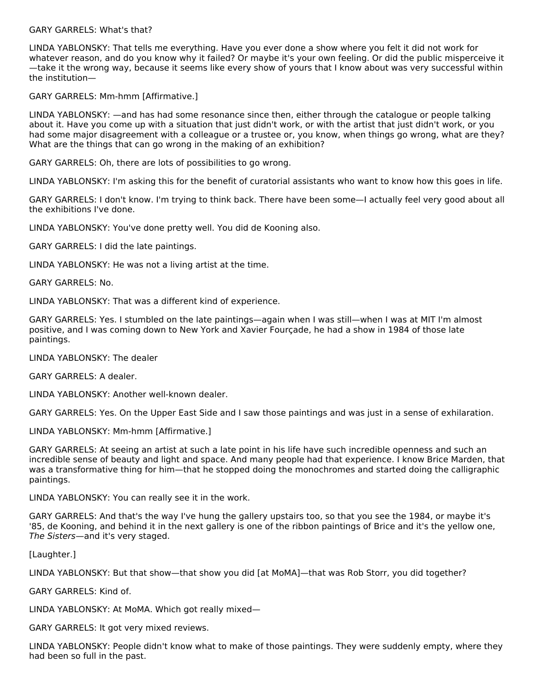#### GARY GARRELS: What's that?

LINDA YABLONSKY: That tells me everything. Have you ever done a show where you felt it did not work for whatever reason, and do you know why it failed? Or maybe it's your own feeling. Or did the public misperceive it —take it the wrong way, because it seems like every show of yours that I know about was very successful within the institution—

#### GARY GARRELS: Mm-hmm [Affirmative.]

LINDA YABLONSKY: —and has had some resonance since then, either through the catalogue or people talking about it. Have you come up with a situation that just didn't work, or with the artist that just didn't work, or you had some major disagreement with a colleague or a trustee or, you know, when things go wrong, what are they? What are the things that can go wrong in the making of an exhibition?

GARY GARRELS: Oh, there are lots of possibilities to go wrong.

LINDA YABLONSKY: I'm asking this for the benefit of curatorial assistants who want to know how this goes in life.

GARY GARRELS: I don't know. I'm trying to think back. There have been some—I actually feel very good about all the exhibitions I've done.

LINDA YABLONSKY: You've done pretty well. You did de Kooning also.

GARY GARRELS: I did the late paintings.

LINDA YABLONSKY: He was not a living artist at the time.

GARY GARRELS: No.

LINDA YABLONSKY: That was a different kind of experience.

GARY GARRELS: Yes. I stumbled on the late paintings—again when I was still—when I was at MIT I'm almost positive, and I was coming down to New York and Xavier Fourçade, he had a show in 1984 of those late paintings.

LINDA YABLONSKY: The dealer

GARY GARRELS: A dealer.

LINDA YABLONSKY: Another well-known dealer.

GARY GARRELS: Yes. On the Upper East Side and I saw those paintings and was just in a sense of exhilaration.

LINDA YABLONSKY: Mm-hmm [Affirmative.]

GARY GARRELS: At seeing an artist at such a late point in his life have such incredible openness and such an incredible sense of beauty and light and space. And many people had that experience. I know Brice Marden, that was a transformative thing for him—that he stopped doing the monochromes and started doing the calligraphic paintings.

LINDA YABLONSKY: You can really see it in the work.

GARY GARRELS: And that's the way I've hung the gallery upstairs too, so that you see the 1984, or maybe it's '85, de Kooning, and behind it in the next gallery is one of the ribbon paintings of Brice and it's the yellow one, The Sisters—and it's very staged.

[Laughter.]

LINDA YABLONSKY: But that show—that show you did [at MoMA]—that was Rob Storr, you did together?

GARY GARRELS: Kind of.

LINDA YABLONSKY: At MoMA. Which got really mixed—

GARY GARRELS: It got very mixed reviews.

LINDA YABLONSKY: People didn't know what to make of those paintings. They were suddenly empty, where they had been so full in the past.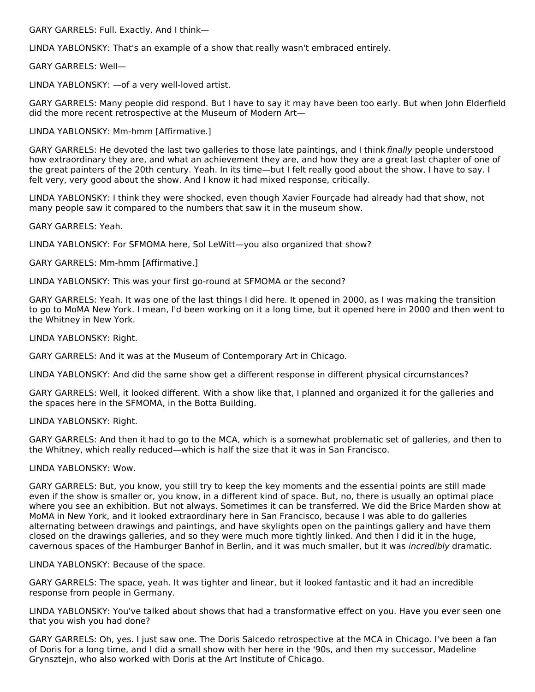GARY GARRELS: Full. Exactly. And I think—

LINDA YABLONSKY: That's an example of a show that really wasn't embraced entirely.

GARY GARRELS: Well—

LINDA YABLONSKY: —of a very well-loved artist.

GARY GARRELS: Many people did respond. But I have to say it may have been too early. But when John Elderfield did the more recent retrospective at the Museum of Modern Art—

LINDA YABLONSKY: Mm-hmm [Affirmative.]

GARY GARRELS: He devoted the last two galleries to those late paintings, and I think finally people understood how extraordinary they are, and what an achievement they are, and how they are a great last chapter of one of the great painters of the 20th century. Yeah. In its time—but I felt really good about the show, I have to say. I felt very, very good about the show. And I know it had mixed response, critically.

LINDA YABLONSKY: I think they were shocked, even though Xavier Fourçade had already had that show, not many people saw it compared to the numbers that saw it in the museum show.

GARY GARRELS: Yeah.

LINDA YABLONSKY: For SFMOMA here, Sol LeWitt—you also organized that show?

GARY GARRELS: Mm-hmm [Affirmative.]

LINDA YABLONSKY: This was your first go-round at SFMOMA or the second?

GARY GARRELS: Yeah. It was one of the last things I did here. It opened in 2000, as I was making the transition to go to MoMA New York. I mean, I'd been working on it a long time, but it opened here in 2000 and then went to the Whitney in New York.

LINDA YABLONSKY: Right.

GARY GARRELS: And it was at the Museum of Contemporary Art in Chicago.

LINDA YABLONSKY: And did the same show get a different response in different physical circumstances?

GARY GARRELS: Well, it looked different. With a show like that, I planned and organized it for the galleries and the spaces here in the SFMOMA, in the Botta Building.

LINDA YABLONSKY: Right.

GARY GARRELS: And then it had to go to the MCA, which is a somewhat problematic set of galleries, and then to the Whitney, which really reduced—which is half the size that it was in San Francisco.

#### LINDA YABLONSKY: Wow.

GARY GARRELS: But, you know, you still try to keep the key moments and the essential points are still made even if the show is smaller or, you know, in a different kind of space. But, no, there is usually an optimal place where you see an exhibition. But not always. Sometimes it can be transferred. We did the Brice Marden show at MoMA in New York, and it looked extraordinary here in San Francisco, because I was able to do galleries alternating between drawings and paintings, and have skylights open on the paintings gallery and have them closed on the drawings galleries, and so they were much more tightly linked. And then I did it in the huge, cavernous spaces of the Hamburger Banhof in Berlin, and it was much smaller, but it was incredibly dramatic.

LINDA YABLONSKY: Because of the space.

GARY GARRELS: The space, yeah. It was tighter and linear, but it looked fantastic and it had an incredible response from people in Germany.

LINDA YABLONSKY: You've talked about shows that had a transformative effect on you. Have you ever seen one that you wish you had done?

GARY GARRELS: Oh, yes. I just saw one. The Doris Salcedo retrospective at the MCA in Chicago. I've been a fan of Doris for a long time, and I did a small show with her here in the '90s, and then my successor, Madeline Grynsztejn, who also worked with Doris at the Art Institute of Chicago.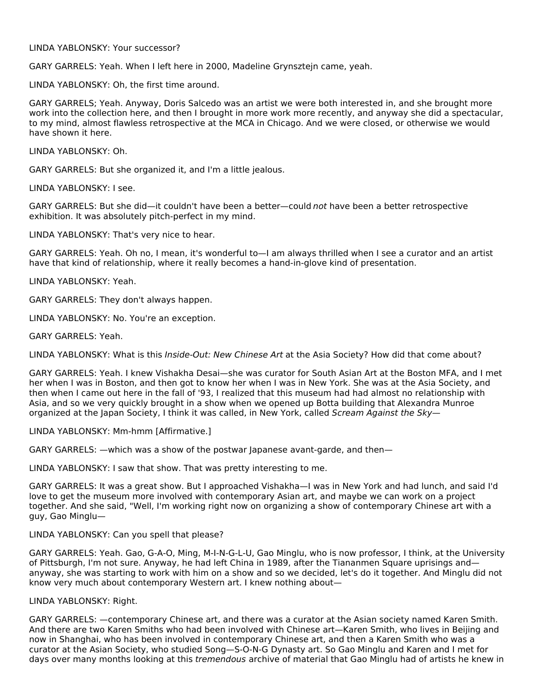#### LINDA YABLONSKY: Your successor?

GARY GARRELS: Yeah. When I left here in 2000, Madeline Grynsztejn came, yeah.

LINDA YABLONSKY: Oh, the first time around.

GARY GARRELS; Yeah. Anyway, Doris Salcedo was an artist we were both interested in, and she brought more work into the collection here, and then I brought in more work more recently, and anyway she did a spectacular, to my mind, almost flawless retrospective at the MCA in Chicago. And we were closed, or otherwise we would have shown it here.

LINDA YABLONSKY: Oh.

GARY GARRELS: But she organized it, and I'm a little jealous.

LINDA YABLONSKY: I see.

GARY GARRELS: But she did—it couldn't have been a better—could not have been a better retrospective exhibition. It was absolutely pitch-perfect in my mind.

LINDA YABLONSKY: That's very nice to hear.

GARY GARRELS: Yeah. Oh no, I mean, it's wonderful to—I am always thrilled when I see a curator and an artist have that kind of relationship, where it really becomes a hand-in-glove kind of presentation.

LINDA YABLONSKY: Yeah.

GARY GARRELS: They don't always happen.

LINDA YABLONSKY: No. You're an exception.

GARY GARRELS: Yeah.

LINDA YABLONSKY: What is this Inside-Out: New Chinese Art at the Asia Society? How did that come about?

GARY GARRELS: Yeah. I knew Vishakha Desai—she was curator for South Asian Art at the Boston MFA, and I met her when I was in Boston, and then got to know her when I was in New York. She was at the Asia Society, and then when I came out here in the fall of '93, I realized that this museum had had almost no relationship with Asia, and so we very quickly brought in a show when we opened up Botta building that Alexandra Munroe organized at the Japan Society, I think it was called, in New York, called Scream Against the Sky-

LINDA YABLONSKY: Mm-hmm [Affirmative.]

GARY GARRELS: —which was a show of the postwar Japanese avant-garde, and then—

LINDA YABLONSKY: I saw that show. That was pretty interesting to me.

GARY GARRELS: It was a great show. But I approached Vishakha—I was in New York and had lunch, and said I'd love to get the museum more involved with contemporary Asian art, and maybe we can work on a project together. And she said, "Well, I'm working right now on organizing a show of contemporary Chinese art with a guy, Gao Minglu—

#### LINDA YABLONSKY: Can you spell that please?

GARY GARRELS: Yeah. Gao, G-A-O, Ming, M-I-N-G-L-U, Gao Minglu, who is now professor, I think, at the University of Pittsburgh, I'm not sure. Anyway, he had left China in 1989, after the Tiananmen Square uprisings and anyway, she was starting to work with him on a show and so we decided, let's do it together. And Minglu did not know very much about contemporary Western art. I knew nothing about—

#### LINDA YABLONSKY: Right.

GARY GARRELS: —contemporary Chinese art, and there was a curator at the Asian society named Karen Smith. And there are two Karen Smiths who had been involved with Chinese art—Karen Smith, who lives in Beijing and now in Shanghai, who has been involved in contemporary Chinese art, and then a Karen Smith who was a curator at the Asian Society, who studied Song—S-O-N-G Dynasty art. So Gao Minglu and Karen and I met for days over many months looking at this *tremendous* archive of material that Gao Minglu had of artists he knew in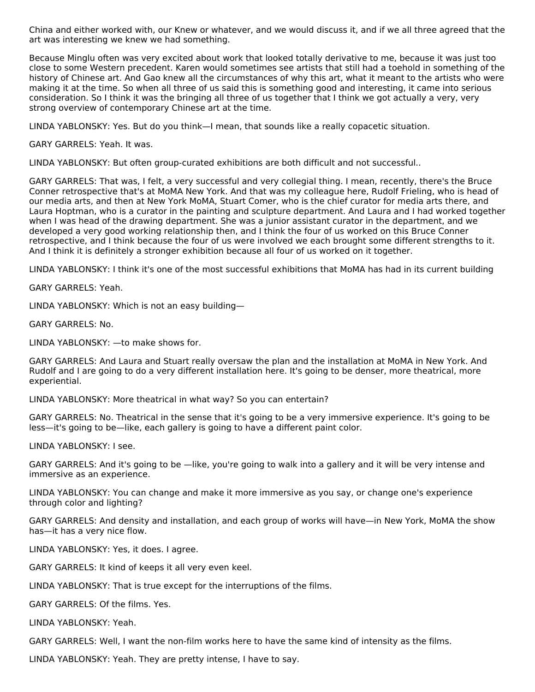China and either worked with, our Knew or whatever, and we would discuss it, and if we all three agreed that the art was interesting we knew we had something.

Because Minglu often was very excited about work that looked totally derivative to me, because it was just too close to some Western precedent. Karen would sometimes see artists that still had a toehold in something of the history of Chinese art. And Gao knew all the circumstances of why this art, what it meant to the artists who were making it at the time. So when all three of us said this is something good and interesting, it came into serious consideration. So I think it was the bringing all three of us together that I think we got actually a very, very strong overview of contemporary Chinese art at the time.

LINDA YABLONSKY: Yes. But do you think—I mean, that sounds like a really copacetic situation.

GARY GARRELS: Yeah. It was.

LINDA YABLONSKY: But often group-curated exhibitions are both difficult and not successful..

GARY GARRELS: That was, I felt, a very successful and very collegial thing. I mean, recently, there's the Bruce Conner retrospective that's at MoMA New York. And that was my colleague here, Rudolf Frieling, who is head of our media arts, and then at New York MoMA, Stuart Comer, who is the chief curator for media arts there, and Laura Hoptman, who is a curator in the painting and sculpture department. And Laura and I had worked together when I was head of the drawing department. She was a junior assistant curator in the department, and we developed a very good working relationship then, and I think the four of us worked on this Bruce Conner retrospective, and I think because the four of us were involved we each brought some different strengths to it. And I think it is definitely a stronger exhibition because all four of us worked on it together.

LINDA YABLONSKY: I think it's one of the most successful exhibitions that MoMA has had in its current building

GARY GARRELS: Yeah.

LINDA YABLONSKY: Which is not an easy building—

GARY GARRELS: No.

LINDA YABLONSKY: —to make shows for.

GARY GARRELS: And Laura and Stuart really oversaw the plan and the installation at MoMA in New York. And Rudolf and I are going to do a very different installation here. It's going to be denser, more theatrical, more experiential.

LINDA YABLONSKY: More theatrical in what way? So you can entertain?

GARY GARRELS: No. Theatrical in the sense that it's going to be a very immersive experience. It's going to be less—it's going to be—like, each gallery is going to have a different paint color.

LINDA YABLONSKY: I see.

GARY GARRELS: And it's going to be —like, you're going to walk into a gallery and it will be very intense and immersive as an experience.

LINDA YABLONSKY: You can change and make it more immersive as you say, or change one's experience through color and lighting?

GARY GARRELS: And density and installation, and each group of works will have—in New York, MoMA the show has—it has a very nice flow.

LINDA YABLONSKY: Yes, it does. I agree.

GARY GARRELS: It kind of keeps it all very even keel.

LINDA YABLONSKY: That is true except for the interruptions of the films.

GARY GARRELS: Of the films. Yes.

LINDA YABLONSKY: Yeah.

GARY GARRELS: Well, I want the non-film works here to have the same kind of intensity as the films.

LINDA YABLONSKY: Yeah. They are pretty intense, I have to say.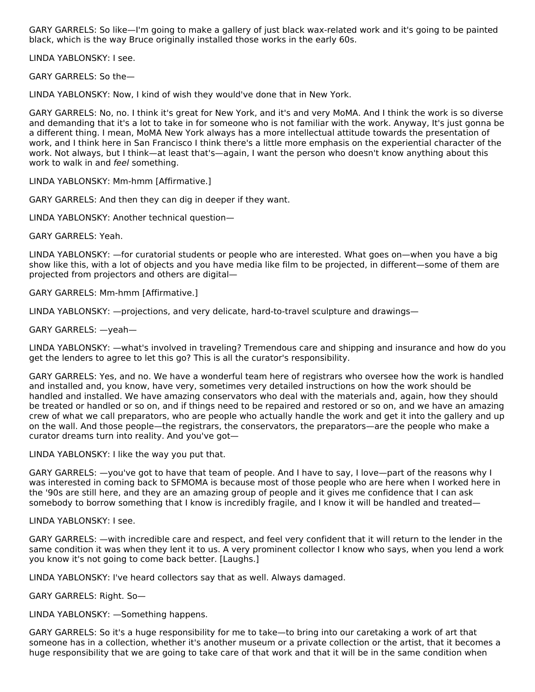GARY GARRELS: So like—I'm going to make a gallery of just black wax-related work and it's going to be painted black, which is the way Bruce originally installed those works in the early 60s.

LINDA YABLONSKY: I see.

GARY GARRELS: So the—

LINDA YABLONSKY: Now, I kind of wish they would've done that in New York.

GARY GARRELS: No, no. I think it's great for New York, and it's and very MoMA. And I think the work is so diverse and demanding that it's a lot to take in for someone who is not familiar with the work. Anyway, It's just gonna be a different thing. I mean, MoMA New York always has a more intellectual attitude towards the presentation of work, and I think here in San Francisco I think there's a little more emphasis on the experiential character of the work. Not always, but I think—at least that's—again, I want the person who doesn't know anything about this work to walk in and feel something.

LINDA YABLONSKY: Mm-hmm [Affirmative.]

GARY GARRELS: And then they can dig in deeper if they want.

LINDA YABLONSKY: Another technical question—

GARY GARRELS: Yeah.

LINDA YABLONSKY: —for curatorial students or people who are interested. What goes on—when you have a big show like this, with a lot of objects and you have media like film to be projected, in different—some of them are projected from projectors and others are digital—

GARY GARRELS: Mm-hmm [Affirmative.]

LINDA YABLONSKY: —projections, and very delicate, hard-to-travel sculpture and drawings—

GARY GARRELS: —yeah—

LINDA YABLONSKY: —what's involved in traveling? Tremendous care and shipping and insurance and how do you get the lenders to agree to let this go? This is all the curator's responsibility.

GARY GARRELS: Yes, and no. We have a wonderful team here of registrars who oversee how the work is handled and installed and, you know, have very, sometimes very detailed instructions on how the work should be handled and installed. We have amazing conservators who deal with the materials and, again, how they should be treated or handled or so on, and if things need to be repaired and restored or so on, and we have an amazing crew of what we call preparators, who are people who actually handle the work and get it into the gallery and up on the wall. And those people—the registrars, the conservators, the preparators—are the people who make a curator dreams turn into reality. And you've got—

LINDA YABLONSKY: I like the way you put that.

GARY GARRELS: —you've got to have that team of people. And I have to say, I love—part of the reasons why I was interested in coming back to SFMOMA is because most of those people who are here when I worked here in the '90s are still here, and they are an amazing group of people and it gives me confidence that I can ask somebody to borrow something that I know is incredibly fragile, and I know it will be handled and treated—

LINDA YABLONSKY: I see.

GARY GARRELS: —with incredible care and respect, and feel very confident that it will return to the lender in the same condition it was when they lent it to us. A very prominent collector I know who says, when you lend a work you know it's not going to come back better. [Laughs.]

LINDA YABLONSKY: I've heard collectors say that as well. Always damaged.

GARY GARRELS: Right. So—

LINDA YABLONSKY: —Something happens.

GARY GARRELS: So it's a huge responsibility for me to take—to bring into our caretaking a work of art that someone has in a collection, whether it's another museum or a private collection or the artist, that it becomes a huge responsibility that we are going to take care of that work and that it will be in the same condition when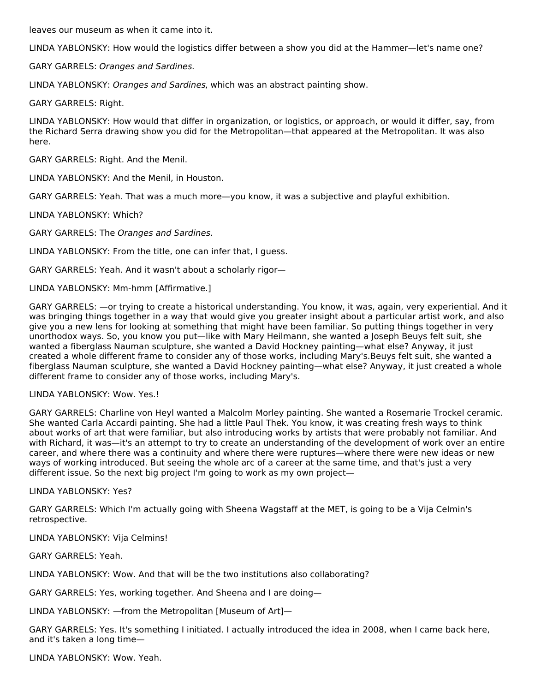leaves our museum as when it came into it.

LINDA YABLONSKY: How would the logistics differ between a show you did at the Hammer—let's name one?

GARY GARRELS: Oranges and Sardines.

LINDA YABLONSKY: Oranges and Sardines, which was an abstract painting show.

GARY GARRELS: Right.

LINDA YABLONSKY: How would that differ in organization, or logistics, or approach, or would it differ, say, from the Richard Serra drawing show you did for the Metropolitan—that appeared at the Metropolitan. It was also here.

GARY GARRELS: Right. And the Menil.

LINDA YABLONSKY: And the Menil, in Houston.

GARY GARRELS: Yeah. That was a much more—you know, it was a subjective and playful exhibition.

LINDA YABLONSKY: Which?

GARY GARRELS: The Oranges and Sardines.

LINDA YABLONSKY: From the title, one can infer that, I guess.

GARY GARRELS: Yeah. And it wasn't about a scholarly rigor—

LINDA YABLONSKY: Mm-hmm [Affirmative.]

GARY GARRELS: —or trying to create a historical understanding. You know, it was, again, very experiential. And it was bringing things together in a way that would give you greater insight about a particular artist work, and also give you a new lens for looking at something that might have been familiar. So putting things together in very unorthodox ways. So, you know you put—like with Mary Heilmann, she wanted a Joseph Beuys felt suit, she wanted a fiberglass Nauman sculpture, she wanted a David Hockney painting—what else? Anyway, it just created a whole different frame to consider any of those works, including Mary's.Beuys felt suit, she wanted a fiberglass Nauman sculpture, she wanted a David Hockney painting—what else? Anyway, it just created a whole different frame to consider any of those works, including Mary's.

LINDA YABLONSKY: Wow. Yes.!

GARY GARRELS: Charline von Heyl wanted a Malcolm Morley painting. She wanted a Rosemarie Trockel ceramic. She wanted Carla Accardi painting. She had a little Paul Thek. You know, it was creating fresh ways to think about works of art that were familiar, but also introducing works by artists that were probably not familiar. And with Richard, it was—it's an attempt to try to create an understanding of the development of work over an entire career, and where there was a continuity and where there were ruptures—where there were new ideas or new ways of working introduced. But seeing the whole arc of a career at the same time, and that's just a very different issue. So the next big project I'm going to work as my own project—

LINDA YABLONSKY: Yes?

GARY GARRELS: Which I'm actually going with Sheena Wagstaff at the MET, is going to be a Vija Celmin's retrospective.

LINDA YABLONSKY: Vija Celmins!

GARY GARRELS: Yeah.

LINDA YABLONSKY: Wow. And that will be the two institutions also collaborating?

GARY GARRELS: Yes, working together. And Sheena and I are doing—

LINDA YABLONSKY: —from the Metropolitan [Museum of Art]—

GARY GARRELS: Yes. It's something I initiated. I actually introduced the idea in 2008, when I came back here, and it's taken a long time—

LINDA YABLONSKY: Wow. Yeah.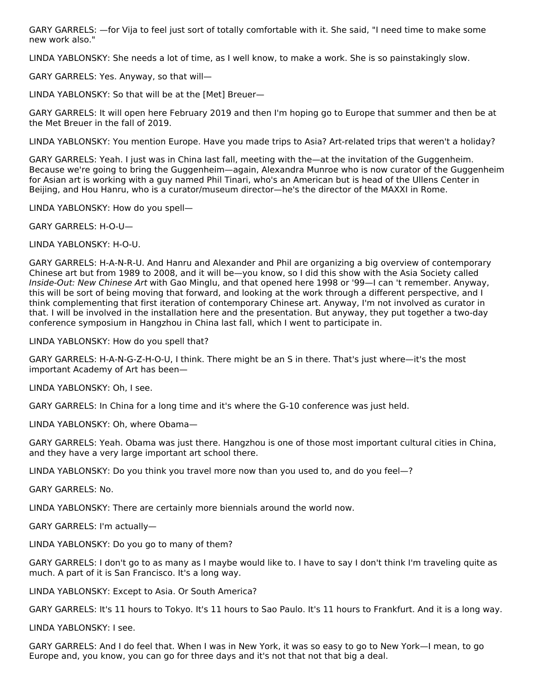GARY GARRELS: —for Vija to feel just sort of totally comfortable with it. She said, "I need time to make some new work also."

LINDA YABLONSKY: She needs a lot of time, as I well know, to make a work. She is so painstakingly slow.

GARY GARRELS: Yes. Anyway, so that will—

LINDA YABLONSKY: So that will be at the [Met] Breuer—

GARY GARRELS: It will open here February 2019 and then I'm hoping go to Europe that summer and then be at the Met Breuer in the fall of 2019.

LINDA YABLONSKY: You mention Europe. Have you made trips to Asia? Art-related trips that weren't a holiday?

GARY GARRELS: Yeah. I just was in China last fall, meeting with the—at the invitation of the Guggenheim. Because we're going to bring the Guggenheim—again, Alexandra Munroe who is now curator of the Guggenheim for Asian art is working with a guy named Phil Tinari, who's an American but is head of the Ullens Center in Beijing, and Hou Hanru, who is a curator/museum director—he's the director of the MAXXI in Rome.

LINDA YABLONSKY: How do you spell—

GARY GARRELS: H-O-U—

LINDA YABLONSKY: H-O-U.

GARY GARRELS: H-A-N-R-U. And Hanru and Alexander and Phil are organizing a big overview of contemporary Chinese art but from 1989 to 2008, and it will be—you know, so I did this show with the Asia Society called Inside-Out: New Chinese Art with Gao Minglu, and that opened here 1998 or '99—I can 't remember. Anyway, this will be sort of being moving that forward, and looking at the work through a different perspective, and I think complementing that first iteration of contemporary Chinese art. Anyway, I'm not involved as curator in that. I will be involved in the installation here and the presentation. But anyway, they put together a two-day conference symposium in Hangzhou in China last fall, which I went to participate in.

LINDA YABLONSKY: How do you spell that?

GARY GARRELS: H-A-N-G-Z-H-O-U, I think. There might be an S in there. That's just where—it's the most important Academy of Art has been—

LINDA YABLONSKY: Oh, I see.

GARY GARRELS: In China for a long time and it's where the G-10 conference was just held.

LINDA YABLONSKY: Oh, where Obama—

GARY GARRELS: Yeah. Obama was just there. Hangzhou is one of those most important cultural cities in China, and they have a very large important art school there.

LINDA YABLONSKY: Do you think you travel more now than you used to, and do you feel—?

GARY GARRELS: No.

LINDA YABLONSKY: There are certainly more biennials around the world now.

GARY GARRELS: I'm actually—

LINDA YABLONSKY: Do you go to many of them?

GARY GARRELS: I don't go to as many as I maybe would like to. I have to say I don't think I'm traveling quite as much. A part of it is San Francisco. It's a long way.

LINDA YABLONSKY: Except to Asia. Or South America?

GARY GARRELS: It's 11 hours to Tokyo. It's 11 hours to Sao Paulo. It's 11 hours to Frankfurt. And it is a long way.

LINDA YABLONSKY: I see.

GARY GARRELS: And I do feel that. When I was in New York, it was so easy to go to New York—I mean, to go Europe and, you know, you can go for three days and it's not that not that big a deal.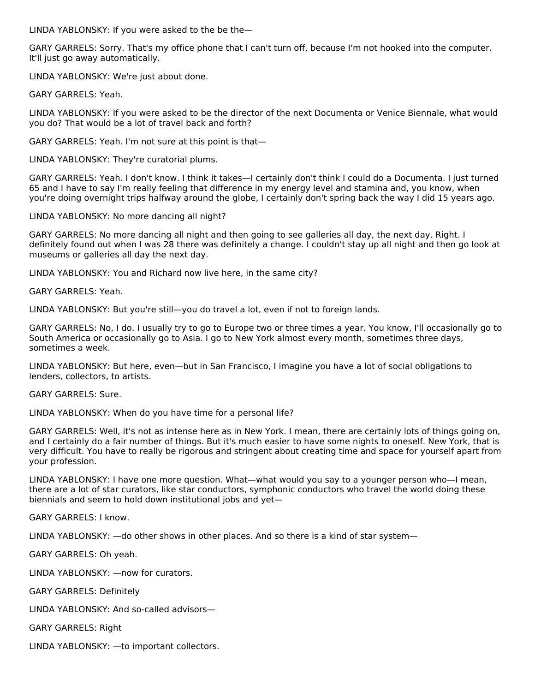LINDA YABLONSKY: If you were asked to the be the—

GARY GARRELS: Sorry. That's my office phone that I can't turn off, because I'm not hooked into the computer. It'll just go away automatically.

LINDA YABLONSKY: We're just about done.

GARY GARRELS: Yeah.

LINDA YABLONSKY: If you were asked to be the director of the next Documenta or Venice Biennale, what would you do? That would be a lot of travel back and forth?

GARY GARRELS: Yeah. I'm not sure at this point is that—

LINDA YABLONSKY: They're curatorial plums.

GARY GARRELS: Yeah. I don't know. I think it takes—I certainly don't think I could do a Documenta. I just turned 65 and I have to say I'm really feeling that difference in my energy level and stamina and, you know, when you're doing overnight trips halfway around the globe, I certainly don't spring back the way I did 15 years ago.

LINDA YABLONSKY: No more dancing all night?

GARY GARRELS: No more dancing all night and then going to see galleries all day, the next day. Right. I definitely found out when I was 28 there was definitely a change. I couldn't stay up all night and then go look at museums or galleries all day the next day.

LINDA YABLONSKY: You and Richard now live here, in the same city?

GARY GARRELS: Yeah.

LINDA YABLONSKY: But you're still—you do travel a lot, even if not to foreign lands.

GARY GARRELS: No, I do. I usually try to go to Europe two or three times a year. You know, I'll occasionally go to South America or occasionally go to Asia. I go to New York almost every month, sometimes three days, sometimes a week.

LINDA YABLONSKY: But here, even—but in San Francisco, I imagine you have a lot of social obligations to lenders, collectors, to artists.

GARY GARRELS: Sure.

LINDA YABLONSKY: When do you have time for a personal life?

GARY GARRELS: Well, it's not as intense here as in New York. I mean, there are certainly lots of things going on, and I certainly do a fair number of things. But it's much easier to have some nights to oneself. New York, that is very difficult. You have to really be rigorous and stringent about creating time and space for yourself apart from your profession.

LINDA YABLONSKY: I have one more question. What—what would you say to a younger person who—I mean, there are a lot of star curators, like star conductors, symphonic conductors who travel the world doing these biennials and seem to hold down institutional jobs and yet—

GARY GARRELS: I know.

LINDA YABLONSKY: —do other shows in other places. And so there is a kind of star system—

GARY GARRELS: Oh yeah.

LINDA YABLONSKY: —now for curators.

GARY GARRELS: Definitely

LINDA YABLONSKY: And so-called advisors—

GARY GARRELS: Right

LINDA YABLONSKY: —to important collectors.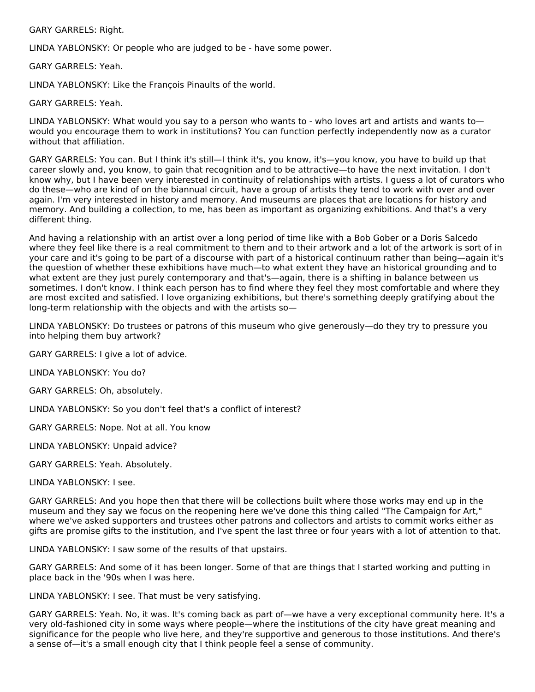GARY GARRELS: Right.

LINDA YABLONSKY: Or people who are judged to be - have some power.

GARY GARRELS: Yeah.

LINDA YABLONSKY: Like the François Pinaults of the world.

GARY GARRELS: Yeah.

LINDA YABLONSKY: What would you say to a person who wants to - who loves art and artists and wants to would you encourage them to work in institutions? You can function perfectly independently now as a curator without that affiliation.

GARY GARRELS: You can. But I think it's still—I think it's, you know, it's—you know, you have to build up that career slowly and, you know, to gain that recognition and to be attractive—to have the next invitation. I don't know why, but I have been very interested in continuity of relationships with artists. I guess a lot of curators who do these—who are kind of on the biannual circuit, have a group of artists they tend to work with over and over again. I'm very interested in history and memory. And museums are places that are locations for history and memory. And building a collection, to me, has been as important as organizing exhibitions. And that's a very different thing.

And having a relationship with an artist over a long period of time like with a Bob Gober or a Doris Salcedo where they feel like there is a real commitment to them and to their artwork and a lot of the artwork is sort of in your care and it's going to be part of a discourse with part of a historical continuum rather than being—again it's the question of whether these exhibitions have much—to what extent they have an historical grounding and to what extent are they just purely contemporary and that's—again, there is a shifting in balance between us sometimes. I don't know. I think each person has to find where they feel they most comfortable and where they are most excited and satisfied. I love organizing exhibitions, but there's something deeply gratifying about the long-term relationship with the objects and with the artists so—

LINDA YABLONSKY: Do trustees or patrons of this museum who give generously—do they try to pressure you into helping them buy artwork?

GARY GARRELS: I give a lot of advice.

LINDA YABLONSKY: You do?

GARY GARRELS: Oh, absolutely.

LINDA YABLONSKY: So you don't feel that's a conflict of interest?

GARY GARRELS: Nope. Not at all. You know

LINDA YABLONSKY: Unpaid advice?

GARY GARRELS: Yeah. Absolutely.

LINDA YABLONSKY: I see.

GARY GARRELS: And you hope then that there will be collections built where those works may end up in the museum and they say we focus on the reopening here we've done this thing called "The Campaign for Art," where we've asked supporters and trustees other patrons and collectors and artists to commit works either as gifts are promise gifts to the institution, and I've spent the last three or four years with a lot of attention to that.

LINDA YABLONSKY: I saw some of the results of that upstairs.

GARY GARRELS: And some of it has been longer. Some of that are things that I started working and putting in place back in the '90s when I was here.

LINDA YABLONSKY: I see. That must be very satisfying.

GARY GARRELS: Yeah. No, it was. It's coming back as part of—we have a very exceptional community here. It's a very old-fashioned city in some ways where people—where the institutions of the city have great meaning and significance for the people who live here, and they're supportive and generous to those institutions. And there's a sense of—it's a small enough city that I think people feel a sense of community.